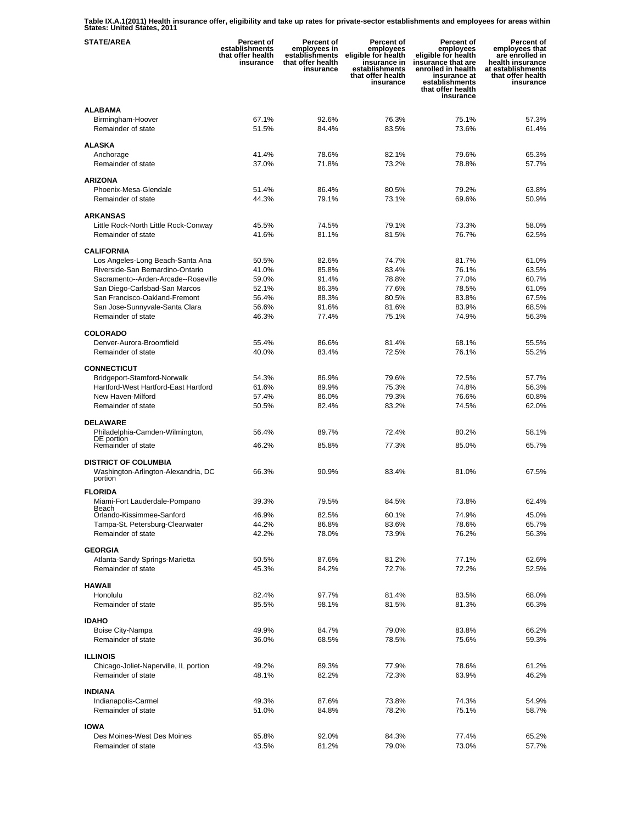**Table IX.A.1(2011) Health insurance offer, eligibility and take up rates for private-sector establishments and employees for areas within States: United States, 2011** 

| <b>STATE/AREA</b>                                                             | Percent of<br>establishments<br>that offer health<br>insurance | Percent of<br>employees in<br>establishments<br>that offer health<br>insurance | Percent of<br>employees<br>eligible for health<br>insurance in<br>establishments<br>that offer health<br>insurance | Percent of<br>employees<br>eligible for health<br>insurance that are<br>enrolled in health<br>insurance at<br>establishments<br>that offer health<br>insurance | Percent of<br>employees that<br>are enrolled in<br>health insurance<br>at establishments<br>that offer health<br>insurance |
|-------------------------------------------------------------------------------|----------------------------------------------------------------|--------------------------------------------------------------------------------|--------------------------------------------------------------------------------------------------------------------|----------------------------------------------------------------------------------------------------------------------------------------------------------------|----------------------------------------------------------------------------------------------------------------------------|
| <b>ALABAMA</b><br>Birmingham-Hoover<br>Remainder of state                     | 67.1%<br>51.5%                                                 | 92.6%<br>84.4%                                                                 | 76.3%<br>83.5%                                                                                                     | 75.1%<br>73.6%                                                                                                                                                 | 57.3%<br>61.4%                                                                                                             |
| <b>ALASKA</b>                                                                 |                                                                |                                                                                |                                                                                                                    |                                                                                                                                                                |                                                                                                                            |
| Anchorage<br>Remainder of state                                               | 41.4%<br>37.0%                                                 | 78.6%<br>71.8%                                                                 | 82.1%<br>73.2%                                                                                                     | 79.6%<br>78.8%                                                                                                                                                 | 65.3%<br>57.7%                                                                                                             |
| <b>ARIZONA</b>                                                                |                                                                |                                                                                |                                                                                                                    |                                                                                                                                                                |                                                                                                                            |
| Phoenix-Mesa-Glendale                                                         | 51.4%                                                          | 86.4%                                                                          | 80.5%                                                                                                              | 79.2%                                                                                                                                                          | 63.8%                                                                                                                      |
| Remainder of state                                                            | 44.3%                                                          | 79.1%                                                                          | 73.1%                                                                                                              | 69.6%                                                                                                                                                          | 50.9%                                                                                                                      |
| <b>ARKANSAS</b>                                                               |                                                                |                                                                                |                                                                                                                    |                                                                                                                                                                |                                                                                                                            |
| Little Rock-North Little Rock-Conway                                          | 45.5%                                                          | 74.5%                                                                          | 79.1%                                                                                                              | 73.3%                                                                                                                                                          | 58.0%                                                                                                                      |
| Remainder of state                                                            | 41.6%                                                          | 81.1%                                                                          | 81.5%                                                                                                              | 76.7%                                                                                                                                                          | 62.5%                                                                                                                      |
| <b>CALIFORNIA</b>                                                             |                                                                |                                                                                |                                                                                                                    |                                                                                                                                                                |                                                                                                                            |
| Los Angeles-Long Beach-Santa Ana                                              | 50.5%                                                          | 82.6%                                                                          | 74.7%                                                                                                              | 81.7%                                                                                                                                                          | 61.0%                                                                                                                      |
| Riverside-San Bernardino-Ontario                                              | 41.0%                                                          | 85.8%                                                                          | 83.4%                                                                                                              | 76.1%                                                                                                                                                          | 63.5%                                                                                                                      |
| Sacramento--Arden-Arcade--Roseville<br>San Diego-Carlsbad-San Marcos          | 59.0%<br>52.1%                                                 | 91.4%<br>86.3%                                                                 | 78.8%<br>77.6%                                                                                                     | 77.0%<br>78.5%                                                                                                                                                 | 60.7%<br>61.0%                                                                                                             |
| San Francisco-Oakland-Fremont                                                 | 56.4%                                                          | 88.3%                                                                          | 80.5%                                                                                                              | 83.8%                                                                                                                                                          | 67.5%                                                                                                                      |
| San Jose-Sunnyvale-Santa Clara                                                | 56.6%                                                          | 91.6%                                                                          | 81.6%                                                                                                              | 83.9%                                                                                                                                                          | 68.5%                                                                                                                      |
| Remainder of state                                                            | 46.3%                                                          | 77.4%                                                                          | 75.1%                                                                                                              | 74.9%                                                                                                                                                          | 56.3%                                                                                                                      |
| <b>COLORADO</b>                                                               |                                                                |                                                                                |                                                                                                                    |                                                                                                                                                                |                                                                                                                            |
| Denver-Aurora-Broomfield                                                      | 55.4%                                                          | 86.6%                                                                          | 81.4%                                                                                                              | 68.1%                                                                                                                                                          | 55.5%                                                                                                                      |
| Remainder of state                                                            | 40.0%                                                          | 83.4%                                                                          | 72.5%                                                                                                              | 76.1%                                                                                                                                                          | 55.2%                                                                                                                      |
| <b>CONNECTICUT</b>                                                            |                                                                |                                                                                |                                                                                                                    |                                                                                                                                                                |                                                                                                                            |
| Bridgeport-Stamford-Norwalk                                                   | 54.3%                                                          | 86.9%                                                                          | 79.6%                                                                                                              | 72.5%                                                                                                                                                          | 57.7%                                                                                                                      |
| Hartford-West Hartford-East Hartford                                          | 61.6%                                                          | 89.9%                                                                          | 75.3%                                                                                                              | 74.8%                                                                                                                                                          | 56.3%                                                                                                                      |
| New Haven-Milford                                                             | 57.4%                                                          | 86.0%                                                                          | 79.3%                                                                                                              | 76.6%                                                                                                                                                          | 60.8%                                                                                                                      |
| Remainder of state                                                            | 50.5%                                                          | 82.4%                                                                          | 83.2%                                                                                                              | 74.5%                                                                                                                                                          | 62.0%                                                                                                                      |
| <b>DELAWARE</b>                                                               |                                                                |                                                                                |                                                                                                                    |                                                                                                                                                                |                                                                                                                            |
| Philadelphia-Camden-Wilmington,                                               | 56.4%                                                          | 89.7%                                                                          | 72.4%                                                                                                              | 80.2%                                                                                                                                                          | 58.1%                                                                                                                      |
| DE portion<br>Remainder of state                                              | 46.2%                                                          | 85.8%                                                                          | 77.3%                                                                                                              | 85.0%                                                                                                                                                          | 65.7%                                                                                                                      |
|                                                                               |                                                                |                                                                                |                                                                                                                    |                                                                                                                                                                |                                                                                                                            |
| <b>DISTRICT OF COLUMBIA</b><br>Washington-Arlington-Alexandria, DC<br>portion | 66.3%                                                          | 90.9%                                                                          | 83.4%                                                                                                              | 81.0%                                                                                                                                                          | 67.5%                                                                                                                      |
| <b>FLORIDA</b>                                                                |                                                                |                                                                                |                                                                                                                    |                                                                                                                                                                |                                                                                                                            |
| Miami-Fort Lauderdale-Pompano                                                 | 39.3%                                                          | 79.5%                                                                          | 84.5%                                                                                                              | 73.8%                                                                                                                                                          | 62.4%                                                                                                                      |
| Beach<br>Orlando-Kissimmee-Sanford                                            | 46.9%                                                          | 82.5%                                                                          | 60.1%                                                                                                              | 74.9%                                                                                                                                                          | 45.0%                                                                                                                      |
| Tampa-St. Petersburg-Clearwater                                               | 44.2%                                                          | 86.8%                                                                          | 83.6%                                                                                                              | 78.6%                                                                                                                                                          | 65.7%                                                                                                                      |
| Remainder of state                                                            | 42.2%                                                          | 78.0%                                                                          | 73.9%                                                                                                              | 76.2%                                                                                                                                                          | 56.3%                                                                                                                      |
| <b>GEORGIA</b>                                                                |                                                                |                                                                                |                                                                                                                    |                                                                                                                                                                |                                                                                                                            |
| Atlanta-Sandy Springs-Marietta                                                | 50.5%                                                          | 87.6%                                                                          | 81.2%                                                                                                              | 77.1%                                                                                                                                                          | 62.6%                                                                                                                      |
| Remainder of state                                                            | 45.3%                                                          | 84.2%                                                                          | 72.7%                                                                                                              | 72.2%                                                                                                                                                          | 52.5%                                                                                                                      |
| <b>HAWAII</b>                                                                 |                                                                |                                                                                |                                                                                                                    |                                                                                                                                                                |                                                                                                                            |
| Honolulu                                                                      | 82.4%                                                          | 97.7%                                                                          | 81.4%                                                                                                              | 83.5%                                                                                                                                                          | 68.0%                                                                                                                      |
| Remainder of state                                                            | 85.5%                                                          | 98.1%                                                                          | 81.5%                                                                                                              | 81.3%                                                                                                                                                          | 66.3%                                                                                                                      |
|                                                                               |                                                                |                                                                                |                                                                                                                    |                                                                                                                                                                |                                                                                                                            |
| <b>IDAHO</b><br>Boise City-Nampa                                              | 49.9%                                                          | 84.7%                                                                          | 79.0%                                                                                                              | 83.8%                                                                                                                                                          | 66.2%                                                                                                                      |
| Remainder of state                                                            | 36.0%                                                          | 68.5%                                                                          | 78.5%                                                                                                              | 75.6%                                                                                                                                                          | 59.3%                                                                                                                      |
|                                                                               |                                                                |                                                                                |                                                                                                                    |                                                                                                                                                                |                                                                                                                            |
| <b>ILLINOIS</b>                                                               |                                                                |                                                                                |                                                                                                                    |                                                                                                                                                                |                                                                                                                            |
| Chicago-Joliet-Naperville, IL portion<br>Remainder of state                   | 49.2%<br>48.1%                                                 | 89.3%<br>82.2%                                                                 | 77.9%<br>72.3%                                                                                                     | 78.6%<br>63.9%                                                                                                                                                 | 61.2%<br>46.2%                                                                                                             |
|                                                                               |                                                                |                                                                                |                                                                                                                    |                                                                                                                                                                |                                                                                                                            |
| <b>INDIANA</b>                                                                |                                                                |                                                                                |                                                                                                                    |                                                                                                                                                                |                                                                                                                            |
| Indianapolis-Carmel                                                           | 49.3%                                                          | 87.6%                                                                          | 73.8%                                                                                                              | 74.3%                                                                                                                                                          | 54.9%                                                                                                                      |
| Remainder of state                                                            | 51.0%                                                          | 84.8%                                                                          | 78.2%                                                                                                              | 75.1%                                                                                                                                                          | 58.7%                                                                                                                      |
| <b>IOWA</b>                                                                   |                                                                |                                                                                |                                                                                                                    |                                                                                                                                                                |                                                                                                                            |
| Des Moines-West Des Moines                                                    | 65.8%                                                          | 92.0%                                                                          | 84.3%                                                                                                              | 77.4%                                                                                                                                                          | 65.2%                                                                                                                      |
| Remainder of state                                                            | 43.5%                                                          | 81.2%                                                                          | 79.0%                                                                                                              | 73.0%                                                                                                                                                          | 57.7%                                                                                                                      |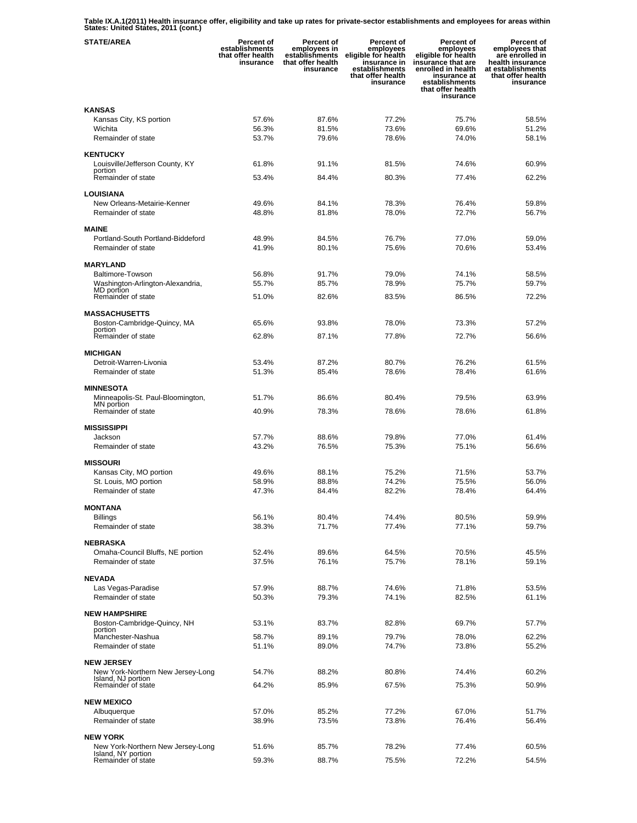**Table IX.A.1(2011) Health insurance offer, eligibility and take up rates for private-sector establishments and employees for areas within States: United States, 2011 (cont.)** 

| <b>STATE/AREA</b>                                       | Percent of<br>establishments<br>that offer health<br>insurance | Percent of<br>employees in<br>establishments<br>that offer health<br>insurance | Percent of<br>employees<br>eligible for health<br>insurance in<br>establishments<br>that offer health<br>insurance | <b>Percent of</b><br>employees<br>eligible for health<br>insurance that are<br>enrolled in health<br>insurance at<br>establishments<br>that offer health<br>insurance | Percent of<br>employees that<br>are enrolled in<br>health insurance<br>at establishments<br>that offer health<br>insurance |
|---------------------------------------------------------|----------------------------------------------------------------|--------------------------------------------------------------------------------|--------------------------------------------------------------------------------------------------------------------|-----------------------------------------------------------------------------------------------------------------------------------------------------------------------|----------------------------------------------------------------------------------------------------------------------------|
| <b>KANSAS</b>                                           |                                                                |                                                                                |                                                                                                                    |                                                                                                                                                                       |                                                                                                                            |
| Kansas City, KS portion                                 | 57.6%                                                          | 87.6%                                                                          | 77.2%                                                                                                              | 75.7%                                                                                                                                                                 | 58.5%                                                                                                                      |
| Wichita                                                 | 56.3%                                                          | 81.5%                                                                          | 73.6%                                                                                                              | 69.6%                                                                                                                                                                 | 51.2%                                                                                                                      |
| Remainder of state                                      | 53.7%                                                          | 79.6%                                                                          | 78.6%                                                                                                              | 74.0%                                                                                                                                                                 | 58.1%                                                                                                                      |
| <b>KENTUCKY</b>                                         |                                                                |                                                                                |                                                                                                                    |                                                                                                                                                                       |                                                                                                                            |
| Louisville/Jefferson County, KY                         | 61.8%                                                          | 91.1%                                                                          | 81.5%                                                                                                              | 74.6%                                                                                                                                                                 | 60.9%                                                                                                                      |
| portion                                                 |                                                                |                                                                                |                                                                                                                    |                                                                                                                                                                       |                                                                                                                            |
| Remainder of state                                      | 53.4%                                                          | 84.4%                                                                          | 80.3%                                                                                                              | 77.4%                                                                                                                                                                 | 62.2%                                                                                                                      |
| <b>LOUISIANA</b>                                        |                                                                |                                                                                |                                                                                                                    |                                                                                                                                                                       |                                                                                                                            |
| New Orleans-Metairie-Kenner                             | 49.6%                                                          | 84.1%                                                                          | 78.3%                                                                                                              | 76.4%                                                                                                                                                                 | 59.8%                                                                                                                      |
| Remainder of state                                      | 48.8%                                                          | 81.8%                                                                          | 78.0%                                                                                                              | 72.7%                                                                                                                                                                 | 56.7%                                                                                                                      |
| <b>MAINE</b>                                            |                                                                |                                                                                |                                                                                                                    |                                                                                                                                                                       |                                                                                                                            |
| Portland-South Portland-Biddeford                       | 48.9%                                                          | 84.5%                                                                          | 76.7%                                                                                                              | 77.0%                                                                                                                                                                 | 59.0%                                                                                                                      |
| Remainder of state                                      | 41.9%                                                          | 80.1%                                                                          | 75.6%                                                                                                              | 70.6%                                                                                                                                                                 | 53.4%                                                                                                                      |
|                                                         |                                                                |                                                                                |                                                                                                                    |                                                                                                                                                                       |                                                                                                                            |
| <b>MARYLAND</b><br><b>Baltimore-Towson</b>              |                                                                |                                                                                |                                                                                                                    |                                                                                                                                                                       |                                                                                                                            |
| Washington-Arlington-Alexandria,                        | 56.8%<br>55.7%                                                 | 91.7%<br>85.7%                                                                 | 79.0%<br>78.9%                                                                                                     | 74.1%<br>75.7%                                                                                                                                                        | 58.5%<br>59.7%                                                                                                             |
| MD portion                                              |                                                                |                                                                                |                                                                                                                    |                                                                                                                                                                       |                                                                                                                            |
| Remainder of state                                      | 51.0%                                                          | 82.6%                                                                          | 83.5%                                                                                                              | 86.5%                                                                                                                                                                 | 72.2%                                                                                                                      |
| <b>MASSACHUSETTS</b>                                    |                                                                |                                                                                |                                                                                                                    |                                                                                                                                                                       |                                                                                                                            |
| Boston-Cambridge-Quincy, MA                             | 65.6%                                                          | 93.8%                                                                          | 78.0%                                                                                                              | 73.3%                                                                                                                                                                 | 57.2%                                                                                                                      |
| portion<br>Remainder of state                           | 62.8%                                                          | 87.1%                                                                          | 77.8%                                                                                                              | 72.7%                                                                                                                                                                 | 56.6%                                                                                                                      |
|                                                         |                                                                |                                                                                |                                                                                                                    |                                                                                                                                                                       |                                                                                                                            |
| <b>MICHIGAN</b>                                         |                                                                |                                                                                |                                                                                                                    |                                                                                                                                                                       |                                                                                                                            |
| Detroit-Warren-Livonia                                  | 53.4%                                                          | 87.2%                                                                          | 80.7%                                                                                                              | 76.2%                                                                                                                                                                 | 61.5%                                                                                                                      |
| Remainder of state                                      | 51.3%                                                          | 85.4%                                                                          | 78.6%                                                                                                              | 78.4%                                                                                                                                                                 | 61.6%                                                                                                                      |
| <b>MINNESOTA</b>                                        |                                                                |                                                                                |                                                                                                                    |                                                                                                                                                                       |                                                                                                                            |
| Minneapolis-St. Paul-Bloomington,                       | 51.7%                                                          | 86.6%                                                                          | 80.4%                                                                                                              | 79.5%                                                                                                                                                                 | 63.9%                                                                                                                      |
| MN portion                                              |                                                                |                                                                                |                                                                                                                    |                                                                                                                                                                       |                                                                                                                            |
| Remainder of state                                      | 40.9%                                                          | 78.3%                                                                          | 78.6%                                                                                                              | 78.6%                                                                                                                                                                 | 61.8%                                                                                                                      |
| <b>MISSISSIPPI</b>                                      |                                                                |                                                                                |                                                                                                                    |                                                                                                                                                                       |                                                                                                                            |
| Jackson                                                 | 57.7%                                                          | 88.6%                                                                          | 79.8%                                                                                                              | 77.0%                                                                                                                                                                 | 61.4%                                                                                                                      |
| Remainder of state                                      | 43.2%                                                          | 76.5%                                                                          | 75.3%                                                                                                              | 75.1%                                                                                                                                                                 | 56.6%                                                                                                                      |
| <b>MISSOURI</b>                                         |                                                                |                                                                                |                                                                                                                    |                                                                                                                                                                       |                                                                                                                            |
| Kansas City, MO portion                                 | 49.6%                                                          | 88.1%                                                                          | 75.2%                                                                                                              | 71.5%                                                                                                                                                                 | 53.7%                                                                                                                      |
| St. Louis, MO portion                                   | 58.9%                                                          | 88.8%                                                                          | 74.2%                                                                                                              | 75.5%                                                                                                                                                                 | 56.0%                                                                                                                      |
| Remainder of state                                      | 47.3%                                                          | 84.4%                                                                          | 82.2%                                                                                                              | 78.4%                                                                                                                                                                 | 64.4%                                                                                                                      |
| <b>MONTANA</b>                                          |                                                                |                                                                                |                                                                                                                    |                                                                                                                                                                       |                                                                                                                            |
| Billings                                                | 56.1%                                                          | 80.4%                                                                          | 74.4%                                                                                                              | 80.5%                                                                                                                                                                 | 59.9%                                                                                                                      |
| Remainder of state                                      | 38.3%                                                          | 71.7%                                                                          | 77.4%                                                                                                              | 77.1%                                                                                                                                                                 | 59.7%                                                                                                                      |
|                                                         |                                                                |                                                                                |                                                                                                                    |                                                                                                                                                                       |                                                                                                                            |
| <b>NEBRASKA</b>                                         |                                                                |                                                                                |                                                                                                                    |                                                                                                                                                                       |                                                                                                                            |
| Omaha-Council Bluffs, NE portion<br>Remainder of state  | 52.4%<br>37.5%                                                 | 89.6%<br>76.1%                                                                 | 64.5%                                                                                                              | 70.5%                                                                                                                                                                 | 45.5%                                                                                                                      |
|                                                         |                                                                |                                                                                | 75.7%                                                                                                              | 78.1%                                                                                                                                                                 | 59.1%                                                                                                                      |
| <b>NEVADA</b>                                           |                                                                |                                                                                |                                                                                                                    |                                                                                                                                                                       |                                                                                                                            |
| Las Vegas-Paradise                                      | 57.9%                                                          | 88.7%                                                                          | 74.6%                                                                                                              | 71.8%                                                                                                                                                                 | 53.5%                                                                                                                      |
| Remainder of state                                      | 50.3%                                                          | 79.3%                                                                          | 74.1%                                                                                                              | 82.5%                                                                                                                                                                 | 61.1%                                                                                                                      |
| <b>NEW HAMPSHIRE</b>                                    |                                                                |                                                                                |                                                                                                                    |                                                                                                                                                                       |                                                                                                                            |
| Boston-Cambridge-Quincy, NH                             | 53.1%                                                          | 83.7%                                                                          | 82.8%                                                                                                              | 69.7%                                                                                                                                                                 | 57.7%                                                                                                                      |
| portion                                                 | 58.7%                                                          | 89.1%                                                                          | 79.7%                                                                                                              | 78.0%                                                                                                                                                                 | 62.2%                                                                                                                      |
| Manchester-Nashua<br>Remainder of state                 | 51.1%                                                          | 89.0%                                                                          | 74.7%                                                                                                              | 73.8%                                                                                                                                                                 | 55.2%                                                                                                                      |
|                                                         |                                                                |                                                                                |                                                                                                                    |                                                                                                                                                                       |                                                                                                                            |
| <b>NEW JERSEY</b>                                       |                                                                |                                                                                |                                                                                                                    |                                                                                                                                                                       |                                                                                                                            |
| New York-Northern New Jersey-Long<br>Island, NJ portion | 54.7%                                                          | 88.2%                                                                          | 80.8%                                                                                                              | 74.4%                                                                                                                                                                 | 60.2%                                                                                                                      |
| Remainder of state                                      | 64.2%                                                          | 85.9%                                                                          | 67.5%                                                                                                              | 75.3%                                                                                                                                                                 | 50.9%                                                                                                                      |
|                                                         |                                                                |                                                                                |                                                                                                                    |                                                                                                                                                                       |                                                                                                                            |
| <b>NEW MEXICO</b>                                       | 57.0%                                                          | 85.2%                                                                          | 77.2%                                                                                                              | 67.0%                                                                                                                                                                 | 51.7%                                                                                                                      |
| Albuquerque<br>Remainder of state                       | 38.9%                                                          | 73.5%                                                                          | 73.8%                                                                                                              | 76.4%                                                                                                                                                                 | 56.4%                                                                                                                      |
|                                                         |                                                                |                                                                                |                                                                                                                    |                                                                                                                                                                       |                                                                                                                            |
| <b>NEW YORK</b>                                         |                                                                |                                                                                |                                                                                                                    |                                                                                                                                                                       |                                                                                                                            |
| New York-Northern New Jersey-Long<br>Island, NY portion | 51.6%                                                          | 85.7%                                                                          | 78.2%                                                                                                              | 77.4%                                                                                                                                                                 | 60.5%                                                                                                                      |
| Remainder of state                                      | 59.3%                                                          | 88.7%                                                                          | 75.5%                                                                                                              | 72.2%                                                                                                                                                                 | 54.5%                                                                                                                      |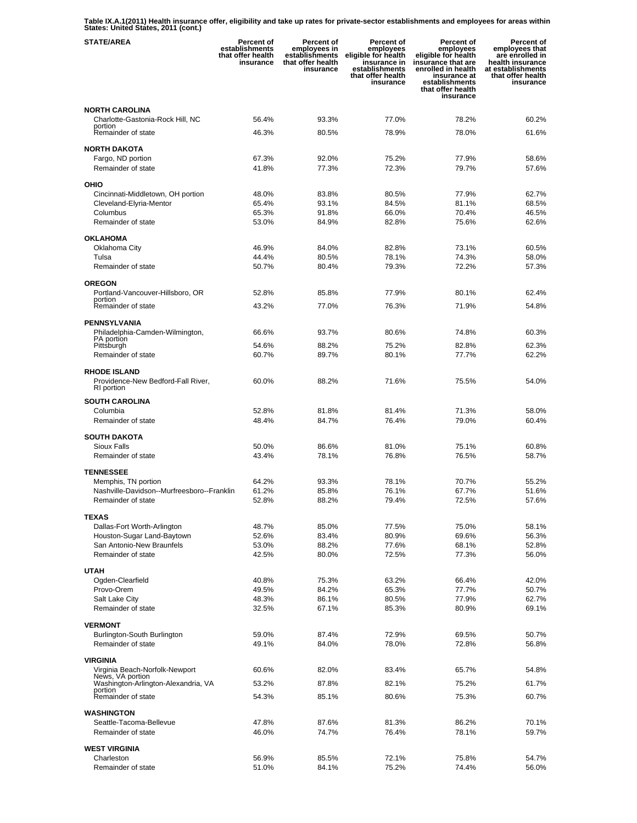**Table IX.A.1(2011) Health insurance offer, eligibility and take up rates for private-sector establishments and employees for areas within States: United States, 2011 (cont.)** 

| <b>STATE/AREA</b>                                         | Percent of<br>establishments<br>that offer health<br>insurance | Percent of<br>employees in<br>establishments<br>that offer health<br>insurance | Percent of<br>employees<br>eligible for health<br>insurance in<br>establishments<br>that offer health<br>insurance | <b>Percent of</b><br>employees<br>eligible for health<br>insurance that are<br>enrolled in health<br>insurance at<br>establishments<br>that offer health<br>insurance | Percent of<br>employees that<br>are enrolled in<br>health insurance<br>at establishments<br>that offer health<br>insurance |
|-----------------------------------------------------------|----------------------------------------------------------------|--------------------------------------------------------------------------------|--------------------------------------------------------------------------------------------------------------------|-----------------------------------------------------------------------------------------------------------------------------------------------------------------------|----------------------------------------------------------------------------------------------------------------------------|
| <b>NORTH CAROLINA</b>                                     |                                                                |                                                                                |                                                                                                                    |                                                                                                                                                                       |                                                                                                                            |
| Charlotte-Gastonia-Rock Hill, NC                          | 56.4%                                                          | 93.3%                                                                          | 77.0%                                                                                                              | 78.2%                                                                                                                                                                 | 60.2%                                                                                                                      |
| portion<br>Remainder of state                             | 46.3%                                                          | 80.5%                                                                          | 78.9%                                                                                                              | 78.0%                                                                                                                                                                 | 61.6%                                                                                                                      |
| <b>NORTH DAKOTA</b>                                       |                                                                |                                                                                |                                                                                                                    |                                                                                                                                                                       |                                                                                                                            |
| Fargo, ND portion                                         | 67.3%                                                          | 92.0%                                                                          | 75.2%                                                                                                              | 77.9%                                                                                                                                                                 | 58.6%                                                                                                                      |
| Remainder of state                                        | 41.8%                                                          | 77.3%                                                                          | 72.3%                                                                                                              | 79.7%                                                                                                                                                                 | 57.6%                                                                                                                      |
| OHIO                                                      |                                                                |                                                                                |                                                                                                                    |                                                                                                                                                                       |                                                                                                                            |
| Cincinnati-Middletown, OH portion                         | 48.0%                                                          | 83.8%                                                                          | 80.5%                                                                                                              | 77.9%                                                                                                                                                                 | 62.7%                                                                                                                      |
| Cleveland-Elyria-Mentor                                   | 65.4%                                                          | 93.1%                                                                          | 84.5%                                                                                                              | 81.1%                                                                                                                                                                 | 68.5%                                                                                                                      |
| Columbus                                                  | 65.3%                                                          | 91.8%                                                                          | 66.0%                                                                                                              | 70.4%                                                                                                                                                                 | 46.5%                                                                                                                      |
| Remainder of state                                        | 53.0%                                                          | 84.9%                                                                          | 82.8%                                                                                                              | 75.6%                                                                                                                                                                 | 62.6%                                                                                                                      |
| <b>OKLAHOMA</b>                                           |                                                                |                                                                                |                                                                                                                    |                                                                                                                                                                       |                                                                                                                            |
| Oklahoma City                                             | 46.9%                                                          | 84.0%                                                                          | 82.8%                                                                                                              | 73.1%                                                                                                                                                                 | 60.5%                                                                                                                      |
| Tulsa                                                     | 44.4%                                                          | 80.5%                                                                          | 78.1%                                                                                                              | 74.3%                                                                                                                                                                 | 58.0%                                                                                                                      |
| Remainder of state                                        | 50.7%                                                          | 80.4%                                                                          | 79.3%                                                                                                              | 72.2%                                                                                                                                                                 | 57.3%                                                                                                                      |
| <b>OREGON</b>                                             |                                                                |                                                                                |                                                                                                                    |                                                                                                                                                                       |                                                                                                                            |
| Portland-Vancouver-Hillsboro, OR<br>portion               | 52.8%                                                          | 85.8%                                                                          | 77.9%                                                                                                              | 80.1%                                                                                                                                                                 | 62.4%                                                                                                                      |
| Remainder of state                                        | 43.2%                                                          | 77.0%                                                                          | 76.3%                                                                                                              | 71.9%                                                                                                                                                                 | 54.8%                                                                                                                      |
| <b>PENNSYLVANIA</b>                                       |                                                                |                                                                                |                                                                                                                    |                                                                                                                                                                       |                                                                                                                            |
| Philadelphia-Camden-Wilmington,                           | 66.6%                                                          | 93.7%                                                                          | 80.6%                                                                                                              | 74.8%                                                                                                                                                                 | 60.3%                                                                                                                      |
| PA portion<br>Pittsburgh                                  | 54.6%                                                          | 88.2%                                                                          | 75.2%                                                                                                              | 82.8%                                                                                                                                                                 | 62.3%                                                                                                                      |
| Remainder of state                                        | 60.7%                                                          | 89.7%                                                                          | 80.1%                                                                                                              | 77.7%                                                                                                                                                                 | 62.2%                                                                                                                      |
|                                                           |                                                                |                                                                                |                                                                                                                    |                                                                                                                                                                       |                                                                                                                            |
| <b>RHODE ISLAND</b><br>Providence-New Bedford-Fall River, | 60.0%                                                          | 88.2%                                                                          | 71.6%                                                                                                              | 75.5%                                                                                                                                                                 | 54.0%                                                                                                                      |
| RI portion                                                |                                                                |                                                                                |                                                                                                                    |                                                                                                                                                                       |                                                                                                                            |
| <b>SOUTH CAROLINA</b>                                     |                                                                |                                                                                |                                                                                                                    |                                                                                                                                                                       |                                                                                                                            |
| Columbia                                                  | 52.8%                                                          | 81.8%                                                                          | 81.4%                                                                                                              | 71.3%                                                                                                                                                                 | 58.0%                                                                                                                      |
| Remainder of state                                        | 48.4%                                                          | 84.7%                                                                          | 76.4%                                                                                                              | 79.0%                                                                                                                                                                 | 60.4%                                                                                                                      |
| <b>SOUTH DAKOTA</b>                                       |                                                                |                                                                                |                                                                                                                    |                                                                                                                                                                       |                                                                                                                            |
| <b>Sioux Falls</b>                                        | 50.0%                                                          | 86.6%                                                                          | 81.0%                                                                                                              | 75.1%                                                                                                                                                                 | 60.8%                                                                                                                      |
| Remainder of state                                        | 43.4%                                                          | 78.1%                                                                          | 76.8%                                                                                                              | 76.5%                                                                                                                                                                 | 58.7%                                                                                                                      |
| <b>TENNESSEE</b>                                          |                                                                |                                                                                |                                                                                                                    |                                                                                                                                                                       |                                                                                                                            |
| Memphis, TN portion                                       | 64.2%                                                          | 93.3%                                                                          | 78.1%                                                                                                              | 70.7%                                                                                                                                                                 | 55.2%                                                                                                                      |
| Nashville-Davidson--Murfreesboro--Franklin                | 61.2%                                                          | 85.8%                                                                          | 76.1%                                                                                                              | 67.7%                                                                                                                                                                 | 51.6%                                                                                                                      |
| Remainder of state                                        | 52.8%                                                          | 88.2%                                                                          | 79.4%                                                                                                              | 72.5%                                                                                                                                                                 | 57.6%                                                                                                                      |
| <b>TEXAS</b>                                              |                                                                |                                                                                |                                                                                                                    |                                                                                                                                                                       |                                                                                                                            |
| Dallas-Fort Worth-Arlington                               | 48.7%                                                          | 85.0%                                                                          | 77.5%                                                                                                              | 75.0%                                                                                                                                                                 | 58.1%                                                                                                                      |
| Houston-Sugar Land-Baytown<br>San Antonio-New Braunfels   | 52.6%<br>53.0%                                                 | 83.4%<br>88.2%                                                                 | 80.9%<br>77.6%                                                                                                     | 69.6%<br>68.1%                                                                                                                                                        | 56.3%<br>52.8%                                                                                                             |
| Remainder of state                                        | 42.5%                                                          | 80.0%                                                                          | 72.5%                                                                                                              | 77.3%                                                                                                                                                                 | 56.0%                                                                                                                      |
|                                                           |                                                                |                                                                                |                                                                                                                    |                                                                                                                                                                       |                                                                                                                            |
| <b>UTAH</b><br>Ogden-Clearfield                           | 40.8%                                                          | 75.3%                                                                          | 63.2%                                                                                                              | 66.4%                                                                                                                                                                 | 42.0%                                                                                                                      |
| Provo-Orem                                                | 49.5%                                                          | 84.2%                                                                          | 65.3%                                                                                                              | 77.7%                                                                                                                                                                 | 50.7%                                                                                                                      |
| Salt Lake City                                            | 48.3%                                                          | 86.1%                                                                          | 80.5%                                                                                                              | 77.9%                                                                                                                                                                 | 62.7%                                                                                                                      |
| Remainder of state                                        | 32.5%                                                          | 67.1%                                                                          | 85.3%                                                                                                              | 80.9%                                                                                                                                                                 | 69.1%                                                                                                                      |
| <b>VERMONT</b>                                            |                                                                |                                                                                |                                                                                                                    |                                                                                                                                                                       |                                                                                                                            |
| Burlington-South Burlington                               | 59.0%                                                          | 87.4%                                                                          | 72.9%                                                                                                              | 69.5%                                                                                                                                                                 | 50.7%                                                                                                                      |
| Remainder of state                                        | 49.1%                                                          | 84.0%                                                                          | 78.0%                                                                                                              | 72.8%                                                                                                                                                                 | 56.8%                                                                                                                      |
| <b>VIRGINIA</b>                                           |                                                                |                                                                                |                                                                                                                    |                                                                                                                                                                       |                                                                                                                            |
| Virginia Beach-Norfolk-Newport                            | 60.6%                                                          | 82.0%                                                                          | 83.4%                                                                                                              | 65.7%                                                                                                                                                                 | 54.8%                                                                                                                      |
| News, VA portion<br>Washington-Arlington-Alexandria, VA   | 53.2%                                                          | 87.8%                                                                          | 82.1%                                                                                                              | 75.2%                                                                                                                                                                 | 61.7%                                                                                                                      |
| portion<br>Remainder of state                             | 54.3%                                                          | 85.1%                                                                          | 80.6%                                                                                                              | 75.3%                                                                                                                                                                 | 60.7%                                                                                                                      |
|                                                           |                                                                |                                                                                |                                                                                                                    |                                                                                                                                                                       |                                                                                                                            |
| <b>WASHINGTON</b>                                         |                                                                |                                                                                |                                                                                                                    |                                                                                                                                                                       |                                                                                                                            |
| Seattle-Tacoma-Bellevue<br>Remainder of state             | 47.8%<br>46.0%                                                 | 87.6%<br>74.7%                                                                 | 81.3%<br>76.4%                                                                                                     | 86.2%<br>78.1%                                                                                                                                                        | 70.1%<br>59.7%                                                                                                             |
|                                                           |                                                                |                                                                                |                                                                                                                    |                                                                                                                                                                       |                                                                                                                            |
| <b>WEST VIRGINIA</b>                                      |                                                                |                                                                                |                                                                                                                    |                                                                                                                                                                       |                                                                                                                            |
| Charleston<br>Remainder of state                          | 56.9%<br>51.0%                                                 | 85.5%<br>84.1%                                                                 | 72.1%<br>75.2%                                                                                                     | 75.8%<br>74.4%                                                                                                                                                        | 54.7%<br>56.0%                                                                                                             |
|                                                           |                                                                |                                                                                |                                                                                                                    |                                                                                                                                                                       |                                                                                                                            |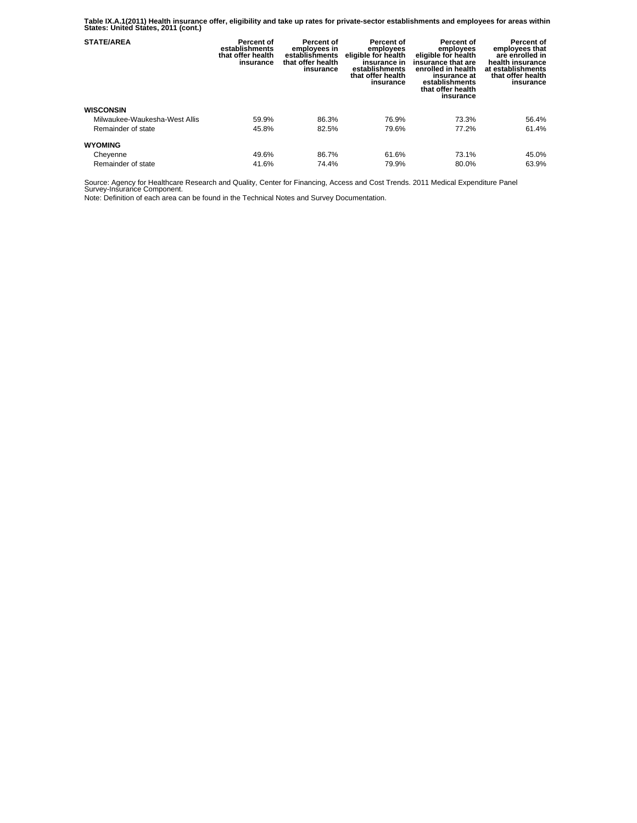**Table IX.A.1(2011) Health insurance offer, eligibility and take up rates for private-sector establishments and employees for areas within States: United States, 2011 (cont.)** 

| <b>STATE/AREA</b>             | Percent of<br>establishments<br>that offer health<br>insurance | Percent of<br>employees in<br>establishments<br>that offer health<br>insurance | Percent of<br>employees<br>eligible for health<br>insurance in<br>establishments<br>that offer health<br>insurance | Percent of<br>employees<br>eligible for health<br>insurance that are<br>enrolled in health<br>insurance at<br>establishments<br>that offer health<br>insurance | Percent of<br>employees that<br>are enrolled in<br>health insurance<br>at establishments<br>that offer health<br>insurance |
|-------------------------------|----------------------------------------------------------------|--------------------------------------------------------------------------------|--------------------------------------------------------------------------------------------------------------------|----------------------------------------------------------------------------------------------------------------------------------------------------------------|----------------------------------------------------------------------------------------------------------------------------|
| <b>WISCONSIN</b>              |                                                                |                                                                                |                                                                                                                    |                                                                                                                                                                |                                                                                                                            |
| Milwaukee-Waukesha-West Allis | 59.9%                                                          | 86.3%                                                                          | 76.9%                                                                                                              | 73.3%                                                                                                                                                          | 56.4%                                                                                                                      |
| Remainder of state            | 45.8%                                                          | 82.5%                                                                          | 79.6%                                                                                                              | 77.2%                                                                                                                                                          | 61.4%                                                                                                                      |
| <b>WYOMING</b>                |                                                                |                                                                                |                                                                                                                    |                                                                                                                                                                |                                                                                                                            |
| Cheyenne                      | 49.6%                                                          | 86.7%                                                                          | 61.6%                                                                                                              | 73.1%                                                                                                                                                          | 45.0%                                                                                                                      |
| Remainder of state            | 41.6%                                                          | 74.4%                                                                          | 79.9%                                                                                                              | 80.0%                                                                                                                                                          | 63.9%                                                                                                                      |

Source: Agency for Healthcare Research and Quality, Center for Financing, Access and Cost Trends. 2011 Medical Expenditure Panel Survey-Insurance Component.

Note: Definition of each area can be found in the Technical Notes and Survey Documentation.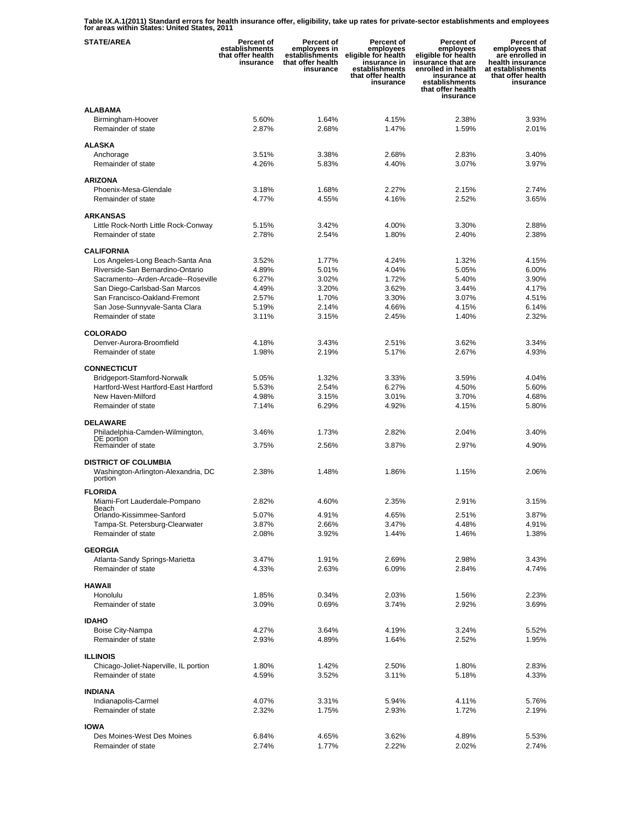**Table IX.A.1(2011) Standard errors for health insurance offer, eligibility, take up rates for private-sector establishments and employees for areas within States: United States, 2011** 

| <b>STATE/AREA</b>                              | <b>Percent of</b><br>establishments<br>that offer health<br>insurance | <b>Percent of</b><br>employees in<br>establishments<br>that offer health<br>insurance | Percent of<br>employees<br>eligible for health<br>insurance in<br>establishments<br>that offer health<br>insurance | Percent of<br>employees<br>eligible for health<br>insurance that are<br>enrolled in health<br>insurance at<br>establishments<br>that offer health<br>insurance | Percent of<br>employees that<br>are enrolled in<br>health insurance<br>at establishments<br>that offer health<br>insurance |
|------------------------------------------------|-----------------------------------------------------------------------|---------------------------------------------------------------------------------------|--------------------------------------------------------------------------------------------------------------------|----------------------------------------------------------------------------------------------------------------------------------------------------------------|----------------------------------------------------------------------------------------------------------------------------|
| <b>ALABAMA</b>                                 |                                                                       |                                                                                       |                                                                                                                    |                                                                                                                                                                |                                                                                                                            |
| Birmingham-Hoover                              | 5.60%                                                                 | 1.64%                                                                                 | 4.15%                                                                                                              | 2.38%                                                                                                                                                          | 3.93%                                                                                                                      |
| Remainder of state                             | 2.87%                                                                 | 2.68%                                                                                 | 1.47%                                                                                                              | 1.59%                                                                                                                                                          | 2.01%                                                                                                                      |
|                                                |                                                                       |                                                                                       |                                                                                                                    |                                                                                                                                                                |                                                                                                                            |
| <b>ALASKA</b>                                  |                                                                       |                                                                                       |                                                                                                                    |                                                                                                                                                                |                                                                                                                            |
| Anchorage                                      | 3.51%                                                                 | 3.38%                                                                                 | 2.68%                                                                                                              | 2.83%                                                                                                                                                          | 3.40%                                                                                                                      |
| Remainder of state                             | 4.26%                                                                 | 5.83%                                                                                 | 4.40%                                                                                                              | 3.07%                                                                                                                                                          | 3.97%                                                                                                                      |
| <b>ARIZONA</b>                                 |                                                                       |                                                                                       |                                                                                                                    |                                                                                                                                                                |                                                                                                                            |
| Phoenix-Mesa-Glendale                          | 3.18%                                                                 | 1.68%                                                                                 | 2.27%                                                                                                              | 2.15%                                                                                                                                                          | 2.74%                                                                                                                      |
| Remainder of state                             | 4.77%                                                                 | 4.55%                                                                                 | 4.16%                                                                                                              | 2.52%                                                                                                                                                          | 3.65%                                                                                                                      |
|                                                |                                                                       |                                                                                       |                                                                                                                    |                                                                                                                                                                |                                                                                                                            |
| <b>ARKANSAS</b>                                |                                                                       |                                                                                       |                                                                                                                    |                                                                                                                                                                |                                                                                                                            |
| Little Rock-North Little Rock-Conway           | 5.15%                                                                 | 3.42%                                                                                 | 4.00%                                                                                                              | 3.30%                                                                                                                                                          | 2.88%                                                                                                                      |
| Remainder of state                             | 2.78%                                                                 | 2.54%                                                                                 | 1.80%                                                                                                              | 2.40%                                                                                                                                                          | 2.38%                                                                                                                      |
| <b>CALIFORNIA</b>                              |                                                                       |                                                                                       |                                                                                                                    |                                                                                                                                                                |                                                                                                                            |
| Los Angeles-Long Beach-Santa Ana               | 3.52%                                                                 | 1.77%                                                                                 | 4.24%                                                                                                              | 1.32%                                                                                                                                                          | 4.15%                                                                                                                      |
| Riverside-San Bernardino-Ontario               | 4.89%                                                                 | 5.01%                                                                                 | 4.04%                                                                                                              | 5.05%                                                                                                                                                          | 6.00%                                                                                                                      |
| Sacramento--Arden-Arcade--Roseville            | 6.27%                                                                 | 3.02%                                                                                 | 1.72%                                                                                                              | 5.40%                                                                                                                                                          | 3.90%                                                                                                                      |
| San Diego-Carlsbad-San Marcos                  | 4.49%                                                                 | 3.20%                                                                                 | 3.62%                                                                                                              | 3.44%                                                                                                                                                          | 4.17%                                                                                                                      |
| San Francisco-Oakland-Fremont                  | 2.57%                                                                 | 1.70%                                                                                 | 3.30%                                                                                                              | 3.07%                                                                                                                                                          | 4.51%                                                                                                                      |
| San Jose-Sunnyvale-Santa Clara                 | 5.19%                                                                 | 2.14%                                                                                 | 4.66%                                                                                                              | 4.15%                                                                                                                                                          | 6.14%                                                                                                                      |
| Remainder of state                             | 3.11%                                                                 | 3.15%                                                                                 | 2.45%                                                                                                              | 1.40%                                                                                                                                                          | 2.32%                                                                                                                      |
|                                                |                                                                       |                                                                                       |                                                                                                                    |                                                                                                                                                                |                                                                                                                            |
| <b>COLORADO</b>                                |                                                                       |                                                                                       |                                                                                                                    |                                                                                                                                                                |                                                                                                                            |
| Denver-Aurora-Broomfield                       | 4.18%                                                                 | 3.43%                                                                                 | 2.51%                                                                                                              | 3.62%                                                                                                                                                          | 3.34%                                                                                                                      |
| Remainder of state                             | 1.98%                                                                 | 2.19%                                                                                 | 5.17%                                                                                                              | 2.67%                                                                                                                                                          | 4.93%                                                                                                                      |
| <b>CONNECTICUT</b>                             |                                                                       |                                                                                       |                                                                                                                    |                                                                                                                                                                |                                                                                                                            |
| Bridgeport-Stamford-Norwalk                    | 5.05%                                                                 | 1.32%                                                                                 | 3.33%                                                                                                              | 3.59%                                                                                                                                                          | 4.04%                                                                                                                      |
| Hartford-West Hartford-East Hartford           | 5.53%                                                                 | 2.54%                                                                                 | 6.27%                                                                                                              | 4.50%                                                                                                                                                          | 5.60%                                                                                                                      |
| New Haven-Milford                              | 4.98%                                                                 | 3.15%                                                                                 | 3.01%                                                                                                              | 3.70%                                                                                                                                                          | 4.68%                                                                                                                      |
| Remainder of state                             | 7.14%                                                                 | 6.29%                                                                                 | 4.92%                                                                                                              | 4.15%                                                                                                                                                          | 5.80%                                                                                                                      |
|                                                |                                                                       |                                                                                       |                                                                                                                    |                                                                                                                                                                |                                                                                                                            |
| <b>DELAWARE</b>                                |                                                                       |                                                                                       |                                                                                                                    |                                                                                                                                                                |                                                                                                                            |
| Philadelphia-Camden-Wilmington,<br>DE portion  | 3.46%                                                                 | 1.73%                                                                                 | 2.82%                                                                                                              | 2.04%                                                                                                                                                          | 3.40%                                                                                                                      |
| Remainder of state                             | 3.75%                                                                 | 2.56%                                                                                 | 3.87%                                                                                                              | 2.97%                                                                                                                                                          | 4.90%                                                                                                                      |
|                                                |                                                                       |                                                                                       |                                                                                                                    |                                                                                                                                                                |                                                                                                                            |
| <b>DISTRICT OF COLUMBIA</b>                    |                                                                       |                                                                                       |                                                                                                                    |                                                                                                                                                                |                                                                                                                            |
| Washington-Arlington-Alexandria, DC<br>portion | 2.38%                                                                 | 1.48%                                                                                 | 1.86%                                                                                                              | 1.15%                                                                                                                                                          | 2.06%                                                                                                                      |
| <b>FLORIDA</b>                                 |                                                                       |                                                                                       |                                                                                                                    |                                                                                                                                                                |                                                                                                                            |
| Miami-Fort Lauderdale-Pompano                  |                                                                       |                                                                                       |                                                                                                                    |                                                                                                                                                                |                                                                                                                            |
| Beach                                          | 2.82%                                                                 | 4.60%                                                                                 | 2.35%                                                                                                              | 2.91%                                                                                                                                                          | 3.15%                                                                                                                      |
| Orlando-Kissimmee-Sanford                      | 5.07%                                                                 | 4.91%                                                                                 | 4.65%                                                                                                              | 2.51%                                                                                                                                                          | 3.87%                                                                                                                      |
| Tampa-St. Petersburg-Clearwater                | 3.87%                                                                 | 2.66%                                                                                 | 3.47%                                                                                                              | 4.48%                                                                                                                                                          | 4.91%                                                                                                                      |
| Remainder of state                             | 2.08%                                                                 | 3.92%                                                                                 | 1.44%                                                                                                              | 1.46%                                                                                                                                                          | 1.38%                                                                                                                      |
| <b>GEORGIA</b>                                 |                                                                       |                                                                                       |                                                                                                                    |                                                                                                                                                                |                                                                                                                            |
| Atlanta-Sandy Springs-Marietta                 | 3.47%                                                                 | 1.91%                                                                                 | 2.69%                                                                                                              | 2.98%                                                                                                                                                          | 3.43%                                                                                                                      |
| Remainder of state                             | 4.33%                                                                 | 2.63%                                                                                 | 6.09%                                                                                                              | 2.84%                                                                                                                                                          | 4.74%                                                                                                                      |
|                                                |                                                                       |                                                                                       |                                                                                                                    |                                                                                                                                                                |                                                                                                                            |
| <b>HAWAII</b>                                  |                                                                       |                                                                                       |                                                                                                                    |                                                                                                                                                                |                                                                                                                            |
| Honolulu                                       | 1.85%                                                                 | 0.34%                                                                                 | 2.03%                                                                                                              | 1.56%                                                                                                                                                          | 2.23%                                                                                                                      |
| Remainder of state                             | 3.09%                                                                 | 0.69%                                                                                 | 3.74%                                                                                                              | 2.92%                                                                                                                                                          | 3.69%                                                                                                                      |
| <b>IDAHO</b>                                   |                                                                       |                                                                                       |                                                                                                                    |                                                                                                                                                                |                                                                                                                            |
| Boise City-Nampa                               | 4.27%                                                                 | 3.64%                                                                                 | 4.19%                                                                                                              | 3.24%                                                                                                                                                          | 5.52%                                                                                                                      |
| Remainder of state                             | 2.93%                                                                 | 4.89%                                                                                 | 1.64%                                                                                                              | 2.52%                                                                                                                                                          | 1.95%                                                                                                                      |
|                                                |                                                                       |                                                                                       |                                                                                                                    |                                                                                                                                                                |                                                                                                                            |
| <b>ILLINOIS</b>                                |                                                                       |                                                                                       |                                                                                                                    |                                                                                                                                                                |                                                                                                                            |
| Chicago-Joliet-Naperville, IL portion          | 1.80%                                                                 | 1.42%                                                                                 | 2.50%                                                                                                              | 1.80%                                                                                                                                                          | 2.83%                                                                                                                      |
| Remainder of state                             | 4.59%                                                                 | 3.52%                                                                                 | 3.11%                                                                                                              | 5.18%                                                                                                                                                          | 4.33%                                                                                                                      |
|                                                |                                                                       |                                                                                       |                                                                                                                    |                                                                                                                                                                |                                                                                                                            |
| <b>INDIANA</b>                                 | 4.07%                                                                 | 3.31%                                                                                 | 5.94%                                                                                                              | 4.11%                                                                                                                                                          |                                                                                                                            |
| Indianapolis-Carmel<br>Remainder of state      | 2.32%                                                                 | 1.75%                                                                                 | 2.93%                                                                                                              | 1.72%                                                                                                                                                          | 5.76%<br>2.19%                                                                                                             |
|                                                |                                                                       |                                                                                       |                                                                                                                    |                                                                                                                                                                |                                                                                                                            |
| <b>IOWA</b>                                    |                                                                       |                                                                                       |                                                                                                                    |                                                                                                                                                                |                                                                                                                            |
| Des Moines-West Des Moines                     | 6.84%                                                                 | 4.65%                                                                                 | 3.62%                                                                                                              | 4.89%                                                                                                                                                          | 5.53%                                                                                                                      |
| Remainder of state                             | 2.74%                                                                 | 1.77%                                                                                 | 2.22%                                                                                                              | 2.02%                                                                                                                                                          | 2.74%                                                                                                                      |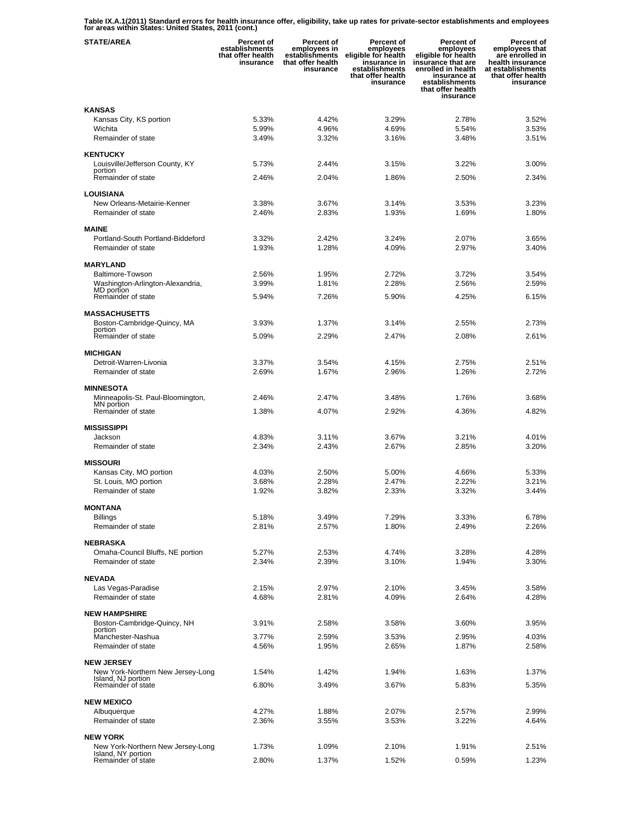**Table IX.A.1(2011) Standard errors for health insurance offer, eligibility, take up rates for private-sector establishments and employees for areas within States: United States, 2011 (cont.)** 

| <b>STATE/AREA</b>                                       | <b>Percent of</b><br>establishments<br>that offer health<br>insurance | Percent of<br>employees in<br>establishments<br>that offer health<br>insurance | Percent of<br>employees<br>eligible for health<br>insurance in<br>establishments<br>that offer health<br>insurance | <b>Percent of</b><br>employees<br>eligible for health<br>insurance that are<br>enrolled in health<br>insurance at<br>establishments<br>that offer health<br>insurance | Percent of<br>employees that<br>are enrolled in<br>health insurance<br>at establishments<br>that offer health<br>insurance |
|---------------------------------------------------------|-----------------------------------------------------------------------|--------------------------------------------------------------------------------|--------------------------------------------------------------------------------------------------------------------|-----------------------------------------------------------------------------------------------------------------------------------------------------------------------|----------------------------------------------------------------------------------------------------------------------------|
| <b>KANSAS</b>                                           |                                                                       |                                                                                |                                                                                                                    |                                                                                                                                                                       |                                                                                                                            |
| Kansas City, KS portion                                 | 5.33%                                                                 | 4.42%                                                                          | 3.29%                                                                                                              | 2.78%                                                                                                                                                                 | 3.52%                                                                                                                      |
| Wichita                                                 | 5.99%                                                                 | 4.96%                                                                          | 4.69%                                                                                                              | 5.54%                                                                                                                                                                 | 3.53%                                                                                                                      |
| Remainder of state                                      | 3.49%                                                                 | 3.32%                                                                          | 3.16%                                                                                                              | 3.48%                                                                                                                                                                 | 3.51%                                                                                                                      |
| <b>KENTUCKY</b>                                         |                                                                       |                                                                                |                                                                                                                    |                                                                                                                                                                       |                                                                                                                            |
| Louisville/Jefferson County, KY                         | 5.73%                                                                 | 2.44%                                                                          | 3.15%                                                                                                              | 3.22%                                                                                                                                                                 | 3.00%                                                                                                                      |
| portion<br>Remainder of state                           | 2.46%                                                                 | 2.04%                                                                          | 1.86%                                                                                                              | 2.50%                                                                                                                                                                 | 2.34%                                                                                                                      |
| <b>LOUISIANA</b>                                        |                                                                       |                                                                                |                                                                                                                    |                                                                                                                                                                       |                                                                                                                            |
| New Orleans-Metairie-Kenner                             | 3.38%                                                                 | 3.67%                                                                          | 3.14%                                                                                                              | 3.53%                                                                                                                                                                 | 3.23%                                                                                                                      |
| Remainder of state                                      | 2.46%                                                                 | 2.83%                                                                          | 1.93%                                                                                                              | 1.69%                                                                                                                                                                 | 1.80%                                                                                                                      |
|                                                         |                                                                       |                                                                                |                                                                                                                    |                                                                                                                                                                       |                                                                                                                            |
| <b>MAINE</b><br>Portland-South Portland-Biddeford       | 3.32%                                                                 | 2.42%                                                                          | 3.24%                                                                                                              | 2.07%                                                                                                                                                                 | 3.65%                                                                                                                      |
| Remainder of state                                      | 1.93%                                                                 | 1.28%                                                                          | 4.09%                                                                                                              | 2.97%                                                                                                                                                                 | 3.40%                                                                                                                      |
|                                                         |                                                                       |                                                                                |                                                                                                                    |                                                                                                                                                                       |                                                                                                                            |
| <b>MARYLAND</b><br><b>Baltimore-Towson</b>              | 2.56%                                                                 | 1.95%                                                                          | 2.72%                                                                                                              | 3.72%                                                                                                                                                                 | 3.54%                                                                                                                      |
| Washington-Arlington-Alexandria,                        | 3.99%                                                                 | 1.81%                                                                          | 2.28%                                                                                                              | 2.56%                                                                                                                                                                 | 2.59%                                                                                                                      |
| MD portion<br>Remainder of state                        | 5.94%                                                                 | 7.26%                                                                          | 5.90%                                                                                                              | 4.25%                                                                                                                                                                 | 6.15%                                                                                                                      |
|                                                         |                                                                       |                                                                                |                                                                                                                    |                                                                                                                                                                       |                                                                                                                            |
| <b>MASSACHUSETTS</b>                                    |                                                                       |                                                                                |                                                                                                                    |                                                                                                                                                                       |                                                                                                                            |
| Boston-Cambridge-Quincy, MA<br>portion                  | 3.93%                                                                 | 1.37%                                                                          | 3.14%                                                                                                              | 2.55%                                                                                                                                                                 | 2.73%                                                                                                                      |
| Remainder of state                                      | 5.09%                                                                 | 2.29%                                                                          | 2.47%                                                                                                              | 2.08%                                                                                                                                                                 | 2.61%                                                                                                                      |
| <b>MICHIGAN</b>                                         |                                                                       |                                                                                |                                                                                                                    |                                                                                                                                                                       |                                                                                                                            |
| Detroit-Warren-Livonia                                  | 3.37%                                                                 | 3.54%                                                                          | 4.15%                                                                                                              | 2.75%                                                                                                                                                                 | 2.51%                                                                                                                      |
| Remainder of state                                      | 2.69%                                                                 | 1.67%                                                                          | 2.96%                                                                                                              | 1.26%                                                                                                                                                                 | 2.72%                                                                                                                      |
| <b>MINNESOTA</b>                                        |                                                                       |                                                                                |                                                                                                                    |                                                                                                                                                                       |                                                                                                                            |
| Minneapolis-St. Paul-Bloomington,                       | 2.46%                                                                 | 2.47%                                                                          | 3.48%                                                                                                              | 1.76%                                                                                                                                                                 | 3.68%                                                                                                                      |
| MN portion<br>Remainder of state                        | 1.38%                                                                 | 4.07%                                                                          | 2.92%                                                                                                              | 4.36%                                                                                                                                                                 | 4.82%                                                                                                                      |
|                                                         |                                                                       |                                                                                |                                                                                                                    |                                                                                                                                                                       |                                                                                                                            |
| <b>MISSISSIPPI</b>                                      |                                                                       |                                                                                |                                                                                                                    |                                                                                                                                                                       |                                                                                                                            |
| Jackson<br>Remainder of state                           | 4.83%<br>2.34%                                                        | 3.11%<br>2.43%                                                                 | 3.67%<br>2.67%                                                                                                     | 3.21%<br>2.85%                                                                                                                                                        | 4.01%<br>3.20%                                                                                                             |
|                                                         |                                                                       |                                                                                |                                                                                                                    |                                                                                                                                                                       |                                                                                                                            |
| <b>MISSOURI</b>                                         |                                                                       |                                                                                |                                                                                                                    |                                                                                                                                                                       |                                                                                                                            |
| Kansas City, MO portion                                 | 4.03%                                                                 | 2.50%                                                                          | 5.00%                                                                                                              | 4.66%                                                                                                                                                                 | 5.33%                                                                                                                      |
| St. Louis, MO portion<br>Remainder of state             | 3.68%<br>1.92%                                                        | 2.28%<br>3.82%                                                                 | 2.47%<br>2.33%                                                                                                     | 2.22%<br>3.32%                                                                                                                                                        | 3.21%<br>3.44%                                                                                                             |
|                                                         |                                                                       |                                                                                |                                                                                                                    |                                                                                                                                                                       |                                                                                                                            |
| <b>MONTANA</b>                                          |                                                                       |                                                                                |                                                                                                                    |                                                                                                                                                                       |                                                                                                                            |
| <b>Billings</b><br>Remainder of state                   | 5.18%<br>2.81%                                                        | 3.49%<br>2.57%                                                                 | 7.29%<br>1.80%                                                                                                     | 3.33%<br>2.49%                                                                                                                                                        | 6.78%<br>2.26%                                                                                                             |
|                                                         |                                                                       |                                                                                |                                                                                                                    |                                                                                                                                                                       |                                                                                                                            |
| <b>NEBRASKA</b>                                         |                                                                       |                                                                                |                                                                                                                    |                                                                                                                                                                       |                                                                                                                            |
| Omaha-Council Bluffs, NE portion<br>Remainder of state  | 5.27%<br>2.34%                                                        | 2.53%<br>2.39%                                                                 | 4.74%<br>3.10%                                                                                                     | 3.28%<br>1.94%                                                                                                                                                        | 4.28%<br>3.30%                                                                                                             |
|                                                         |                                                                       |                                                                                |                                                                                                                    |                                                                                                                                                                       |                                                                                                                            |
| <b>NEVADA</b>                                           |                                                                       |                                                                                |                                                                                                                    |                                                                                                                                                                       |                                                                                                                            |
| Las Vegas-Paradise<br>Remainder of state                | 2.15%<br>4.68%                                                        | 2.97%<br>2.81%                                                                 | 2.10%<br>4.09%                                                                                                     | 3.45%                                                                                                                                                                 | 3.58%<br>4.28%                                                                                                             |
|                                                         |                                                                       |                                                                                |                                                                                                                    | 2.64%                                                                                                                                                                 |                                                                                                                            |
| <b>NEW HAMPSHIRE</b>                                    |                                                                       |                                                                                |                                                                                                                    |                                                                                                                                                                       |                                                                                                                            |
| Boston-Cambridge-Quincy, NH<br>portion                  | 3.91%                                                                 | 2.58%                                                                          | 3.58%                                                                                                              | 3.60%                                                                                                                                                                 | 3.95%                                                                                                                      |
| Manchester-Nashua                                       | 3.77%                                                                 | 2.59%                                                                          | 3.53%                                                                                                              | 2.95%                                                                                                                                                                 | 4.03%                                                                                                                      |
| Remainder of state                                      | 4.56%                                                                 | 1.95%                                                                          | 2.65%                                                                                                              | 1.87%                                                                                                                                                                 | 2.58%                                                                                                                      |
| <b>NEW JERSEY</b>                                       |                                                                       |                                                                                |                                                                                                                    |                                                                                                                                                                       |                                                                                                                            |
| New York-Northern New Jersey-Long                       | 1.54%                                                                 | 1.42%                                                                          | 1.94%                                                                                                              | 1.63%                                                                                                                                                                 | 1.37%                                                                                                                      |
| Island, NJ portion<br>Remainder of state                | 6.80%                                                                 | 3.49%                                                                          | 3.67%                                                                                                              | 5.83%                                                                                                                                                                 | 5.35%                                                                                                                      |
|                                                         |                                                                       |                                                                                |                                                                                                                    |                                                                                                                                                                       |                                                                                                                            |
| <b>NEW MEXICO</b><br>Albuquerque                        | 4.27%                                                                 | 1.88%                                                                          | 2.07%                                                                                                              | 2.57%                                                                                                                                                                 | 2.99%                                                                                                                      |
| Remainder of state                                      | 2.36%                                                                 | 3.55%                                                                          | 3.53%                                                                                                              | 3.22%                                                                                                                                                                 | 4.64%                                                                                                                      |
|                                                         |                                                                       |                                                                                |                                                                                                                    |                                                                                                                                                                       |                                                                                                                            |
| <b>NEW YORK</b>                                         |                                                                       |                                                                                |                                                                                                                    |                                                                                                                                                                       |                                                                                                                            |
| New York-Northern New Jersey-Long<br>Island, NY portion | 1.73%                                                                 | 1.09%                                                                          | 2.10%                                                                                                              | 1.91%                                                                                                                                                                 | 2.51%                                                                                                                      |
| Remainder of state                                      | 2.80%                                                                 | 1.37%                                                                          | 1.52%                                                                                                              | 0.59%                                                                                                                                                                 | 1.23%                                                                                                                      |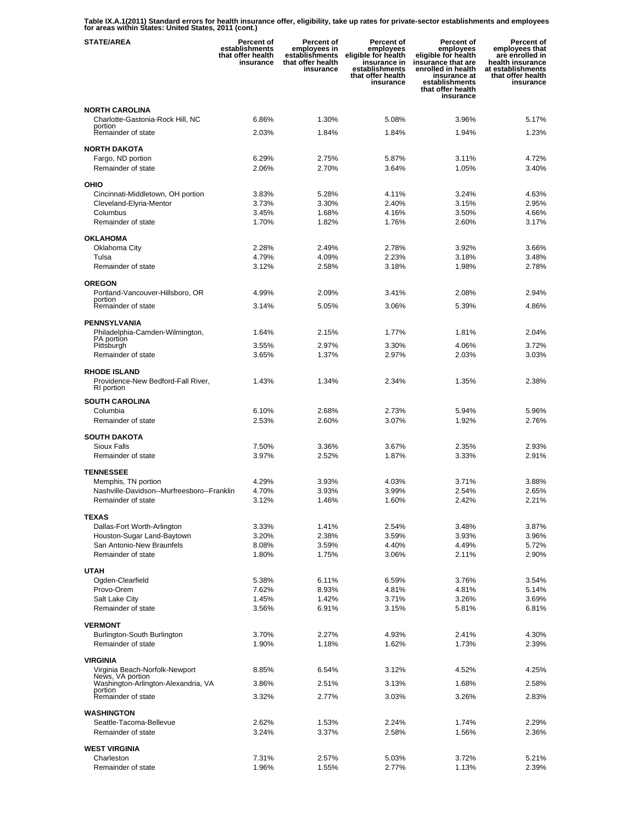**Table IX.A.1(2011) Standard errors for health insurance offer, eligibility, take up rates for private-sector establishments and employees for areas within States: United States, 2011 (cont.)** 

| <b>STATE/AREA</b>                                                                         | <b>Percent of</b><br>establishments<br>that offer health<br>insurance | Percent of<br>employees in<br>establishments<br>that offer health<br>insurance | Percent of<br>employees<br>eligible for health<br>insurance in<br>establishments<br>that offer health<br>insurance | <b>Percent of</b><br>employees<br>eligible for health<br>insurance that are<br>enrolled in health<br>insurance at<br>establishments<br>that offer health<br>insurance | Percent of<br>employees that<br>are enrolled in<br>health insurance<br>at establishments<br>that offer health<br>insurance |
|-------------------------------------------------------------------------------------------|-----------------------------------------------------------------------|--------------------------------------------------------------------------------|--------------------------------------------------------------------------------------------------------------------|-----------------------------------------------------------------------------------------------------------------------------------------------------------------------|----------------------------------------------------------------------------------------------------------------------------|
| <b>NORTH CAROLINA</b>                                                                     |                                                                       |                                                                                |                                                                                                                    |                                                                                                                                                                       |                                                                                                                            |
| Charlotte-Gastonia-Rock Hill, NC<br>portion                                               | 6.86%                                                                 | 1.30%                                                                          | 5.08%                                                                                                              | 3.96%                                                                                                                                                                 | 5.17%                                                                                                                      |
| Remainder of state                                                                        | 2.03%                                                                 | 1.84%                                                                          | 1.84%                                                                                                              | 1.94%                                                                                                                                                                 | 1.23%                                                                                                                      |
| <b>NORTH DAKOTA</b>                                                                       |                                                                       |                                                                                |                                                                                                                    |                                                                                                                                                                       |                                                                                                                            |
| Fargo, ND portion                                                                         | 6.29%                                                                 | 2.75%                                                                          | 5.87%                                                                                                              | 3.11%                                                                                                                                                                 | 4.72%                                                                                                                      |
| Remainder of state                                                                        | 2.06%                                                                 | 2.70%                                                                          | 3.64%                                                                                                              | 1.05%                                                                                                                                                                 | 3.40%                                                                                                                      |
| OHIO                                                                                      |                                                                       |                                                                                |                                                                                                                    |                                                                                                                                                                       |                                                                                                                            |
| Cincinnati-Middletown, OH portion                                                         | 3.83%                                                                 | 5.28%                                                                          | 4.11%                                                                                                              | 3.24%                                                                                                                                                                 | 4.63%                                                                                                                      |
| Cleveland-Elyria-Mentor<br>Columbus                                                       | 3.73%<br>3.45%                                                        | 3.30%<br>1.68%                                                                 | 2.40%<br>4.16%                                                                                                     | 3.15%<br>3.50%                                                                                                                                                        | 2.95%<br>4.66%                                                                                                             |
| Remainder of state                                                                        | 1.70%                                                                 | 1.82%                                                                          | 1.76%                                                                                                              | 2.60%                                                                                                                                                                 | 3.17%                                                                                                                      |
| <b>OKLAHOMA</b>                                                                           |                                                                       |                                                                                |                                                                                                                    |                                                                                                                                                                       |                                                                                                                            |
| Oklahoma City                                                                             | 2.28%                                                                 | 2.49%                                                                          | 2.78%                                                                                                              | 3.92%                                                                                                                                                                 | 3.66%                                                                                                                      |
| Tulsa                                                                                     | 4.79%                                                                 | 4.09%                                                                          | 2.23%                                                                                                              | 3.18%                                                                                                                                                                 | 3.48%                                                                                                                      |
| Remainder of state                                                                        | 3.12%                                                                 | 2.58%                                                                          | 3.18%                                                                                                              | 1.98%                                                                                                                                                                 | 2.78%                                                                                                                      |
| <b>OREGON</b>                                                                             |                                                                       |                                                                                |                                                                                                                    |                                                                                                                                                                       |                                                                                                                            |
| Portland-Vancouver-Hillsboro, OR<br>portion                                               | 4.99%                                                                 | 2.09%                                                                          | 3.41%                                                                                                              | 2.08%                                                                                                                                                                 | 2.94%                                                                                                                      |
| Remainder of state                                                                        | 3.14%                                                                 | 5.05%                                                                          | 3.06%                                                                                                              | 5.39%                                                                                                                                                                 | 4.86%                                                                                                                      |
| <b>PENNSYLVANIA</b>                                                                       |                                                                       |                                                                                |                                                                                                                    |                                                                                                                                                                       |                                                                                                                            |
| Philadelphia-Camden-Wilmington,                                                           | 1.64%                                                                 | 2.15%                                                                          | 1.77%                                                                                                              | 1.81%                                                                                                                                                                 | 2.04%                                                                                                                      |
| PA portion<br>Pittsburgh                                                                  | 3.55%                                                                 | 2.97%                                                                          | 3.30%                                                                                                              | 4.06%                                                                                                                                                                 | 3.72%                                                                                                                      |
| Remainder of state                                                                        | 3.65%                                                                 | 1.37%                                                                          | 2.97%                                                                                                              | 2.03%                                                                                                                                                                 | 3.03%                                                                                                                      |
| <b>RHODE ISLAND</b>                                                                       |                                                                       |                                                                                |                                                                                                                    |                                                                                                                                                                       |                                                                                                                            |
| Providence-New Bedford-Fall River,                                                        | 1.43%                                                                 | 1.34%                                                                          | 2.34%                                                                                                              | 1.35%                                                                                                                                                                 | 2.38%                                                                                                                      |
| RI portion                                                                                |                                                                       |                                                                                |                                                                                                                    |                                                                                                                                                                       |                                                                                                                            |
| <b>SOUTH CAROLINA</b><br>Columbia                                                         | 6.10%                                                                 | 2.68%                                                                          | 2.73%                                                                                                              | 5.94%                                                                                                                                                                 | 5.96%                                                                                                                      |
| Remainder of state                                                                        | 2.53%                                                                 | 2.60%                                                                          | 3.07%                                                                                                              | 1.92%                                                                                                                                                                 | 2.76%                                                                                                                      |
| <b>SOUTH DAKOTA</b>                                                                       |                                                                       |                                                                                |                                                                                                                    |                                                                                                                                                                       |                                                                                                                            |
| Sioux Falls                                                                               | 7.50%                                                                 | 3.36%                                                                          | 3.67%                                                                                                              | 2.35%                                                                                                                                                                 | 2.93%                                                                                                                      |
| Remainder of state                                                                        | 3.97%                                                                 | 2.52%                                                                          | 1.87%                                                                                                              | 3.33%                                                                                                                                                                 | 2.91%                                                                                                                      |
| <b>TENNESSEE</b>                                                                          |                                                                       |                                                                                |                                                                                                                    |                                                                                                                                                                       |                                                                                                                            |
| Memphis, TN portion                                                                       | 4.29%                                                                 | 3.93%                                                                          | 4.03%                                                                                                              | 3.71%                                                                                                                                                                 | 3.88%                                                                                                                      |
| Nashville-Davidson--Murfreesboro--Franklin                                                | 4.70%                                                                 | 3.93%                                                                          | 3.99%                                                                                                              | 2.54%                                                                                                                                                                 | 2.65%                                                                                                                      |
| Remainder of state                                                                        | 3.12%                                                                 | 1.46%                                                                          | 1.60%                                                                                                              | 2.42%                                                                                                                                                                 | 2.21%                                                                                                                      |
| <b>TEXAS</b>                                                                              |                                                                       |                                                                                |                                                                                                                    |                                                                                                                                                                       |                                                                                                                            |
| Dallas-Fort Worth-Arlington<br>Houston-Sugar Land-Baytown                                 | 3.33%<br>3.20%                                                        | 1.41%<br>2.38%                                                                 | 2.54%<br>3.59%                                                                                                     | 3.48%<br>3.93%                                                                                                                                                        | 3.87%<br>3.96%                                                                                                             |
| San Antonio-New Braunfels                                                                 | 8.08%                                                                 | 3.59%                                                                          | 4.40%                                                                                                              | 4.49%                                                                                                                                                                 | 5.72%                                                                                                                      |
| Remainder of state                                                                        | 1.80%                                                                 | 1.75%                                                                          | 3.06%                                                                                                              | 2.11%                                                                                                                                                                 | 2.90%                                                                                                                      |
| <b>UTAH</b>                                                                               |                                                                       |                                                                                |                                                                                                                    |                                                                                                                                                                       |                                                                                                                            |
| Ogden-Clearfield                                                                          | 5.38%                                                                 | 6.11%                                                                          | 6.59%                                                                                                              | 3.76%                                                                                                                                                                 | 3.54%                                                                                                                      |
| Provo-Orem                                                                                | 7.62%                                                                 | 8.93%                                                                          | 4.81%                                                                                                              | 4.81%                                                                                                                                                                 | 5.14%                                                                                                                      |
| Salt Lake City<br>Remainder of state                                                      | 1.45%<br>3.56%                                                        | 1.42%<br>6.91%                                                                 | 3.71%<br>3.15%                                                                                                     | 3.26%<br>5.81%                                                                                                                                                        | 3.69%<br>6.81%                                                                                                             |
|                                                                                           |                                                                       |                                                                                |                                                                                                                    |                                                                                                                                                                       |                                                                                                                            |
| <b>VERMONT</b><br>Burlington-South Burlington                                             | 3.70%                                                                 | 2.27%                                                                          | 4.93%                                                                                                              | 2.41%                                                                                                                                                                 | 4.30%                                                                                                                      |
| Remainder of state                                                                        | 1.90%                                                                 | 1.18%                                                                          | 1.62%                                                                                                              | 1.73%                                                                                                                                                                 | 2.39%                                                                                                                      |
|                                                                                           |                                                                       |                                                                                |                                                                                                                    |                                                                                                                                                                       |                                                                                                                            |
| VIRGINIA                                                                                  | 8.85%                                                                 | 6.54%                                                                          | 3.12%                                                                                                              | 4.52%                                                                                                                                                                 | 4.25%                                                                                                                      |
| Virginia Beach-Norfolk-Newport<br>News, VA portion<br>Washington-Arlington-Alexandria, VA | 3.86%                                                                 | 2.51%                                                                          | 3.13%                                                                                                              | 1.68%                                                                                                                                                                 | 2.58%                                                                                                                      |
| portion<br>Remainder of state                                                             | 3.32%                                                                 | 2.77%                                                                          | 3.03%                                                                                                              | 3.26%                                                                                                                                                                 | 2.83%                                                                                                                      |
|                                                                                           |                                                                       |                                                                                |                                                                                                                    |                                                                                                                                                                       |                                                                                                                            |
| <b>WASHINGTON</b>                                                                         |                                                                       |                                                                                |                                                                                                                    |                                                                                                                                                                       |                                                                                                                            |
| Seattle-Tacoma-Bellevue<br>Remainder of state                                             | 2.62%<br>3.24%                                                        | 1.53%<br>3.37%                                                                 | 2.24%<br>2.58%                                                                                                     | 1.74%<br>1.56%                                                                                                                                                        | 2.29%<br>2.36%                                                                                                             |
|                                                                                           |                                                                       |                                                                                |                                                                                                                    |                                                                                                                                                                       |                                                                                                                            |
| <b>WEST VIRGINIA</b><br>Charleston                                                        | 7.31%                                                                 | 2.57%                                                                          | 5.03%                                                                                                              | 3.72%                                                                                                                                                                 | 5.21%                                                                                                                      |
| Remainder of state                                                                        | 1.96%                                                                 | 1.55%                                                                          | 2.77%                                                                                                              | 1.13%                                                                                                                                                                 | 2.39%                                                                                                                      |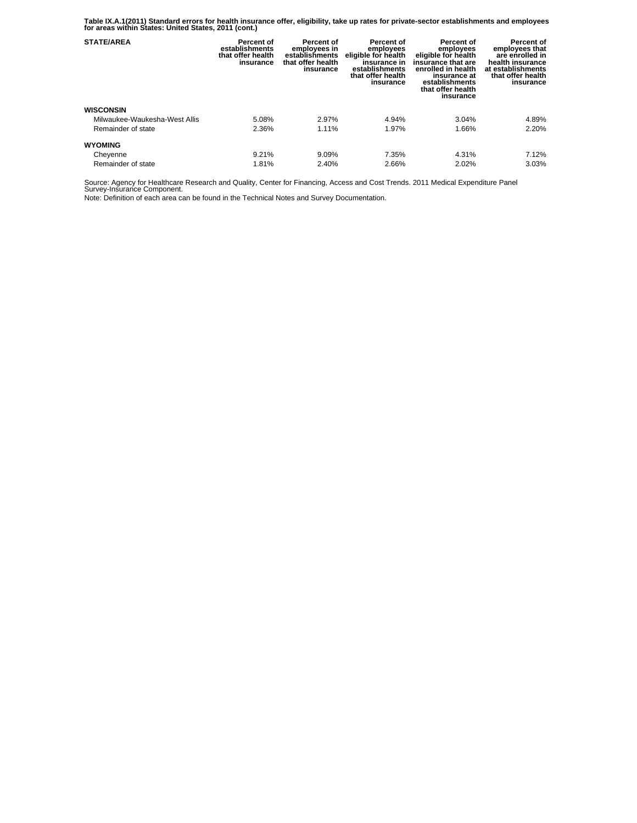**Table IX.A.1(2011) Standard errors for health insurance offer, eligibility, take up rates for private-sector establishments and employees for areas within States: United States, 2011 (cont.)** 

| <b>STATE/AREA</b>             | Percent of<br>establishments<br>that offer health<br>insurance | <b>Percent of</b><br>employees in<br>establishments<br>that offer health<br>insurance | Percent of<br>employees<br>eligible for health<br>insurance in<br>establishments<br>that offer health<br>insurance | Percent of<br>employees<br>eligible for health<br>insurance that are<br>enrolled in health<br>insurance at<br>establishments<br>that offer health<br>insurance | Percent of<br>employees that<br>are enrolled in<br>health insurance<br>at establishments<br>that offer health<br>insurance |
|-------------------------------|----------------------------------------------------------------|---------------------------------------------------------------------------------------|--------------------------------------------------------------------------------------------------------------------|----------------------------------------------------------------------------------------------------------------------------------------------------------------|----------------------------------------------------------------------------------------------------------------------------|
| <b>WISCONSIN</b>              |                                                                |                                                                                       |                                                                                                                    |                                                                                                                                                                |                                                                                                                            |
| Milwaukee-Waukesha-West Allis | 5.08%                                                          | 2.97%                                                                                 | 4.94%                                                                                                              | 3.04%                                                                                                                                                          | 4.89%                                                                                                                      |
| Remainder of state            | 2.36%                                                          | 1.11%                                                                                 | 1.97%                                                                                                              | 1.66%                                                                                                                                                          | 2.20%                                                                                                                      |
| <b>WYOMING</b>                |                                                                |                                                                                       |                                                                                                                    |                                                                                                                                                                |                                                                                                                            |
| Cheyenne                      | 9.21%                                                          | 9.09%                                                                                 | 7.35%                                                                                                              | 4.31%                                                                                                                                                          | 7.12%                                                                                                                      |
| Remainder of state            | 1.81%                                                          | 2.40%                                                                                 | 2.66%                                                                                                              | 2.02%                                                                                                                                                          | 3.03%                                                                                                                      |

Source: Agency for Healthcare Research and Quality, Center for Financing, Access and Cost Trends. 2011 Medical Expenditure Panel Survey-Insurance Component.

Note: Definition of each area can be found in the Technical Notes and Survey Documentation.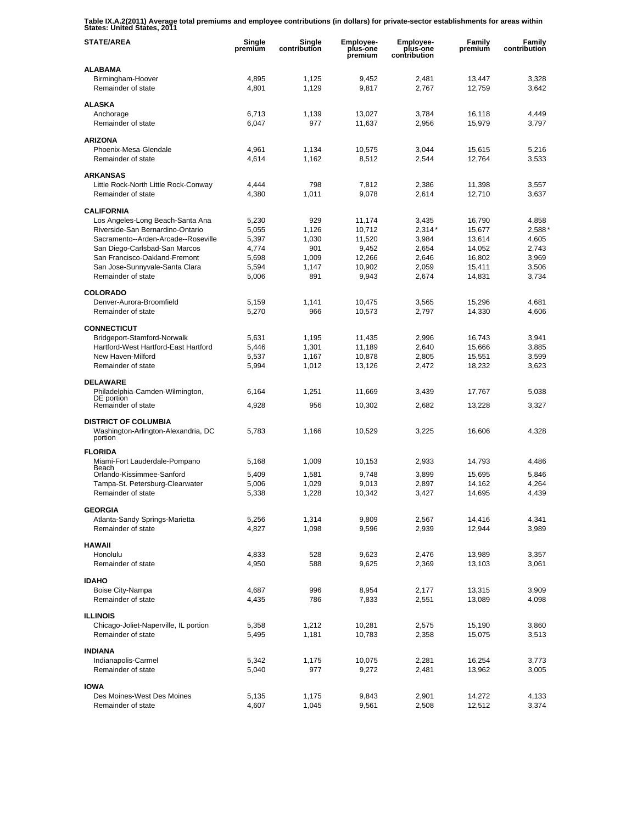**Table IX.A.2(2011) Average total premiums and employee contributions (in dollars) for private-sector establishments for areas within States: United States, 2011** 

| <b>STATE/AREA</b>                                    | Single<br>premium | Single<br>contribution | Employee-<br>plus-one<br>premium | Employee-<br>plus-one<br>contribution | Family<br>premium | Family<br>contribution |
|------------------------------------------------------|-------------------|------------------------|----------------------------------|---------------------------------------|-------------------|------------------------|
| <b>ALABAMA</b>                                       |                   |                        |                                  |                                       |                   |                        |
| Birmingham-Hoover<br>Remainder of state              | 4,895<br>4,801    | 1,125<br>1,129         | 9,452<br>9,817                   | 2,481<br>2,767                        | 13,447<br>12,759  | 3,328<br>3,642         |
| <b>ALASKA</b>                                        |                   |                        |                                  |                                       |                   |                        |
| Anchorage                                            | 6,713             | 1,139                  | 13,027                           | 3,784                                 | 16,118            | 4,449                  |
| Remainder of state                                   | 6,047             | 977                    | 11,637                           | 2,956                                 | 15,979            | 3,797                  |
| <b>ARIZONA</b>                                       |                   |                        |                                  |                                       |                   |                        |
| Phoenix-Mesa-Glendale                                | 4,961             | 1,134                  | 10,575                           | 3,044                                 | 15,615            | 5,216                  |
| Remainder of state                                   | 4,614             | 1,162                  | 8,512                            | 2,544                                 | 12,764            | 3,533                  |
| <b>ARKANSAS</b>                                      |                   |                        |                                  |                                       |                   |                        |
| Little Rock-North Little Rock-Conway                 | 4,444             | 798                    | 7,812                            | 2,386                                 | 11,398            | 3,557                  |
| Remainder of state                                   | 4,380             | 1,011                  | 9,078                            | 2,614                                 | 12,710            | 3,637                  |
| <b>CALIFORNIA</b>                                    |                   |                        |                                  |                                       |                   |                        |
| Los Angeles-Long Beach-Santa Ana                     | 5,230             | 929                    | 11,174                           | 3,435                                 | 16,790            | 4,858                  |
| Riverside-San Bernardino-Ontario                     | 5,055             | 1,126                  | 10,712                           | $2,314*$                              | 15,677            | 2,588'                 |
| Sacramento--Arden-Arcade--Roseville                  | 5,397             | 1,030                  | 11,520                           | 3,984                                 | 13.614            | 4,605                  |
| San Diego-Carlsbad-San Marcos                        | 4,774             | 901                    | 9,452                            | 2,654                                 | 14,052            | 2,743                  |
| San Francisco-Oakland-Fremont                        | 5,698             | 1,009                  | 12,266                           | 2,646                                 | 16,802            | 3,969                  |
| San Jose-Sunnyvale-Santa Clara<br>Remainder of state | 5,594<br>5,006    | 1,147<br>891           | 10,902<br>9,943                  | 2,059<br>2,674                        | 15,411<br>14,831  | 3,506<br>3,734         |
|                                                      |                   |                        |                                  |                                       |                   |                        |
| <b>COLORADO</b>                                      |                   |                        |                                  |                                       |                   |                        |
| Denver-Aurora-Broomfield                             | 5,159             | 1,141                  | 10,475                           | 3,565                                 | 15,296            | 4,681                  |
| Remainder of state                                   | 5,270             | 966                    | 10,573                           | 2,797                                 | 14,330            | 4,606                  |
| <b>CONNECTICUT</b>                                   |                   |                        |                                  |                                       |                   |                        |
| Bridgeport-Stamford-Norwalk                          | 5,631             | 1,195                  | 11,435                           | 2,996                                 | 16,743            | 3,941                  |
| Hartford-West Hartford-East Hartford                 | 5,446             | 1,301                  | 11,189                           | 2,640                                 | 15,666            | 3,885                  |
| New Haven-Milford<br>Remainder of state              | 5,537<br>5,994    | 1,167<br>1,012         | 10,878<br>13,126                 | 2,805<br>2,472                        | 15,551<br>18,232  | 3,599<br>3,623         |
|                                                      |                   |                        |                                  |                                       |                   |                        |
| <b>DELAWARE</b>                                      |                   |                        |                                  |                                       |                   |                        |
| Philadelphia-Camden-Wilmington,<br>DE portion        | 6,164             | 1,251                  | 11,669                           | 3,439                                 | 17,767            | 5,038                  |
| Remainder of state                                   | 4,928             | 956                    | 10,302                           | 2,682                                 | 13,228            | 3,327                  |
| <b>DISTRICT OF COLUMBIA</b>                          |                   |                        |                                  |                                       |                   |                        |
| Washington-Arlington-Alexandria, DC                  | 5,783             | 1,166                  | 10,529                           | 3,225                                 | 16,606            | 4,328                  |
| portion                                              |                   |                        |                                  |                                       |                   |                        |
| <b>FLORIDA</b>                                       |                   |                        |                                  |                                       |                   |                        |
| Miami-Fort Lauderdale-Pompano<br>Beach               | 5,168             | 1,009                  | 10,153                           | 2,933                                 | 14,793            | 4,486                  |
| Orlando-Kissimmee-Sanford                            | 5,409             | 1,581                  | 9,748                            | 3,899                                 | 15,695            | 5,846                  |
| Tampa-St. Petersburg-Clearwater                      | 5,006             | 1,029                  | 9,013                            | 2,897                                 | 14,162            | 4,264                  |
| Remainder of state                                   | 5,338             | 1,228                  | 10,342                           | 3,427                                 | 14,695            | 4,439                  |
| <b>GEORGIA</b>                                       |                   |                        |                                  |                                       |                   |                        |
| Atlanta-Sandy Springs-Marietta                       | 5,256             | 1,314                  | 9,809                            | 2,567                                 | 14,416            | 4,341                  |
| Remainder of state                                   | 4,827             | 1,098                  | 9,596                            | 2,939                                 | 12,944            | 3,989                  |
| <b>HAWAII</b>                                        |                   |                        |                                  |                                       |                   |                        |
| Honolulu                                             | 4,833             | 528                    | 9,623                            | 2,476                                 | 13,989            | 3,357                  |
| Remainder of state                                   | 4,950             | 588                    | 9,625                            | 2,369                                 | 13,103            | 3,061                  |
| <b>IDAHO</b>                                         |                   |                        |                                  |                                       |                   |                        |
| Boise City-Nampa                                     | 4,687             | 996                    | 8,954                            | 2,177                                 | 13,315            | 3,909                  |
| Remainder of state                                   | 4,435             | 786                    | 7,833                            | 2,551                                 | 13,089            | 4,098                  |
| <b>ILLINOIS</b>                                      |                   |                        |                                  |                                       |                   |                        |
| Chicago-Joliet-Naperville, IL portion                | 5,358             | 1,212                  | 10,281                           | 2,575                                 | 15,190            | 3,860                  |
| Remainder of state                                   | 5,495             | 1,181                  | 10,783                           | 2,358                                 | 15,075            | 3,513                  |
|                                                      |                   |                        |                                  |                                       |                   |                        |
| <b>INDIANA</b><br>Indianapolis-Carmel                | 5,342             |                        | 10,075                           | 2,281                                 | 16,254            | 3,773                  |
| Remainder of state                                   | 5,040             | 1,175<br>977           | 9,272                            | 2,481                                 | 13,962            | 3,005                  |
|                                                      |                   |                        |                                  |                                       |                   |                        |
| <b>IOWA</b>                                          |                   |                        |                                  |                                       |                   |                        |
| Des Moines-West Des Moines<br>Remainder of state     | 5,135<br>4,607    | 1,175<br>1,045         | 9,843<br>9,561                   | 2,901<br>2,508                        | 14,272<br>12,512  | 4,133<br>3,374         |
|                                                      |                   |                        |                                  |                                       |                   |                        |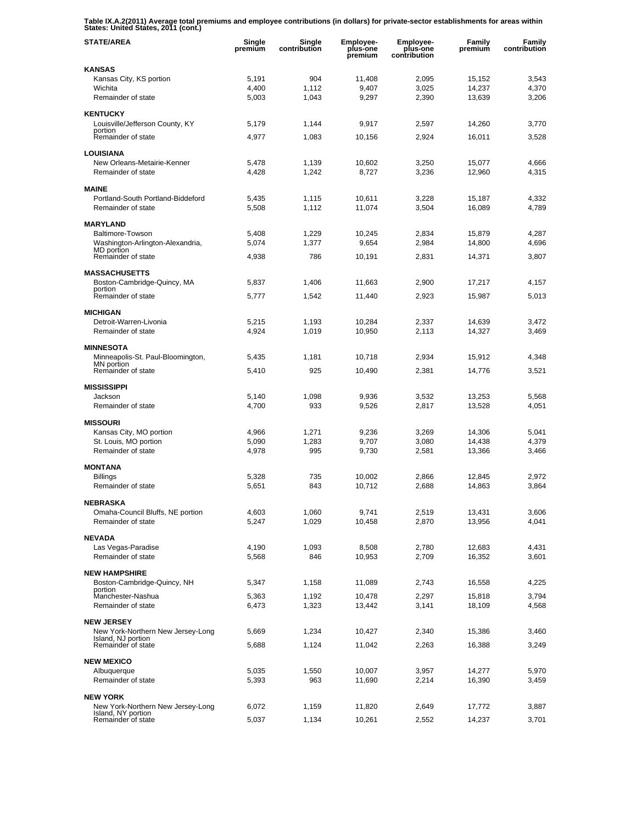**Table IX.A.2(2011) Average total premiums and employee contributions (in dollars) for private-sector establishments for areas within States: United States, 2011 (cont.)** 

| <b>STATE/AREA</b>                                       | Single<br>premium | Single<br>contribution | Employee-<br>plus-one<br>premium | <b>Employee-</b><br>plus-one<br>contribution | Family<br>premium | Family<br>contribution |
|---------------------------------------------------------|-------------------|------------------------|----------------------------------|----------------------------------------------|-------------------|------------------------|
| <b>KANSAS</b>                                           |                   |                        |                                  |                                              |                   |                        |
| Kansas City, KS portion                                 | 5,191             | 904                    | 11,408                           | 2,095                                        | 15,152            | 3,543                  |
| Wichita                                                 | 4,400             | 1,112                  | 9,407                            | 3,025                                        | 14,237            | 4,370                  |
| Remainder of state                                      | 5,003             | 1.043                  | 9,297                            | 2,390                                        | 13,639            | 3,206                  |
| <b>KENTUCKY</b>                                         |                   |                        |                                  |                                              |                   |                        |
| Louisville/Jefferson County, KY                         | 5,179             | 1,144                  | 9,917                            | 2,597                                        | 14,260            | 3,770                  |
| portion<br>Remainder of state                           | 4,977             | 1,083                  | 10,156                           | 2,924                                        | 16,011            | 3,528                  |
|                                                         |                   |                        |                                  |                                              |                   |                        |
| <b>LOUISIANA</b>                                        |                   |                        |                                  |                                              |                   |                        |
| New Orleans-Metairie-Kenner<br>Remainder of state       | 5,478<br>4,428    | 1,139<br>1,242         | 10,602<br>8,727                  | 3,250                                        | 15,077            | 4,666                  |
|                                                         |                   |                        |                                  | 3,236                                        | 12,960            | 4,315                  |
| <b>MAINE</b>                                            |                   |                        |                                  |                                              |                   |                        |
| Portland-South Portland-Biddeford                       | 5,435             | 1,115                  | 10,611                           | 3,228                                        | 15,187            | 4,332                  |
| Remainder of state                                      | 5,508             | 1,112                  | 11,074                           | 3,504                                        | 16,089            | 4,789                  |
| <b>MARYLAND</b>                                         |                   |                        |                                  |                                              |                   |                        |
| Baltimore-Towson                                        | 5,408             | 1,229                  | 10,245                           | 2,834                                        | 15,879            | 4,287                  |
| Washington-Arlington-Alexandria,                        | 5,074             | 1,377                  | 9,654                            | 2,984                                        | 14,800            | 4,696                  |
| MD portion<br>Remainder of state                        | 4,938             | 786                    | 10,191                           | 2,831                                        | 14,371            | 3,807                  |
|                                                         |                   |                        |                                  |                                              |                   |                        |
| <b>MASSACHUSETTS</b>                                    |                   |                        |                                  |                                              |                   |                        |
| Boston-Cambridge-Quincy, MA<br>portion                  | 5,837             | 1,406                  | 11,663                           | 2,900                                        | 17,217            | 4.157                  |
| Remainder of state                                      | 5,777             | 1,542                  | 11,440                           | 2,923                                        | 15,987            | 5,013                  |
| <b>MICHIGAN</b>                                         |                   |                        |                                  |                                              |                   |                        |
| Detroit-Warren-Livonia                                  | 5,215             | 1,193                  | 10,284                           | 2,337                                        | 14,639            | 3.472                  |
| Remainder of state                                      | 4,924             | 1,019                  | 10,950                           | 2,113                                        | 14,327            | 3,469                  |
|                                                         |                   |                        |                                  |                                              |                   |                        |
| <b>MINNESOTA</b>                                        |                   |                        |                                  |                                              |                   |                        |
| Minneapolis-St. Paul-Bloomington,<br>MN portion         | 5,435             | 1,181                  | 10,718                           | 2,934                                        | 15,912            | 4,348                  |
| Remainder of state                                      | 5,410             | 925                    | 10,490                           | 2,381                                        | 14,776            | 3,521                  |
| <b>MISSISSIPPI</b>                                      |                   |                        |                                  |                                              |                   |                        |
| Jackson                                                 | 5,140             | 1,098                  | 9,936                            | 3,532                                        | 13,253            | 5,568                  |
| Remainder of state                                      | 4,700             | 933                    | 9,526                            | 2,817                                        | 13,528            | 4,051                  |
|                                                         |                   |                        |                                  |                                              |                   |                        |
| <b>MISSOURI</b><br>Kansas City, MO portion              | 4,966             | 1,271                  | 9,236                            | 3,269                                        | 14,306            | 5,041                  |
| St. Louis, MO portion                                   | 5,090             | 1,283                  | 9,707                            | 3,080                                        | 14,438            | 4,379                  |
| Remainder of state                                      | 4,978             | 995                    | 9,730                            | 2,581                                        | 13,366            | 3,466                  |
|                                                         |                   |                        |                                  |                                              |                   |                        |
| <b>MONTANA</b>                                          |                   |                        |                                  |                                              |                   |                        |
| <b>Billings</b><br>Remainder of state                   | 5,328<br>5,651    | 735<br>843             | 10,002<br>10,712                 | 2.866<br>2,688                               | 12,845<br>14,863  | 2,972<br>3,864         |
|                                                         |                   |                        |                                  |                                              |                   |                        |
| <b>NEBRASKA</b>                                         |                   |                        |                                  |                                              |                   |                        |
| Omaha-Council Bluffs, NE portion                        | 4,603             | 1,060                  | 9,741                            | 2,519                                        | 13,431            | 3,606                  |
| Remainder of state                                      | 5,247             | 1,029                  | 10,458                           | 2,870                                        | 13,956            | 4,041                  |
| <b>NEVADA</b>                                           |                   |                        |                                  |                                              |                   |                        |
| Las Vegas-Paradise                                      | 4,190             | 1,093                  | 8,508                            | 2,780                                        | 12,683            | 4,431                  |
| Remainder of state                                      | 5,568             | 846                    | 10,953                           | 2,709                                        | 16,352            | 3,601                  |
|                                                         |                   |                        |                                  |                                              |                   |                        |
| <b>NEW HAMPSHIRE</b><br>Boston-Cambridge-Quincy, NH     | 5,347             | 1,158                  | 11,089                           | 2,743                                        | 16,558            | 4,225                  |
| portion                                                 |                   |                        |                                  |                                              |                   |                        |
| Manchester-Nashua<br>Remainder of state                 | 5,363             | 1,192                  | 10,478                           | 2.297                                        | 15,818<br>18,109  | 3,794                  |
|                                                         | 6,473             | 1,323                  | 13,442                           | 3,141                                        |                   | 4,568                  |
| <b>NEW JERSEY</b>                                       |                   |                        |                                  |                                              |                   |                        |
| New York-Northern New Jersey-Long                       | 5,669             | 1,234                  | 10,427                           | 2,340                                        | 15,386            | 3,460                  |
| Island, NJ portion<br>Remainder of state                | 5,688             | 1,124                  | 11,042                           | 2,263                                        | 16,388            | 3,249                  |
|                                                         |                   |                        |                                  |                                              |                   |                        |
| <b>NEW MEXICO</b>                                       |                   |                        |                                  |                                              |                   |                        |
| Albuquerque<br>Remainder of state                       | 5,035<br>5,393    | 1,550<br>963           | 10,007<br>11,690                 | 3,957<br>2,214                               | 14,277<br>16,390  | 5,970<br>3,459         |
|                                                         |                   |                        |                                  |                                              |                   |                        |
| <b>NEW YORK</b>                                         |                   |                        |                                  |                                              |                   |                        |
| New York-Northern New Jersey-Long<br>Island, NY portion | 6,072             | 1,159                  | 11,820                           | 2,649                                        | 17,772            | 3,887                  |
| Remainder of state                                      | 5,037             | 1,134                  | 10,261                           | 2,552                                        | 14,237            | 3,701                  |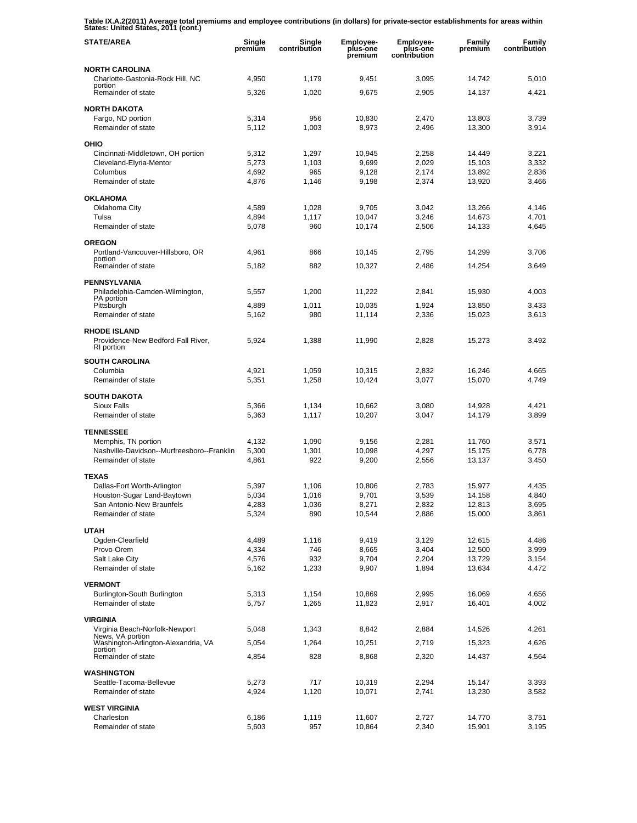**Table IX.A.2(2011) Average total premiums and employee contributions (in dollars) for private-sector establishments for areas within States: United States, 2011 (cont.)** 

| <b>STATE/AREA</b>                                                       | Single<br>premium | Single<br>contribution | <b>Employee-</b><br>plus-one<br>premium | <b>Employee-</b><br>plus-one<br>contribution | Family<br>premium | Family<br>contribution |
|-------------------------------------------------------------------------|-------------------|------------------------|-----------------------------------------|----------------------------------------------|-------------------|------------------------|
| <b>NORTH CAROLINA</b>                                                   |                   |                        |                                         |                                              |                   |                        |
| Charlotte-Gastonia-Rock Hill, NC<br>portion                             | 4,950             | 1,179                  | 9,451                                   | 3,095                                        | 14,742            | 5,010                  |
| Remainder of state                                                      | 5,326             | 1,020                  | 9,675                                   | 2,905                                        | 14,137            | 4,421                  |
| <b>NORTH DAKOTA</b>                                                     |                   |                        |                                         |                                              |                   |                        |
| Fargo, ND portion                                                       | 5,314             | 956                    | 10,830                                  | 2,470                                        | 13,803            | 3,739                  |
| Remainder of state                                                      | 5,112             | 1,003                  | 8,973                                   | 2,496                                        | 13,300            | 3,914                  |
| OHIO                                                                    |                   |                        |                                         |                                              |                   |                        |
| Cincinnati-Middletown, OH portion                                       | 5,312             | 1,297                  | 10,945                                  | 2,258                                        | 14,449            | 3,221                  |
| Cleveland-Elyria-Mentor<br>Columbus                                     | 5,273<br>4,692    | 1,103<br>965           | 9,699<br>9,128                          | 2,029<br>2.174                               | 15,103<br>13,892  | 3,332<br>2,836         |
| Remainder of state                                                      | 4,876             | 1,146                  | 9,198                                   | 2,374                                        | 13,920            | 3,466                  |
| <b>OKLAHOMA</b>                                                         |                   |                        |                                         |                                              |                   |                        |
| Oklahoma City                                                           | 4,589             | 1,028                  | 9,705                                   | 3,042                                        | 13,266            | 4,146                  |
| Tulsa                                                                   | 4,894             | 1,117                  | 10,047                                  | 3,246                                        | 14,673            | 4,701                  |
| Remainder of state                                                      | 5,078             | 960                    | 10,174                                  | 2,506                                        | 14,133            | 4,645                  |
| <b>OREGON</b>                                                           |                   |                        |                                         |                                              |                   |                        |
| Portland-Vancouver-Hillsboro, OR                                        | 4,961             | 866                    | 10,145                                  | 2,795                                        | 14,299            | 3,706                  |
| portion<br>Remainder of state                                           | 5,182             | 882                    | 10,327                                  | 2,486                                        | 14,254            | 3,649                  |
| <b>PENNSYLVANIA</b>                                                     |                   |                        |                                         |                                              |                   |                        |
| Philadelphia-Camden-Wilmington,                                         | 5,557             | 1,200                  | 11,222                                  | 2,841                                        | 15,930            | 4,003                  |
| PA portion<br>Pittsburgh                                                | 4,889             | 1,011                  | 10,035                                  | 1,924                                        | 13,850            | 3,433                  |
| Remainder of state                                                      | 5,162             | 980                    | 11,114                                  | 2,336                                        | 15,023            | 3,613                  |
| <b>RHODE ISLAND</b><br>Providence-New Bedford-Fall River,<br>RI portion | 5,924             | 1,388                  | 11,990                                  | 2,828                                        | 15,273            | 3,492                  |
| <b>SOUTH CAROLINA</b>                                                   |                   |                        |                                         |                                              |                   |                        |
| Columbia                                                                | 4,921             | 1,059                  | 10,315                                  | 2,832                                        | 16,246            | 4,665                  |
| Remainder of state                                                      | 5,351             | 1,258                  | 10,424                                  | 3,077                                        | 15,070            | 4,749                  |
| <b>SOUTH DAKOTA</b>                                                     |                   |                        |                                         |                                              |                   |                        |
| Sioux Falls                                                             | 5,366             | 1,134                  | 10,662                                  | 3,080                                        | 14,928            | 4,421                  |
| Remainder of state                                                      | 5,363             | 1,117                  | 10,207                                  | 3,047                                        | 14,179            | 3,899                  |
| <b>TENNESSEE</b>                                                        |                   |                        |                                         |                                              |                   |                        |
| Memphis, TN portion                                                     | 4,132             | 1,090                  | 9,156                                   | 2,281                                        | 11,760            | 3,571                  |
| Nashville-Davidson--Murfreesboro--Franklin                              | 5,300             | 1,301                  | 10,098                                  | 4,297                                        | 15,175            | 6,778                  |
| Remainder of state                                                      | 4,861             | 922                    | 9,200                                   | 2,556                                        | 13,137            | 3,450                  |
| <b>TEXAS</b>                                                            |                   |                        |                                         |                                              |                   |                        |
| Dallas-Fort Worth-Arlington                                             | 5,397             | 1,106                  | 10,806                                  | 2,783                                        | 15,977            | 4,435                  |
| Houston-Sugar Land-Baytown<br>San Antonio-New Braunfels                 | 5,034<br>4,283    | 1,016<br>1,036         | 9,701<br>8,271                          | 3,539<br>2,832                               | 14,158<br>12,813  | 4,840<br>3,695         |
| Remainder of state                                                      | 5,324             | 890                    | 10,544                                  | 2,886                                        | 15,000            | 3,861                  |
| <b>UTAH</b>                                                             |                   |                        |                                         |                                              |                   |                        |
| Ogden-Clearfield                                                        | 4,489             | 1,116                  | 9,419                                   | 3,129                                        | 12,615            | 4,486                  |
| Provo-Orem                                                              | 4,334             | 746                    | 8,665                                   | 3,404                                        | 12,500            | 3,999                  |
| Salt Lake City                                                          | 4,576             | 932                    | 9,704                                   | 2,204                                        | 13,729            | 3,154                  |
| Remainder of state                                                      | 5,162             | 1,233                  | 9,907                                   | 1,894                                        | 13,634            | 4,472                  |
| <b>VERMONT</b>                                                          |                   |                        |                                         |                                              |                   |                        |
| Burlington-South Burlington<br>Remainder of state                       | 5,313             | 1,154                  | 10,869                                  | 2,995                                        | 16,069            | 4,656                  |
|                                                                         | 5,757             | 1,265                  | 11,823                                  | 2,917                                        | 16,401            | 4,002                  |
| <b>VIRGINIA</b>                                                         |                   |                        |                                         |                                              |                   |                        |
| Virginia Beach-Norfolk-Newport<br>News, VA portion                      | 5,048             | 1,343                  | 8,842                                   | 2,884                                        | 14,526            | 4,261                  |
| Washington-Arlington-Alexandria, VA<br>portion                          | 5,054             | 1,264                  | 10,251                                  | 2,719                                        | 15,323            | 4,626                  |
| Remainder of state                                                      | 4,854             | 828                    | 8,868                                   | 2,320                                        | 14,437            | 4,564                  |
| <b>WASHINGTON</b>                                                       |                   |                        |                                         |                                              |                   |                        |
| Seattle-Tacoma-Bellevue                                                 | 5,273             | 717                    | 10,319                                  | 2,294                                        | 15,147            | 3,393                  |
| Remainder of state                                                      | 4,924             | 1,120                  | 10,071                                  | 2,741                                        | 13,230            | 3,582                  |
| <b>WEST VIRGINIA</b>                                                    |                   |                        |                                         |                                              |                   |                        |
| Charleston                                                              | 6,186             | 1,119                  | 11,607                                  | 2,727                                        | 14,770            | 3,751                  |
| Remainder of state                                                      | 5,603             | 957                    | 10,864                                  | 2,340                                        | 15,901            | 3,195                  |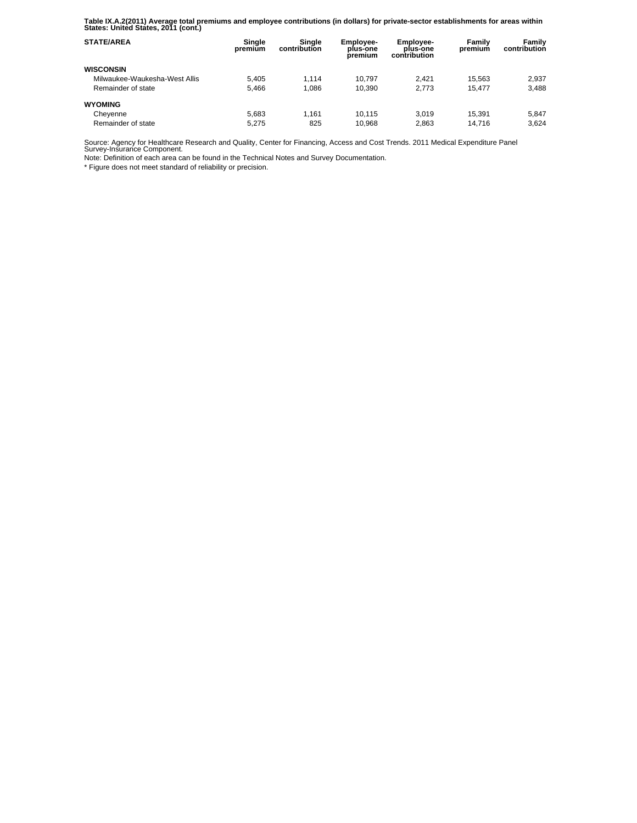**Table IX.A.2(2011) Average total premiums and employee contributions (in dollars) for private-sector establishments for areas within States: United States, 2011 (cont.)** 

| <b>STATE/AREA</b>             | Single<br>premium | Sinale<br>contribution | <b>Employee-</b><br>plus-one<br>premium | <b>Employee-</b><br>plus-one<br>contribution | Family<br>premium | Family<br>contribution |
|-------------------------------|-------------------|------------------------|-----------------------------------------|----------------------------------------------|-------------------|------------------------|
| <b>WISCONSIN</b>              |                   |                        |                                         |                                              |                   |                        |
| Milwaukee-Waukesha-West Allis | 5.405             | 1.114                  | 10.797                                  | 2.421                                        | 15.563            | 2,937                  |
| Remainder of state            | 5.466             | 1.086                  | 10.390                                  | 2.773                                        | 15.477            | 3.488                  |
| <b>WYOMING</b>                |                   |                        |                                         |                                              |                   |                        |
| Cheyenne                      | 5.683             | 1.161                  | 10.115                                  | 3.019                                        | 15.391            | 5.847                  |
| Remainder of state            | 5.275             | 825                    | 10.968                                  | 2,863                                        | 14.716            | 3.624                  |

Source: Agency for Healthcare Research and Quality, Center for Financing, Access and Cost Trends. 2011 Medical Expenditure Panel Survey-Insurance Component.

Note: Definition of each area can be found in the Technical Notes and Survey Documentation.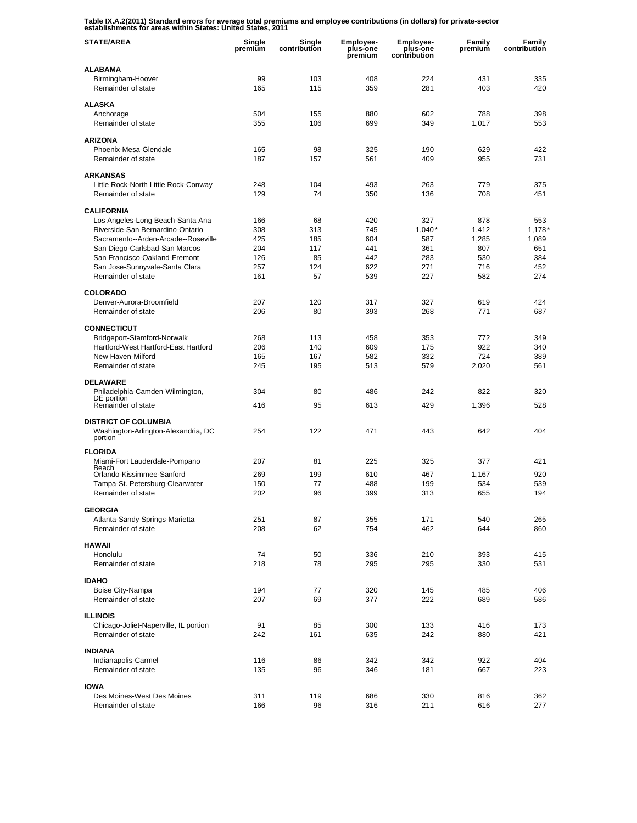**Table IX.A.2(2011) Standard errors for average total premiums and employee contributions (in dollars) for private-sector establishments for areas within States: United States, 2011** 

| <b>STATE/AREA</b>                                               | Single<br>premium | Single<br>contribution | Employee-<br>plus-one<br>premium | <b>Employee-</b><br>plus-one<br>contribution | Family<br>premium | Family<br>contribution |
|-----------------------------------------------------------------|-------------------|------------------------|----------------------------------|----------------------------------------------|-------------------|------------------------|
| <b>ALABAMA</b>                                                  |                   |                        |                                  |                                              |                   |                        |
| Birmingham-Hoover<br>Remainder of state                         | 99<br>165         | 103<br>115             | 408<br>359                       | 224<br>281                                   | 431<br>403        | 335<br>420             |
| <b>ALASKA</b>                                                   |                   |                        |                                  |                                              |                   |                        |
| Anchorage                                                       | 504               | 155                    | 880                              | 602                                          | 788               | 398                    |
| Remainder of state                                              | 355               | 106                    | 699                              | 349                                          | 1,017             | 553                    |
| <b>ARIZONA</b>                                                  |                   |                        |                                  |                                              |                   |                        |
| Phoenix-Mesa-Glendale                                           | 165               | 98                     | 325                              | 190                                          | 629               | 422                    |
| Remainder of state                                              | 187               | 157                    | 561                              | 409                                          | 955               | 731                    |
| <b>ARKANSAS</b>                                                 |                   |                        |                                  |                                              |                   |                        |
| Little Rock-North Little Rock-Conway<br>Remainder of state      | 248<br>129        | 104<br>74              | 493<br>350                       | 263<br>136                                   | 779<br>708        | 375<br>451             |
|                                                                 |                   |                        |                                  |                                              |                   |                        |
| <b>CALIFORNIA</b><br>Los Angeles-Long Beach-Santa Ana           | 166               | 68                     | 420                              | 327                                          | 878               | 553                    |
| Riverside-San Bernardino-Ontario                                | 308               | 313                    | 745                              | $1,040*$                                     | 1,412             | 1,178'                 |
| Sacramento--Arden-Arcade--Roseville                             | 425               | 185                    | 604                              | 587                                          | 1,285             | 1,089                  |
| San Diego-Carlsbad-San Marcos                                   | 204               | 117                    | 441                              | 361                                          | 807               | 651                    |
| San Francisco-Oakland-Fremont<br>San Jose-Sunnyvale-Santa Clara | 126<br>257        | 85<br>124              | 442<br>622                       | 283<br>271                                   | 530<br>716        | 384<br>452             |
| Remainder of state                                              | 161               | 57                     | 539                              | 227                                          | 582               | 274                    |
|                                                                 |                   |                        |                                  |                                              |                   |                        |
| <b>COLORADO</b><br>Denver-Aurora-Broomfield                     | 207               | 120                    | 317                              | 327                                          | 619               | 424                    |
| Remainder of state                                              | 206               | 80                     | 393                              | 268                                          | 771               | 687                    |
| <b>CONNECTICUT</b>                                              |                   |                        |                                  |                                              |                   |                        |
| Bridgeport-Stamford-Norwalk                                     | 268               | 113                    | 458                              | 353                                          | 772               | 349                    |
| Hartford-West Hartford-East Hartford                            | 206               | 140                    | 609                              | 175                                          | 922               | 340                    |
| New Haven-Milford                                               | 165               | 167                    | 582                              | 332                                          | 724               | 389                    |
| Remainder of state                                              | 245               | 195                    | 513                              | 579                                          | 2,020             | 561                    |
| <b>DELAWARE</b>                                                 |                   |                        |                                  |                                              |                   |                        |
| Philadelphia-Camden-Wilmington,<br>DE portion                   | 304               | 80                     | 486                              | 242                                          | 822               | 320                    |
| Remainder of state                                              | 416               | 95                     | 613                              | 429                                          | 1,396             | 528                    |
| <b>DISTRICT OF COLUMBIA</b>                                     |                   |                        |                                  |                                              |                   |                        |
| Washington-Arlington-Alexandria, DC<br>portion                  | 254               | 122                    | 471                              | 443                                          | 642               | 404                    |
|                                                                 |                   |                        |                                  |                                              |                   |                        |
| <b>FLORIDA</b><br>Miami-Fort Lauderdale-Pompano                 | 207               | 81                     | 225                              | 325                                          | 377               | 421                    |
| Beach<br>Orlando-Kissimmee-Sanford                              | 269               | 199                    | 610                              | 467                                          | 1,167             | 920                    |
| Tampa-St. Petersburg-Clearwater                                 | 150               | 77                     | 488                              | 199                                          | 534               | 539                    |
| Remainder of state                                              | 202               | 96                     | 399                              | 313                                          | 655               | 194                    |
| <b>GEORGIA</b>                                                  |                   |                        |                                  |                                              |                   |                        |
| Atlanta-Sandy Springs-Marietta                                  | 251               | 87                     | 355                              | 171                                          | 540               | 265                    |
| Remainder of state                                              | 208               | 62                     | 754                              | 462                                          | 644               | 860                    |
| <b>HAWAII</b>                                                   |                   |                        |                                  |                                              |                   |                        |
| Honolulu                                                        | 74                | 50                     | 336                              | 210                                          | 393               | 415                    |
| Remainder of state                                              | 218               | 78                     | 295                              | 295                                          | 330               | 531                    |
| <b>IDAHO</b>                                                    |                   |                        |                                  |                                              |                   |                        |
| Boise City-Nampa                                                | 194               | 77                     | 320                              | 145                                          | 485               | 406                    |
| Remainder of state                                              | 207               | 69                     | 377                              | 222                                          | 689               | 586                    |
| <b>ILLINOIS</b>                                                 |                   |                        |                                  |                                              |                   |                        |
| Chicago-Joliet-Naperville, IL portion                           | 91                | 85                     | 300                              | 133                                          | 416               | 173                    |
| Remainder of state                                              | 242               | 161                    | 635                              | 242                                          | 880               | 421                    |
| <b>INDIANA</b>                                                  |                   |                        |                                  |                                              |                   |                        |
| Indianapolis-Carmel<br>Remainder of state                       | 116<br>135        | 86<br>96               | 342<br>346                       | 342<br>181                                   | 922<br>667        | 404<br>223             |
|                                                                 |                   |                        |                                  |                                              |                   |                        |
| <b>IOWA</b>                                                     |                   |                        |                                  |                                              |                   |                        |
| Des Moines-West Des Moines<br>Remainder of state                | 311<br>166        | 119<br>96              | 686<br>316                       | 330<br>211                                   | 816<br>616        | 362<br>277             |
|                                                                 |                   |                        |                                  |                                              |                   |                        |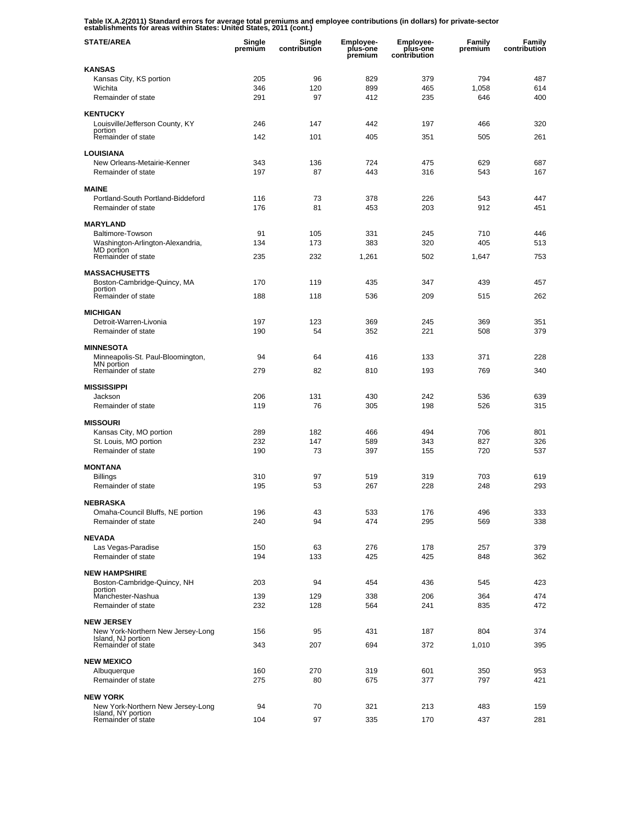**Table IX.A.2(2011) Standard errors for average total premiums and employee contributions (in dollars) for private-sector establishments for areas within States: United States, 2011 (cont.)** 

| <b>STATE/AREA</b>                                      | Single<br>premium | Single<br>contribution | <b>Employee-</b><br>plus-one<br>premium | Employee-<br>plus-one<br>contribution | Family<br>premium | Family<br>contribution |
|--------------------------------------------------------|-------------------|------------------------|-----------------------------------------|---------------------------------------|-------------------|------------------------|
| <b>KANSAS</b>                                          |                   |                        |                                         |                                       |                   |                        |
| Kansas City, KS portion                                | 205               | 96                     | 829                                     | 379                                   | 794               | 487                    |
| Wichita<br>Remainder of state                          | 346<br>291        | 120<br>97              | 899<br>412                              | 465<br>235                            | 1,058<br>646      | 614<br>400             |
| <b>KENTUCKY</b>                                        |                   |                        |                                         |                                       |                   |                        |
| Louisville/Jefferson County, KY                        | 246               | 147                    | 442                                     | 197                                   | 466               | 320                    |
| portion<br>Remainder of state                          | 142               | 101                    | 405                                     | 351                                   | 505               | 261                    |
|                                                        |                   |                        |                                         |                                       |                   |                        |
| <b>LOUISIANA</b><br>New Orleans-Metairie-Kenner        | 343               | 136                    | 724                                     | 475                                   | 629               | 687                    |
| Remainder of state                                     | 197               | 87                     | 443                                     | 316                                   | 543               | 167                    |
| <b>MAINE</b>                                           |                   |                        |                                         |                                       |                   |                        |
| Portland-South Portland-Biddeford                      | 116               | 73                     | 378                                     | 226                                   | 543               | 447                    |
| Remainder of state                                     | 176               | 81                     | 453                                     | 203                                   | 912               | 451                    |
| <b>MARYLAND</b>                                        |                   |                        |                                         |                                       |                   |                        |
| Baltimore-Towson                                       | 91                | 105                    | 331                                     | 245                                   | 710               | 446                    |
| Washington-Arlington-Alexandria,<br>MD portion         | 134               | 173                    | 383                                     | 320                                   | 405               | 513                    |
| Remainder of state                                     | 235               | 232                    | 1,261                                   | 502                                   | 1,647             | 753                    |
| <b>MASSACHUSETTS</b>                                   |                   |                        |                                         |                                       |                   |                        |
| Boston-Cambridge-Quincy, MA<br>portion                 | 170               | 119                    | 435                                     | 347                                   | 439               | 457                    |
| Remainder of state                                     | 188               | 118                    | 536                                     | 209                                   | 515               | 262                    |
| <b>MICHIGAN</b>                                        |                   |                        |                                         |                                       |                   |                        |
| Detroit-Warren-Livonia                                 | 197               | 123                    | 369                                     | 245                                   | 369               | 351                    |
| Remainder of state                                     | 190               | 54                     | 352                                     | 221                                   | 508               | 379                    |
| <b>MINNESOTA</b>                                       |                   |                        |                                         |                                       |                   |                        |
| Minneapolis-St. Paul-Bloomington,<br>MN portion        | 94                | 64                     | 416                                     | 133                                   | 371               | 228                    |
| Remainder of state                                     | 279               | 82                     | 810                                     | 193                                   | 769               | 340                    |
| <b>MISSISSIPPI</b>                                     |                   |                        |                                         |                                       |                   |                        |
| Jackson                                                | 206               | 131                    | 430                                     | 242                                   | 536               | 639                    |
| Remainder of state                                     | 119               | 76                     | 305                                     | 198                                   | 526               | 315                    |
| <b>MISSOURI</b>                                        |                   |                        |                                         |                                       |                   |                        |
| Kansas City, MO portion<br>St. Louis, MO portion       | 289<br>232        | 182<br>147             | 466<br>589                              | 494<br>343                            | 706<br>827        | 801<br>326             |
| Remainder of state                                     | 190               | 73                     | 397                                     | 155                                   | 720               | 537                    |
| <b>MONTANA</b>                                         |                   |                        |                                         |                                       |                   |                        |
| Billings                                               | 310               | 97                     | 519                                     | 319                                   | 703               | 619                    |
| Remainder of state                                     | 195               | 53                     | 267                                     | 228                                   | 248               | 293                    |
| <b>NEBRASKA</b>                                        |                   |                        |                                         |                                       |                   |                        |
| Omaha-Council Bluffs, NE portion                       | 196               | 43                     | 533                                     | 176                                   | 496               | 333                    |
| Remainder of state                                     | 240               | 94                     | 474                                     | 295                                   | 569               | 338                    |
| <b>NEVADA</b>                                          |                   |                        |                                         |                                       |                   |                        |
| Las Vegas-Paradise<br>Remainder of state               | 150<br>194        | 63<br>133              | 276<br>425                              | 178<br>425                            | 257<br>848        | 379<br>362             |
|                                                        |                   |                        |                                         |                                       |                   |                        |
| <b>NEW HAMPSHIRE</b><br>Boston-Cambridge-Quincy, NH    | 203               | 94                     | 454                                     | 436                                   | 545               | 423                    |
| portion                                                |                   |                        |                                         |                                       |                   |                        |
| Manchester-Nashua<br>Remainder of state                | 139<br>232        | 129<br>128             | 338<br>564                              | 206<br>241                            | 364<br>835        | 474<br>472             |
|                                                        |                   |                        |                                         |                                       |                   |                        |
| <b>NEW JERSEY</b><br>New York-Northern New Jersey-Long | 156               | 95                     | 431                                     | 187                                   | 804               | 374                    |
| Island, NJ portion<br>Remainder of state               | 343               | 207                    | 694                                     | 372                                   | 1,010             | 395                    |
|                                                        |                   |                        |                                         |                                       |                   |                        |
| <b>NEW MEXICO</b><br>Albuquerque                       | 160               | 270                    | 319                                     | 601                                   | 350               | 953                    |
| Remainder of state                                     | 275               | 80                     | 675                                     | 377                                   | 797               | 421                    |
| <b>NEW YORK</b>                                        |                   |                        |                                         |                                       |                   |                        |
| New York-Northern New Jersey-Long                      | 94                | 70                     | 321                                     | 213                                   | 483               | 159                    |
| Island, NY portion<br>Remainder of state               | 104               | 97                     | 335                                     | 170                                   | 437               | 281                    |
|                                                        |                   |                        |                                         |                                       |                   |                        |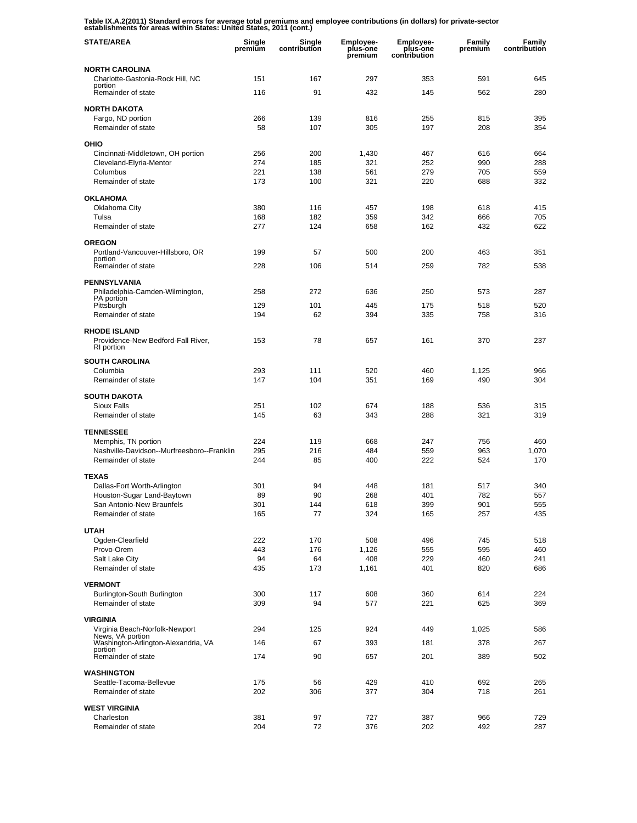**Table IX.A.2(2011) Standard errors for average total premiums and employee contributions (in dollars) for private-sector establishments for areas within States: United States, 2011 (cont.)** 

| <b>STATE/AREA</b>                                                       | Single<br>premium | Single<br>contribution | <b>Employee-</b><br>plus-one<br>premium | <b>Employee-</b><br>plus-one<br>contribution | Family<br>premium | Family<br>contribution |
|-------------------------------------------------------------------------|-------------------|------------------------|-----------------------------------------|----------------------------------------------|-------------------|------------------------|
| <b>NORTH CAROLINA</b>                                                   |                   |                        |                                         |                                              |                   |                        |
| Charlotte-Gastonia-Rock Hill, NC<br>portion                             | 151               | 167                    | 297                                     | 353                                          | 591               | 645                    |
| Remainder of state                                                      | 116               | 91                     | 432                                     | 145                                          | 562               | 280                    |
| <b>NORTH DAKOTA</b>                                                     |                   |                        |                                         |                                              |                   |                        |
| Fargo, ND portion                                                       | 266               | 139                    | 816                                     | 255                                          | 815               | 395                    |
| Remainder of state                                                      | 58                | 107                    | 305                                     | 197                                          | 208               | 354                    |
| OHIO                                                                    |                   |                        |                                         |                                              |                   |                        |
| Cincinnati-Middletown, OH portion                                       | 256               | 200                    | 1,430                                   | 467                                          | 616               | 664                    |
| Cleveland-Elyria-Mentor<br>Columbus                                     | 274<br>221        | 185<br>138             | 321<br>561                              | 252<br>279                                   | 990<br>705        | 288<br>559             |
| Remainder of state                                                      | 173               | 100                    | 321                                     | 220                                          | 688               | 332                    |
| <b>OKLAHOMA</b>                                                         |                   |                        |                                         |                                              |                   |                        |
| Oklahoma City                                                           | 380               | 116                    | 457                                     | 198                                          | 618               | 415                    |
| Tulsa                                                                   | 168               | 182                    | 359                                     | 342                                          | 666               | 705                    |
| Remainder of state                                                      | 277               | 124                    | 658                                     | 162                                          | 432               | 622                    |
| <b>OREGON</b>                                                           |                   |                        |                                         |                                              |                   |                        |
| Portland-Vancouver-Hillsboro, OR<br>portion                             | 199               | 57                     | 500                                     | 200                                          | 463               | 351                    |
| Remainder of state                                                      | 228               | 106                    | 514                                     | 259                                          | 782               | 538                    |
| <b>PENNSYLVANIA</b>                                                     |                   |                        |                                         |                                              |                   |                        |
| Philadelphia-Camden-Wilmington,                                         | 258               | 272                    | 636                                     | 250                                          | 573               | 287                    |
| PA portion<br>Pittsburgh                                                | 129               | 101                    | 445                                     | 175                                          | 518               | 520                    |
| Remainder of state                                                      | 194               | 62                     | 394                                     | 335                                          | 758               | 316                    |
| <b>RHODE ISLAND</b><br>Providence-New Bedford-Fall River,<br>RI portion | 153               | 78                     | 657                                     | 161                                          | 370               | 237                    |
| <b>SOUTH CAROLINA</b>                                                   |                   |                        |                                         |                                              |                   |                        |
| Columbia                                                                | 293               | 111                    | 520                                     | 460                                          | 1,125             | 966                    |
| Remainder of state                                                      | 147               | 104                    | 351                                     | 169                                          | 490               | 304                    |
| <b>SOUTH DAKOTA</b>                                                     |                   |                        |                                         |                                              |                   |                        |
| <b>Sioux Falls</b>                                                      | 251               | 102                    | 674                                     | 188                                          | 536               | 315                    |
| Remainder of state                                                      | 145               | 63                     | 343                                     | 288                                          | 321               | 319                    |
| <b>TENNESSEE</b>                                                        |                   |                        |                                         |                                              |                   |                        |
| Memphis, TN portion                                                     | 224<br>295        | 119<br>216             | 668<br>484                              | 247<br>559                                   | 756<br>963        | 460<br>1,070           |
| Nashville-Davidson--Murfreesboro--Franklin<br>Remainder of state        | 244               | 85                     | 400                                     | 222                                          | 524               | 170                    |
| <b>TEXAS</b>                                                            |                   |                        |                                         |                                              |                   |                        |
| Dallas-Fort Worth-Arlington                                             | 301               | 94                     | 448                                     | 181                                          | 517               | 340                    |
| Houston-Sugar Land-Baytown                                              | 89                | 90                     | 268                                     | 401                                          | 782               | 557                    |
| San Antonio-New Braunfels                                               | 301               | 144                    | 618                                     | 399                                          | 901               | 555                    |
| Remainder of state                                                      | 165               | 77                     | 324                                     | 165                                          | 257               | 435                    |
| <b>UTAH</b>                                                             |                   |                        |                                         |                                              |                   |                        |
| Ogden-Clearfield                                                        | 222               | 170                    | 508                                     | 496                                          | 745               | 518                    |
| Provo-Orem                                                              | 443               | 176                    | 1,126                                   | 555                                          | 595               | 460                    |
| Salt Lake City<br>Remainder of state                                    | 94<br>435         | 64<br>173              | 408<br>1,161                            | 229<br>401                                   | 460<br>820        | 241<br>686             |
| <b>VERMONT</b>                                                          |                   |                        |                                         |                                              |                   |                        |
| Burlington-South Burlington                                             | 300               | 117                    | 608                                     | 360                                          | 614               | 224                    |
| Remainder of state                                                      | 309               | 94                     | 577                                     | 221                                          | 625               | 369                    |
| <b>VIRGINIA</b>                                                         |                   |                        |                                         |                                              |                   |                        |
| Virginia Beach-Norfolk-Newport                                          | 294               | 125                    | 924                                     | 449                                          | 1,025             | 586                    |
| News, VA portion<br>Washington-Arlington-Alexandria, VA                 | 146               | 67                     | 393                                     | 181                                          | 378               | 267                    |
| portion<br>Remainder of state                                           | 174               | 90                     | 657                                     | 201                                          | 389               | 502                    |
| <b>WASHINGTON</b>                                                       |                   |                        |                                         |                                              |                   |                        |
| Seattle-Tacoma-Bellevue                                                 | 175               | 56                     | 429                                     | 410                                          | 692               | 265                    |
| Remainder of state                                                      | 202               | 306                    | 377                                     | 304                                          | 718               | 261                    |
| <b>WEST VIRGINIA</b>                                                    |                   |                        |                                         |                                              |                   |                        |
| Charleston                                                              | 381               | 97                     | 727                                     | 387                                          | 966               | 729                    |
| Remainder of state                                                      | 204               | 72                     | 376                                     | 202                                          | 492               | 287                    |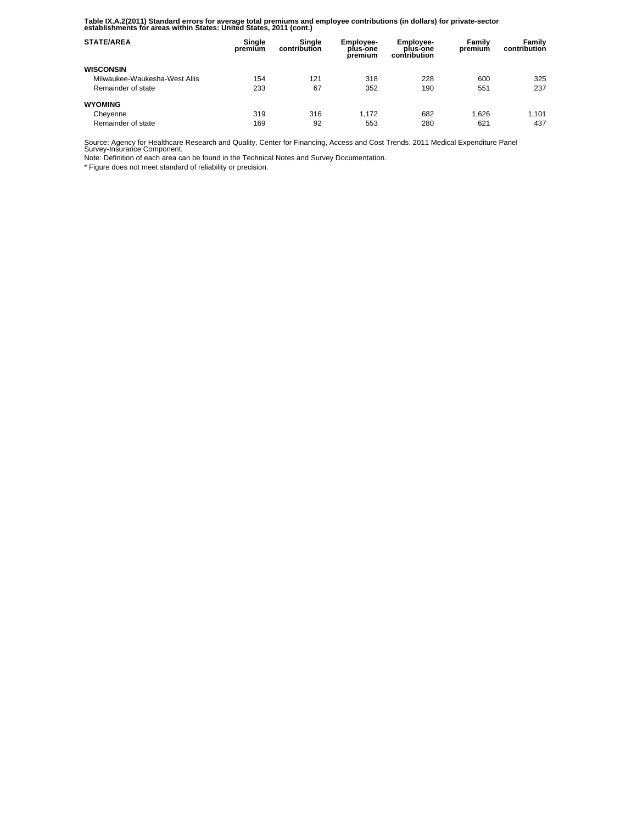**Table IX.A.2(2011) Standard errors for average total premiums and employee contributions (in dollars) for private-sector establishments for areas within States: United States, 2011 (cont.)** 

| <b>STATE/AREA</b>             | Single<br>premium | Sinale<br>contribution | <b>Employee-</b><br>plus-one<br>premium | Employee-<br>plus-one<br>contribution | Family<br>premium | Family<br>contribution |
|-------------------------------|-------------------|------------------------|-----------------------------------------|---------------------------------------|-------------------|------------------------|
| <b>WISCONSIN</b>              |                   |                        |                                         |                                       |                   |                        |
| Milwaukee-Waukesha-West Allis | 154               | 121                    | 318                                     | 228                                   | 600               | 325                    |
| Remainder of state            | 233               | 67                     | 352                                     | 190                                   | 551               | 237                    |
| <b>WYOMING</b>                |                   |                        |                                         |                                       |                   |                        |
| Cheyenne                      | 319               | 316                    | 1.172                                   | 682                                   | 1.626             | 1.101                  |
| Remainder of state            | 169               | 92                     | 553                                     | 280                                   | 621               | 437                    |

Source: Agency for Healthcare Research and Quality, Center for Financing, Access and Cost Trends. 2011 Medical Expenditure Panel Survey-Insurance Component.

Note: Definition of each area can be found in the Technical Notes and Survey Documentation.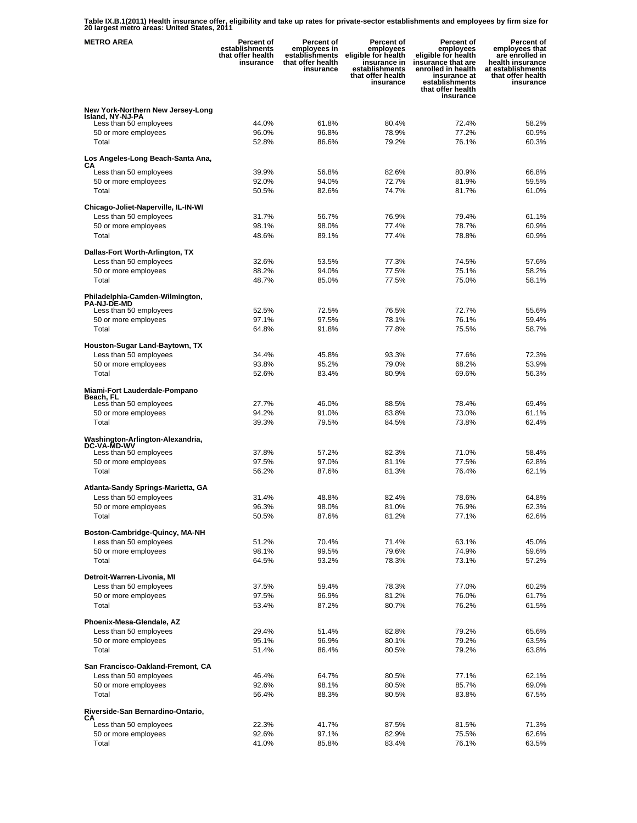**Table IX.B.1(2011) Health insurance offer, eligibility and take up rates for private-sector establishments and employees by firm size for 20 largest metro areas: United States, 2011** 

| <b>METRO AREA</b>                                             | <b>Percent of</b><br>establishments<br>that offer health<br>insurance | <b>Percent of</b><br>employees in<br>establishments<br>that offer health<br>insurance | Percent of<br>employees<br>eligible for health<br>insurance in<br>establishments<br>that offer health<br>insurance | <b>Percent of</b><br>employees<br>eligible for health<br>insurance that are<br>enrolled in health<br>insurance at<br>establishments<br>that offer health<br>insurance | Percent of<br>employees that<br>are enrolled in<br>health insurance<br>at establishments<br>that offer health<br>insurance |
|---------------------------------------------------------------|-----------------------------------------------------------------------|---------------------------------------------------------------------------------------|--------------------------------------------------------------------------------------------------------------------|-----------------------------------------------------------------------------------------------------------------------------------------------------------------------|----------------------------------------------------------------------------------------------------------------------------|
| New York-Northern New Jersey-Long                             |                                                                       |                                                                                       |                                                                                                                    |                                                                                                                                                                       |                                                                                                                            |
| Island, NY-NJ-PA<br>Less than 50 employees                    | 44.0%                                                                 | 61.8%                                                                                 | 80.4%                                                                                                              | 72.4%                                                                                                                                                                 | 58.2%                                                                                                                      |
| 50 or more employees                                          | 96.0%                                                                 | 96.8%                                                                                 | 78.9%                                                                                                              | 77.2%                                                                                                                                                                 | 60.9%                                                                                                                      |
| Total                                                         | 52.8%                                                                 | 86.6%                                                                                 | 79.2%                                                                                                              | 76.1%                                                                                                                                                                 | 60.3%                                                                                                                      |
| Los Angeles-Long Beach-Santa Ana,<br>CА                       |                                                                       |                                                                                       |                                                                                                                    |                                                                                                                                                                       |                                                                                                                            |
| Less than 50 employees                                        | 39.9%                                                                 | 56.8%                                                                                 | 82.6%                                                                                                              | 80.9%                                                                                                                                                                 | 66.8%                                                                                                                      |
| 50 or more employees<br>Total                                 | 92.0%<br>50.5%                                                        | 94.0%<br>82.6%                                                                        | 72.7%<br>74.7%                                                                                                     | 81.9%<br>81.7%                                                                                                                                                        | 59.5%<br>61.0%                                                                                                             |
|                                                               |                                                                       |                                                                                       |                                                                                                                    |                                                                                                                                                                       |                                                                                                                            |
| Chicago-Joliet-Naperville, IL-IN-WI<br>Less than 50 employees | 31.7%                                                                 | 56.7%                                                                                 | 76.9%                                                                                                              | 79.4%                                                                                                                                                                 | 61.1%                                                                                                                      |
| 50 or more employees                                          | 98.1%                                                                 | 98.0%                                                                                 | 77.4%                                                                                                              | 78.7%                                                                                                                                                                 | 60.9%                                                                                                                      |
| Total                                                         | 48.6%                                                                 | 89.1%                                                                                 | 77.4%                                                                                                              | 78.8%                                                                                                                                                                 | 60.9%                                                                                                                      |
| Dallas-Fort Worth-Arlington, TX                               |                                                                       |                                                                                       |                                                                                                                    |                                                                                                                                                                       |                                                                                                                            |
| Less than 50 employees                                        | 32.6%                                                                 | 53.5%                                                                                 | 77.3%                                                                                                              | 74.5%                                                                                                                                                                 | 57.6%                                                                                                                      |
| 50 or more employees                                          | 88.2%                                                                 | 94.0%                                                                                 | 77.5%                                                                                                              | 75.1%                                                                                                                                                                 | 58.2%                                                                                                                      |
| Total                                                         | 48.7%                                                                 | 85.0%                                                                                 | 77.5%                                                                                                              | 75.0%                                                                                                                                                                 | 58.1%                                                                                                                      |
| Philadelphia-Camden-Wilmington,<br><b>PA-NJ-DE-MD</b>         |                                                                       |                                                                                       |                                                                                                                    |                                                                                                                                                                       |                                                                                                                            |
| Less than 50 employees                                        | 52.5%                                                                 | 72.5%                                                                                 | 76.5%                                                                                                              | 72.7%                                                                                                                                                                 | 55.6%                                                                                                                      |
| 50 or more employees                                          | 97.1%                                                                 | 97.5%                                                                                 | 78.1%                                                                                                              | 76.1%                                                                                                                                                                 | 59.4%                                                                                                                      |
| Total                                                         | 64.8%                                                                 | 91.8%                                                                                 | 77.8%                                                                                                              | 75.5%                                                                                                                                                                 | 58.7%                                                                                                                      |
| Houston-Sugar Land-Baytown, TX                                |                                                                       |                                                                                       |                                                                                                                    |                                                                                                                                                                       |                                                                                                                            |
| Less than 50 employees                                        | 34.4%                                                                 | 45.8%                                                                                 | 93.3%                                                                                                              | 77.6%                                                                                                                                                                 | 72.3%                                                                                                                      |
| 50 or more employees<br>Total                                 | 93.8%<br>52.6%                                                        | 95.2%<br>83.4%                                                                        | 79.0%<br>80.9%                                                                                                     | 68.2%<br>69.6%                                                                                                                                                        | 53.9%<br>56.3%                                                                                                             |
|                                                               |                                                                       |                                                                                       |                                                                                                                    |                                                                                                                                                                       |                                                                                                                            |
| Miami-Fort Lauderdale-Pompano<br>Beach, FL                    |                                                                       |                                                                                       |                                                                                                                    |                                                                                                                                                                       |                                                                                                                            |
| Less than 50 employees                                        | 27.7%<br>94.2%                                                        | 46.0%<br>91.0%                                                                        | 88.5%<br>83.8%                                                                                                     | 78.4%<br>73.0%                                                                                                                                                        | 69.4%<br>61.1%                                                                                                             |
| 50 or more employees<br>Total                                 | 39.3%                                                                 | 79.5%                                                                                 | 84.5%                                                                                                              | 73.8%                                                                                                                                                                 | 62.4%                                                                                                                      |
|                                                               |                                                                       |                                                                                       |                                                                                                                    |                                                                                                                                                                       |                                                                                                                            |
| Washington-Arlington-Alexandria,<br><b>DC-VA-MD-WV</b>        |                                                                       |                                                                                       |                                                                                                                    |                                                                                                                                                                       |                                                                                                                            |
| Less than 50 employees<br>50 or more employees                | 37.8%<br>97.5%                                                        | 57.2%<br>97.0%                                                                        | 82.3%<br>81.1%                                                                                                     | 71.0%<br>77.5%                                                                                                                                                        | 58.4%<br>62.8%                                                                                                             |
| Total                                                         | 56.2%                                                                 | 87.6%                                                                                 | 81.3%                                                                                                              | 76.4%                                                                                                                                                                 | 62.1%                                                                                                                      |
|                                                               |                                                                       |                                                                                       |                                                                                                                    |                                                                                                                                                                       |                                                                                                                            |
| Atlanta-Sandy Springs-Marietta, GA<br>Less than 50 employees  | 31.4%                                                                 | 48.8%                                                                                 | 82.4%                                                                                                              | 78.6%                                                                                                                                                                 | 64.8%                                                                                                                      |
| 50 or more employees                                          | 96.3%                                                                 | 98.0%                                                                                 | 81.0%                                                                                                              | 76.9%                                                                                                                                                                 | 62.3%                                                                                                                      |
| Total                                                         | 50.5%                                                                 | 87.6%                                                                                 | 81.2%                                                                                                              | 77.1%                                                                                                                                                                 | 62.6%                                                                                                                      |
| Boston-Cambridge-Quincy, MA-NH                                |                                                                       |                                                                                       |                                                                                                                    |                                                                                                                                                                       |                                                                                                                            |
| Less than 50 employees                                        | 51.2%                                                                 | 70.4%                                                                                 | 71.4%                                                                                                              | 63.1%                                                                                                                                                                 | 45.0%                                                                                                                      |
| 50 or more employees<br>Total                                 | 98.1%<br>64.5%                                                        | 99.5%<br>93.2%                                                                        | 79.6%<br>78.3%                                                                                                     | 74.9%<br>73.1%                                                                                                                                                        | 59.6%<br>57.2%                                                                                                             |
|                                                               |                                                                       |                                                                                       |                                                                                                                    |                                                                                                                                                                       |                                                                                                                            |
| Detroit-Warren-Livonia, MI                                    | 37.5%                                                                 |                                                                                       | 78.3%                                                                                                              | 77.0%                                                                                                                                                                 | 60.2%                                                                                                                      |
| Less than 50 employees<br>50 or more employees                | 97.5%                                                                 | 59.4%<br>96.9%                                                                        | 81.2%                                                                                                              | 76.0%                                                                                                                                                                 | 61.7%                                                                                                                      |
| Total                                                         | 53.4%                                                                 | 87.2%                                                                                 | 80.7%                                                                                                              | 76.2%                                                                                                                                                                 | 61.5%                                                                                                                      |
| Phoenix-Mesa-Glendale, AZ                                     |                                                                       |                                                                                       |                                                                                                                    |                                                                                                                                                                       |                                                                                                                            |
| Less than 50 employees                                        | 29.4%                                                                 | 51.4%                                                                                 | 82.8%                                                                                                              | 79.2%                                                                                                                                                                 | 65.6%                                                                                                                      |
| 50 or more employees                                          | 95.1%                                                                 | 96.9%                                                                                 | 80.1%                                                                                                              | 79.2%                                                                                                                                                                 | 63.5%                                                                                                                      |
| Total                                                         | 51.4%                                                                 | 86.4%                                                                                 | 80.5%                                                                                                              | 79.2%                                                                                                                                                                 | 63.8%                                                                                                                      |
| San Francisco-Oakland-Fremont, CA                             |                                                                       |                                                                                       |                                                                                                                    |                                                                                                                                                                       |                                                                                                                            |
| Less than 50 employees                                        | 46.4%                                                                 | 64.7%                                                                                 | 80.5%                                                                                                              | 77.1%<br>85.7%                                                                                                                                                        | 62.1%                                                                                                                      |
| 50 or more employees<br>Total                                 | 92.6%<br>56.4%                                                        | 98.1%<br>88.3%                                                                        | 80.5%<br>80.5%                                                                                                     | 83.8%                                                                                                                                                                 | 69.0%<br>67.5%                                                                                                             |
|                                                               |                                                                       |                                                                                       |                                                                                                                    |                                                                                                                                                                       |                                                                                                                            |
| Riverside-San Bernardino-Ontario,<br>CА                       |                                                                       |                                                                                       |                                                                                                                    |                                                                                                                                                                       |                                                                                                                            |
| Less than 50 employees<br>50 or more employees                | 22.3%<br>92.6%                                                        | 41.7%<br>97.1%                                                                        | 87.5%<br>82.9%                                                                                                     | 81.5%<br>75.5%                                                                                                                                                        | 71.3%<br>62.6%                                                                                                             |
| Total                                                         | 41.0%                                                                 | 85.8%                                                                                 | 83.4%                                                                                                              | 76.1%                                                                                                                                                                 | 63.5%                                                                                                                      |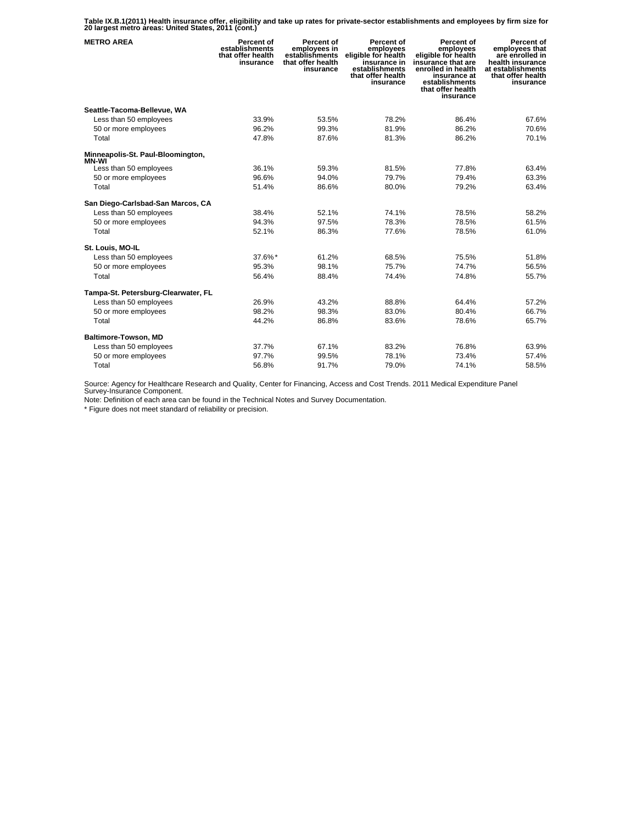**Table IX.B.1(2011) Health insurance offer, eligibility and take up rates for private-sector establishments and employees by firm size for 20 largest metro areas: United States, 2011 (cont.)** 

| <b>METRO AREA</b>                      | Percent of<br>establishments<br>that offer health<br>insurance | Percent of<br>employees in<br>establishments<br>that offer health<br>insurance | Percent of<br>employees<br>eligible for health<br>insurance in<br>establishments<br>that offer health<br>insurance | Percent of<br>employees<br>eligible for health<br>insurance that are<br>enrolled in health<br>insurance at<br>establishments<br>that offer health<br>insurance | Percent of<br>employees that<br>are enrolled in<br>health insurance<br>at establishments<br>that offer health<br>insurance |
|----------------------------------------|----------------------------------------------------------------|--------------------------------------------------------------------------------|--------------------------------------------------------------------------------------------------------------------|----------------------------------------------------------------------------------------------------------------------------------------------------------------|----------------------------------------------------------------------------------------------------------------------------|
| Seattle-Tacoma-Bellevue, WA            |                                                                |                                                                                |                                                                                                                    |                                                                                                                                                                |                                                                                                                            |
| Less than 50 employees                 | 33.9%                                                          | 53.5%                                                                          | 78.2%                                                                                                              | 86.4%                                                                                                                                                          | 67.6%                                                                                                                      |
| 50 or more employees                   | 96.2%                                                          | 99.3%                                                                          | 81.9%                                                                                                              | 86.2%                                                                                                                                                          | 70.6%                                                                                                                      |
| Total                                  | 47.8%                                                          | 87.6%                                                                          | 81.3%                                                                                                              | 86.2%                                                                                                                                                          | 70.1%                                                                                                                      |
| Minneapolis-St. Paul-Bloomington,      |                                                                |                                                                                |                                                                                                                    |                                                                                                                                                                |                                                                                                                            |
| <b>MN-WI</b><br>Less than 50 employees | 36.1%                                                          | 59.3%                                                                          | 81.5%                                                                                                              | 77.8%                                                                                                                                                          | 63.4%                                                                                                                      |
| 50 or more employees                   | 96.6%                                                          | 94.0%                                                                          | 79.7%                                                                                                              | 79.4%                                                                                                                                                          | 63.3%                                                                                                                      |
| Total                                  | 51.4%                                                          | 86.6%                                                                          | 80.0%                                                                                                              | 79.2%                                                                                                                                                          | 63.4%                                                                                                                      |
| San Diego-Carlsbad-San Marcos, CA      |                                                                |                                                                                |                                                                                                                    |                                                                                                                                                                |                                                                                                                            |
| Less than 50 employees                 | 38.4%                                                          | 52.1%                                                                          | 74.1%                                                                                                              | 78.5%                                                                                                                                                          | 58.2%                                                                                                                      |
| 50 or more employees                   | 94.3%                                                          | 97.5%                                                                          | 78.3%                                                                                                              | 78.5%                                                                                                                                                          | 61.5%                                                                                                                      |
| Total                                  | 52.1%                                                          | 86.3%                                                                          | 77.6%                                                                                                              | 78.5%                                                                                                                                                          | 61.0%                                                                                                                      |
|                                        |                                                                |                                                                                |                                                                                                                    |                                                                                                                                                                |                                                                                                                            |
| St. Louis, MO-IL                       |                                                                |                                                                                |                                                                                                                    |                                                                                                                                                                |                                                                                                                            |
| Less than 50 employees                 | 37.6%*                                                         | 61.2%                                                                          | 68.5%                                                                                                              | 75.5%                                                                                                                                                          | 51.8%                                                                                                                      |
| 50 or more employees                   | 95.3%                                                          | 98.1%                                                                          | 75.7%                                                                                                              | 74.7%                                                                                                                                                          | 56.5%                                                                                                                      |
| Total                                  | 56.4%                                                          | 88.4%                                                                          | 74.4%                                                                                                              | 74.8%                                                                                                                                                          | 55.7%                                                                                                                      |
| Tampa-St. Petersburg-Clearwater, FL    |                                                                |                                                                                |                                                                                                                    |                                                                                                                                                                |                                                                                                                            |
| Less than 50 employees                 | 26.9%                                                          | 43.2%                                                                          | 88.8%                                                                                                              | 64.4%                                                                                                                                                          | 57.2%                                                                                                                      |
| 50 or more employees                   | 98.2%                                                          | 98.3%                                                                          | 83.0%                                                                                                              | 80.4%                                                                                                                                                          | 66.7%                                                                                                                      |
| Total                                  | 44.2%                                                          | 86.8%                                                                          | 83.6%                                                                                                              | 78.6%                                                                                                                                                          | 65.7%                                                                                                                      |
| Baltimore-Towson, MD                   |                                                                |                                                                                |                                                                                                                    |                                                                                                                                                                |                                                                                                                            |
| Less than 50 employees                 | 37.7%                                                          | 67.1%                                                                          | 83.2%                                                                                                              | 76.8%                                                                                                                                                          | 63.9%                                                                                                                      |
| 50 or more employees                   | 97.7%                                                          | 99.5%                                                                          | 78.1%                                                                                                              | 73.4%                                                                                                                                                          | 57.4%                                                                                                                      |
| Total                                  | 56.8%                                                          | 91.7%                                                                          | 79.0%                                                                                                              | 74.1%                                                                                                                                                          | 58.5%                                                                                                                      |

Source: Agency for Healthcare Research and Quality, Center for Financing, Access and Cost Trends. 2011 Medical Expenditure Panel Survey-Insurance Component.

Note: Definition of each area can be found in the Technical Notes and Survey Documentation.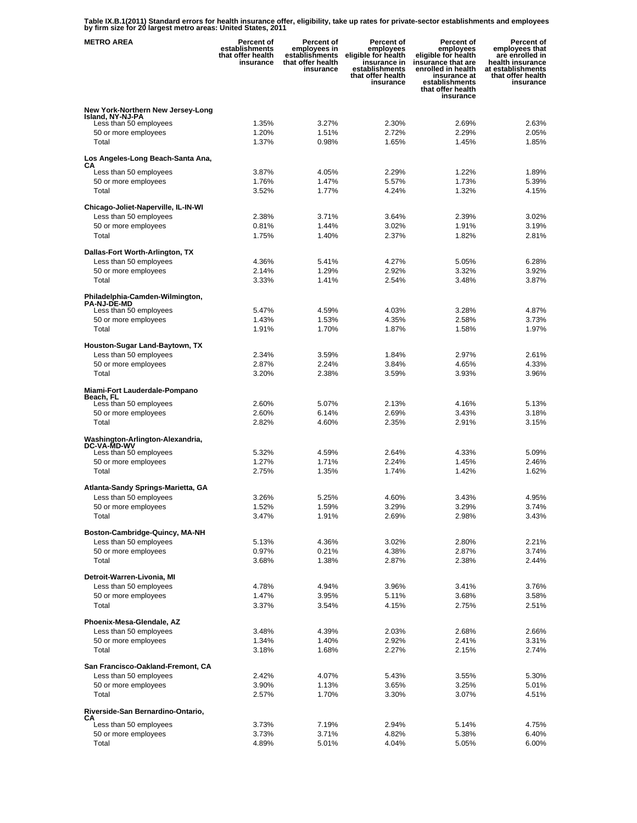**Table IX.B.1(2011) Standard errors for health insurance offer, eligibility, take up rates for private-sector establishments and employees by firm size for 20 largest metro areas: United States, 2011** 

| <b>METRO AREA</b>                                           | <b>Percent of</b><br>establishments<br>that offer health<br>insurance | <b>Percent of</b><br>employees in<br>establishments<br>that offer health<br>insurance | Percent of<br>employees<br>eligible for health<br>insurance in<br>establishments<br>that offer health<br>insurance | Percent of<br>employees<br>eligible for health<br>insurance that are<br>enrolled in health<br>insurance at<br>establishments<br>that offer health<br>insurance | Percent of<br>employees that<br>are enrolled in<br>health insurance<br>at establishments<br>that offer health<br>insurance |
|-------------------------------------------------------------|-----------------------------------------------------------------------|---------------------------------------------------------------------------------------|--------------------------------------------------------------------------------------------------------------------|----------------------------------------------------------------------------------------------------------------------------------------------------------------|----------------------------------------------------------------------------------------------------------------------------|
| New York-Northern New Jersey-Long                           |                                                                       |                                                                                       |                                                                                                                    |                                                                                                                                                                |                                                                                                                            |
| Island, NY-NJ-PA<br>Less than 50 employees                  | 1.35%                                                                 | 3.27%                                                                                 | 2.30%                                                                                                              | 2.69%                                                                                                                                                          | 2.63%                                                                                                                      |
| 50 or more employees                                        | 1.20%                                                                 | 1.51%                                                                                 | 2.72%                                                                                                              | 2.29%                                                                                                                                                          | 2.05%                                                                                                                      |
| Total                                                       | 1.37%                                                                 | 0.98%                                                                                 | 1.65%                                                                                                              | 1.45%                                                                                                                                                          | 1.85%                                                                                                                      |
| Los Angeles-Long Beach-Santa Ana,                           |                                                                       |                                                                                       |                                                                                                                    |                                                                                                                                                                |                                                                                                                            |
| СA<br>Less than 50 employees                                | 3.87%                                                                 | 4.05%                                                                                 | 2.29%                                                                                                              | 1.22%                                                                                                                                                          | 1.89%                                                                                                                      |
| 50 or more employees                                        | 1.76%                                                                 | 1.47%                                                                                 | 5.57%                                                                                                              | 1.73%                                                                                                                                                          | 5.39%                                                                                                                      |
| Total                                                       | 3.52%                                                                 | 1.77%                                                                                 | 4.24%                                                                                                              | 1.32%                                                                                                                                                          | 4.15%                                                                                                                      |
| Chicago-Joliet-Naperville, IL-IN-WI                         |                                                                       |                                                                                       |                                                                                                                    |                                                                                                                                                                |                                                                                                                            |
| Less than 50 employees                                      | 2.38%                                                                 | 3.71%                                                                                 | 3.64%                                                                                                              | 2.39%                                                                                                                                                          | 3.02%                                                                                                                      |
| 50 or more employees                                        | 0.81%                                                                 | 1.44%                                                                                 | 3.02%                                                                                                              | 1.91%                                                                                                                                                          | 3.19%                                                                                                                      |
| Total                                                       | 1.75%                                                                 | 1.40%                                                                                 | 2.37%                                                                                                              | 1.82%                                                                                                                                                          | 2.81%                                                                                                                      |
| Dallas-Fort Worth-Arlington, TX                             |                                                                       |                                                                                       |                                                                                                                    |                                                                                                                                                                |                                                                                                                            |
| Less than 50 employees                                      | 4.36%                                                                 | 5.41%                                                                                 | 4.27%                                                                                                              | 5.05%                                                                                                                                                          | 6.28%                                                                                                                      |
| 50 or more employees                                        | 2.14%                                                                 | 1.29%                                                                                 | 2.92%                                                                                                              | 3.32%                                                                                                                                                          | 3.92%                                                                                                                      |
| Total                                                       | 3.33%                                                                 | 1.41%                                                                                 | 2.54%                                                                                                              | 3.48%                                                                                                                                                          | 3.87%                                                                                                                      |
| Philadelphia-Camden-Wilmington,<br><b>PA-NJ-DE-MD</b>       |                                                                       |                                                                                       |                                                                                                                    |                                                                                                                                                                |                                                                                                                            |
| Less than 50 employees                                      | 5.47%                                                                 | 4.59%                                                                                 | 4.03%                                                                                                              | 3.28%                                                                                                                                                          | 4.87%                                                                                                                      |
| 50 or more employees                                        | 1.43%                                                                 | 1.53%                                                                                 | 4.35%                                                                                                              | 2.58%                                                                                                                                                          | 3.73%                                                                                                                      |
| Total                                                       | 1.91%                                                                 | 1.70%                                                                                 | 1.87%                                                                                                              | 1.58%                                                                                                                                                          | 1.97%                                                                                                                      |
| Houston-Sugar Land-Baytown, TX                              |                                                                       |                                                                                       |                                                                                                                    |                                                                                                                                                                |                                                                                                                            |
| Less than 50 employees                                      | 2.34%                                                                 | 3.59%                                                                                 | 1.84%                                                                                                              | 2.97%                                                                                                                                                          | 2.61%                                                                                                                      |
| 50 or more employees                                        | 2.87%                                                                 | 2.24%                                                                                 | 3.84%                                                                                                              | 4.65%                                                                                                                                                          | 4.33%                                                                                                                      |
| Total                                                       | 3.20%                                                                 | 2.38%                                                                                 | 3.59%                                                                                                              | 3.93%                                                                                                                                                          | 3.96%                                                                                                                      |
| Miami-Fort Lauderdale-Pompano                               |                                                                       |                                                                                       |                                                                                                                    |                                                                                                                                                                |                                                                                                                            |
| Beach, FL<br>Less than 50 employees                         | 2.60%                                                                 | 5.07%                                                                                 | 2.13%                                                                                                              | 4.16%                                                                                                                                                          | 5.13%                                                                                                                      |
| 50 or more employees                                        | 2.60%                                                                 | 6.14%                                                                                 | 2.69%                                                                                                              | 3.43%                                                                                                                                                          | 3.18%                                                                                                                      |
| Total                                                       | 2.82%                                                                 | 4.60%                                                                                 | 2.35%                                                                                                              | 2.91%                                                                                                                                                          | 3.15%                                                                                                                      |
| Washington-Arlington-Alexandria,                            |                                                                       |                                                                                       |                                                                                                                    |                                                                                                                                                                |                                                                                                                            |
| <b>DC-VA-MD-WV</b><br>Less than 50 employees                | 5.32%                                                                 | 4.59%                                                                                 | 2.64%                                                                                                              | 4.33%                                                                                                                                                          | 5.09%                                                                                                                      |
| 50 or more employees                                        | 1.27%                                                                 | 1.71%                                                                                 | 2.24%                                                                                                              | 1.45%                                                                                                                                                          | 2.46%                                                                                                                      |
| Total                                                       | 2.75%                                                                 | 1.35%                                                                                 | 1.74%                                                                                                              | 1.42%                                                                                                                                                          | 1.62%                                                                                                                      |
| Atlanta-Sandy Springs-Marietta, GA                          |                                                                       |                                                                                       |                                                                                                                    |                                                                                                                                                                |                                                                                                                            |
| Less than 50 employees                                      | 3.26%                                                                 | 5.25%                                                                                 | 4.60%                                                                                                              | 3.43%                                                                                                                                                          | 4.95%                                                                                                                      |
| 50 or more employees                                        | 1.52%                                                                 | 1.59%                                                                                 | 3.29%                                                                                                              | 3.29%                                                                                                                                                          | 3.74%                                                                                                                      |
| Total                                                       | 3.47%                                                                 | 1.91%                                                                                 | 2.69%                                                                                                              | 2.98%                                                                                                                                                          | 3.43%                                                                                                                      |
| Boston-Cambridge-Quincy, MA-NH                              |                                                                       |                                                                                       |                                                                                                                    |                                                                                                                                                                |                                                                                                                            |
| Less than 50 employees                                      | 5.13%                                                                 | 4.36%                                                                                 | 3.02%                                                                                                              | 2.80%                                                                                                                                                          | 2.21%                                                                                                                      |
| 50 or more employees                                        | 0.97%                                                                 | 0.21%                                                                                 | 4.38%                                                                                                              | 2.87%                                                                                                                                                          | 3.74%                                                                                                                      |
| Total                                                       | 3.68%                                                                 | 1.38%                                                                                 | 2.87%                                                                                                              | 2.38%                                                                                                                                                          | 2.44%                                                                                                                      |
| Detroit-Warren-Livonia, MI                                  |                                                                       |                                                                                       |                                                                                                                    |                                                                                                                                                                |                                                                                                                            |
| Less than 50 employees                                      | 4.78%                                                                 | 4.94%                                                                                 | 3.96%                                                                                                              | 3.41%                                                                                                                                                          | 3.76%                                                                                                                      |
| 50 or more employees<br>Total                               | 1.47%<br>3.37%                                                        | 3.95%<br>3.54%                                                                        | 5.11%<br>4.15%                                                                                                     | 3.68%<br>2.75%                                                                                                                                                 | 3.58%<br>2.51%                                                                                                             |
|                                                             |                                                                       |                                                                                       |                                                                                                                    |                                                                                                                                                                |                                                                                                                            |
| Phoenix-Mesa-Glendale, AZ                                   |                                                                       |                                                                                       |                                                                                                                    |                                                                                                                                                                |                                                                                                                            |
| Less than 50 employees<br>50 or more employees              | 3.48%<br>1.34%                                                        | 4.39%<br>1.40%                                                                        | 2.03%<br>2.92%                                                                                                     | 2.68%<br>2.41%                                                                                                                                                 | 2.66%<br>3.31%                                                                                                             |
| Total                                                       | 3.18%                                                                 | 1.68%                                                                                 | 2.27%                                                                                                              | 2.15%                                                                                                                                                          | 2.74%                                                                                                                      |
|                                                             |                                                                       |                                                                                       |                                                                                                                    |                                                                                                                                                                |                                                                                                                            |
| San Francisco-Oakland-Fremont, CA<br>Less than 50 employees | 2.42%                                                                 | 4.07%                                                                                 | 5.43%                                                                                                              | 3.55%                                                                                                                                                          | 5.30%                                                                                                                      |
| 50 or more employees                                        | 3.90%                                                                 | 1.13%                                                                                 | 3.65%                                                                                                              | 3.25%                                                                                                                                                          | 5.01%                                                                                                                      |
| Total                                                       | 2.57%                                                                 | 1.70%                                                                                 | 3.30%                                                                                                              | 3.07%                                                                                                                                                          | 4.51%                                                                                                                      |
| Riverside-San Bernardino-Ontario,                           |                                                                       |                                                                                       |                                                                                                                    |                                                                                                                                                                |                                                                                                                            |
| CА                                                          |                                                                       |                                                                                       |                                                                                                                    |                                                                                                                                                                |                                                                                                                            |
| Less than 50 employees<br>50 or more employees              | 3.73%<br>3.73%                                                        | 7.19%<br>3.71%                                                                        | 2.94%<br>4.82%                                                                                                     | 5.14%<br>5.38%                                                                                                                                                 | 4.75%<br>6.40%                                                                                                             |
| Total                                                       | 4.89%                                                                 | 5.01%                                                                                 | 4.04%                                                                                                              | 5.05%                                                                                                                                                          | 6.00%                                                                                                                      |
|                                                             |                                                                       |                                                                                       |                                                                                                                    |                                                                                                                                                                |                                                                                                                            |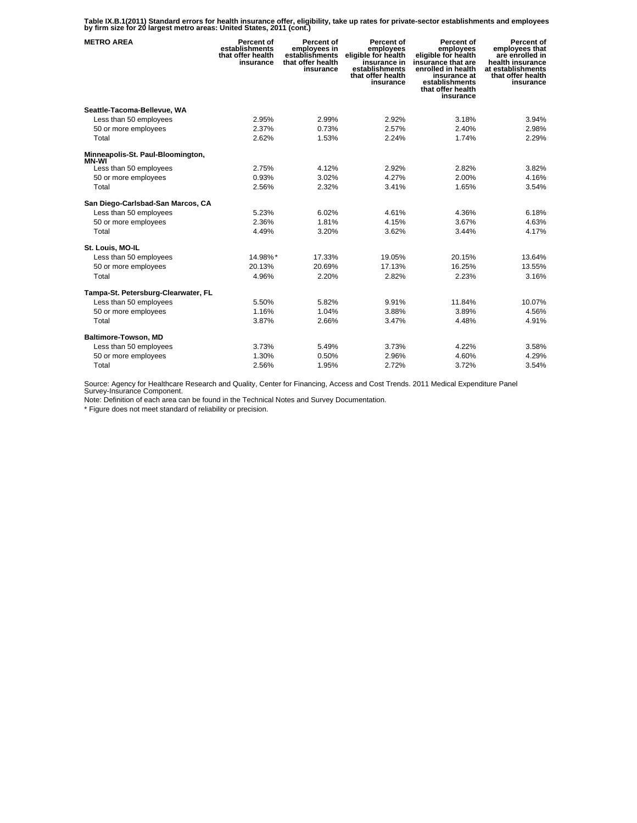**Table IX.B.1(2011) Standard errors for health insurance offer, eligibility, take up rates for private-sector establishments and employees by firm size for 20 largest metro areas: United States, 2011 (cont.)** 

| <b>METRO AREA</b>                      | Percent of<br>establishments<br>that offer health<br>insurance | Percent of<br>employees in<br>establishments<br>that offer health<br>insurance | Percent of<br>employees<br>eligible for health<br>insurance in<br>establishments<br>that offer health<br>insurance | Percent of<br>employees<br>eligible for health<br>insurance that are<br>enrolled in health<br>insurance at<br>establishments<br>that offer health<br>insurance | Percent of<br>employees that<br>are enrolled in<br>health insurance<br>at establishments<br>that offer health<br>insurance |
|----------------------------------------|----------------------------------------------------------------|--------------------------------------------------------------------------------|--------------------------------------------------------------------------------------------------------------------|----------------------------------------------------------------------------------------------------------------------------------------------------------------|----------------------------------------------------------------------------------------------------------------------------|
| Seattle-Tacoma-Bellevue, WA            |                                                                |                                                                                |                                                                                                                    |                                                                                                                                                                |                                                                                                                            |
| Less than 50 employees                 | 2.95%                                                          | 2.99%                                                                          | 2.92%                                                                                                              | 3.18%                                                                                                                                                          | 3.94%                                                                                                                      |
| 50 or more employees                   | 2.37%                                                          | 0.73%                                                                          | 2.57%                                                                                                              | 2.40%                                                                                                                                                          | 2.98%                                                                                                                      |
| Total                                  | 2.62%                                                          | 1.53%                                                                          | 2.24%                                                                                                              | 1.74%                                                                                                                                                          | 2.29%                                                                                                                      |
| Minneapolis-St. Paul-Bloomington,      |                                                                |                                                                                |                                                                                                                    |                                                                                                                                                                |                                                                                                                            |
| <b>MN-WI</b><br>Less than 50 employees | 2.75%                                                          | 4.12%                                                                          | 2.92%                                                                                                              | 2.82%                                                                                                                                                          | 3.82%                                                                                                                      |
| 50 or more employees                   | 0.93%                                                          | 3.02%                                                                          | 4.27%                                                                                                              | 2.00%                                                                                                                                                          | 4.16%                                                                                                                      |
| Total                                  | 2.56%                                                          | 2.32%                                                                          | 3.41%                                                                                                              | 1.65%                                                                                                                                                          | 3.54%                                                                                                                      |
| San Diego-Carlsbad-San Marcos, CA      |                                                                |                                                                                |                                                                                                                    |                                                                                                                                                                |                                                                                                                            |
| Less than 50 employees                 | 5.23%                                                          | 6.02%                                                                          | 4.61%                                                                                                              | 4.36%                                                                                                                                                          | 6.18%                                                                                                                      |
| 50 or more employees                   | 2.36%                                                          | 1.81%                                                                          | 4.15%                                                                                                              | 3.67%                                                                                                                                                          | 4.63%                                                                                                                      |
| Total                                  | 4.49%                                                          | 3.20%                                                                          | 3.62%                                                                                                              | 3.44%                                                                                                                                                          | 4.17%                                                                                                                      |
| St. Louis, MO-IL                       |                                                                |                                                                                |                                                                                                                    |                                                                                                                                                                |                                                                                                                            |
| Less than 50 employees                 | 14.98%*                                                        | 17.33%                                                                         | 19.05%                                                                                                             | 20.15%                                                                                                                                                         | 13.64%                                                                                                                     |
| 50 or more employees                   | 20.13%                                                         | 20.69%                                                                         | 17.13%                                                                                                             | 16.25%                                                                                                                                                         | 13.55%                                                                                                                     |
| Total                                  | 4.96%                                                          | 2.20%                                                                          | 2.82%                                                                                                              | 2.23%                                                                                                                                                          | 3.16%                                                                                                                      |
| Tampa-St. Petersburg-Clearwater, FL    |                                                                |                                                                                |                                                                                                                    |                                                                                                                                                                |                                                                                                                            |
| Less than 50 employees                 | 5.50%                                                          | 5.82%                                                                          | 9.91%                                                                                                              | 11.84%                                                                                                                                                         | 10.07%                                                                                                                     |
| 50 or more employees                   | 1.16%                                                          | 1.04%                                                                          | 3.88%                                                                                                              | 3.89%                                                                                                                                                          | 4.56%                                                                                                                      |
| Total                                  | 3.87%                                                          | 2.66%                                                                          | 3.47%                                                                                                              | 4.48%                                                                                                                                                          | 4.91%                                                                                                                      |
| Baltimore-Towson, MD                   |                                                                |                                                                                |                                                                                                                    |                                                                                                                                                                |                                                                                                                            |
| Less than 50 employees                 | 3.73%                                                          | 5.49%                                                                          | 3.73%                                                                                                              | 4.22%                                                                                                                                                          | 3.58%                                                                                                                      |
| 50 or more employees                   | 1.30%                                                          | 0.50%                                                                          | 2.96%                                                                                                              | 4.60%                                                                                                                                                          | 4.29%                                                                                                                      |
| Total                                  | 2.56%                                                          | 1.95%                                                                          | 2.72%                                                                                                              | 3.72%                                                                                                                                                          | 3.54%                                                                                                                      |

Source: Agency for Healthcare Research and Quality, Center for Financing, Access and Cost Trends. 2011 Medical Expenditure Panel Survey-Insurance Component.

Note: Definition of each area can be found in the Technical Notes and Survey Documentation.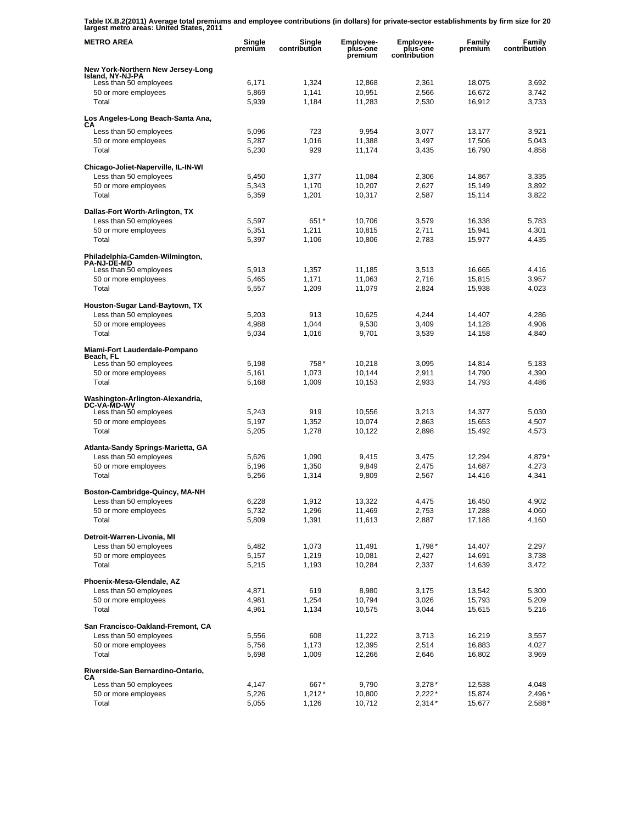**Table IX.B.2(2011) Average total premiums and employee contributions (in dollars) for private-sector establishments by firm size for 20 largest metro areas: United States, 2011** 

| <b>METRO AREA</b>                                     | Single<br>premium | Single<br>contribution | Employee-<br>plus-one<br>premium | Employee-<br>plus-one<br>contribution | Family<br>premium | Family<br>contribution |
|-------------------------------------------------------|-------------------|------------------------|----------------------------------|---------------------------------------|-------------------|------------------------|
| New York-Northern New Jersey-Long                     |                   |                        |                                  |                                       |                   |                        |
| Island, NY-NJ-PA<br>Less than 50 employees            | 6,171             | 1,324                  | 12,868                           | 2,361                                 | 18,075            | 3,692                  |
| 50 or more employees                                  | 5,869             | 1,141                  | 10,951                           | 2,566                                 | 16,672            | 3,742                  |
| Total                                                 | 5,939             | 1,184                  | 11,283                           | 2,530                                 | 16,912            | 3,733                  |
| Los Angeles-Long Beach-Santa Ana,                     |                   |                        |                                  |                                       |                   |                        |
| CА<br>Less than 50 employees                          | 5,096             | 723                    | 9,954                            | 3,077                                 | 13,177            | 3,921                  |
| 50 or more employees                                  | 5,287             | 1,016                  | 11,388                           | 3,497                                 | 17,506            | 5,043                  |
| Total                                                 | 5,230             | 929                    | 11,174                           | 3,435                                 | 16,790            | 4,858                  |
| Chicago-Joliet-Naperville, IL-IN-WI                   |                   |                        |                                  |                                       |                   |                        |
| Less than 50 employees                                | 5,450             | 1,377                  | 11,084                           | 2,306                                 | 14,867            | 3,335                  |
| 50 or more employees                                  | 5,343             | 1,170                  | 10,207                           | 2,627                                 | 15,149            | 3,892                  |
| Total                                                 | 5,359             | 1,201                  | 10,317                           | 2,587                                 | 15,114            | 3,822                  |
| Dallas-Fort Worth-Arlington, TX                       |                   |                        |                                  |                                       |                   |                        |
| Less than 50 employees                                | 5,597             | $651*$                 | 10,706                           | 3,579                                 | 16,338            | 5,783                  |
| 50 or more employees                                  | 5,351             | 1,211                  | 10,815                           | 2,711                                 | 15,941            | 4,301                  |
| Total                                                 | 5,397             | 1,106                  | 10,806                           | 2,783                                 | 15,977            | 4,435                  |
| Philadelphia-Camden-Wilmington,<br><b>PA-NJ-DE-MD</b> |                   |                        |                                  |                                       |                   |                        |
| Less than 50 employees                                | 5,913             | 1,357                  | 11,185                           | 3,513                                 | 16,665            | 4,416                  |
| 50 or more employees                                  | 5,465             | 1,171                  | 11,063                           | 2,716                                 | 15,815            | 3,957                  |
| Total                                                 | 5,557             | 1,209                  | 11,079                           | 2,824                                 | 15,938            | 4,023                  |
| Houston-Sugar Land-Baytown, TX                        |                   |                        |                                  |                                       |                   |                        |
| Less than 50 employees                                | 5,203             | 913                    | 10,625                           | 4,244                                 | 14,407            | 4,286                  |
| 50 or more employees                                  | 4,988             | 1,044                  | 9,530                            | 3,409                                 | 14,128            | 4,906                  |
| Total                                                 | 5,034             | 1,016                  | 9,701                            | 3,539                                 | 14,158            | 4,840                  |
| Miami-Fort Lauderdale-Pompano<br>Beach, FL            |                   |                        |                                  |                                       |                   |                        |
| Less than 50 employees                                | 5,198             | 758*                   | 10,218                           | 3,095                                 | 14,814            | 5,183                  |
| 50 or more employees                                  | 5,161             | 1,073                  | 10,144                           | 2,911                                 | 14,790            | 4,390                  |
| Total                                                 | 5,168             | 1,009                  | 10,153                           | 2,933                                 | 14,793            | 4,486                  |
| Washington-Arlington-Alexandria,<br>DC-VA-MD-WV       |                   |                        |                                  |                                       |                   |                        |
| Less than 50 employees                                | 5,243             | 919                    | 10,556                           | 3,213                                 | 14,377            | 5,030                  |
| 50 or more employees                                  | 5,197             | 1,352                  | 10,074                           | 2,863                                 | 15,653            | 4,507                  |
| Total                                                 | 5,205             | 1,278                  | 10,122                           | 2,898                                 | 15,492            | 4,573                  |
| Atlanta-Sandy Springs-Marietta, GA                    |                   |                        |                                  |                                       |                   |                        |
| Less than 50 employees                                | 5,626             | 1,090                  | 9,415                            | 3,475                                 | 12,294            | 4,879*                 |
| 50 or more employees                                  | 5,196             | 1,350                  | 9,849                            | 2,475                                 | 14,687            | 4,273                  |
| Total                                                 | 5,256             | 1,314                  | 9,809                            | 2,567                                 | 14,416            | 4,341                  |
| Boston-Cambridge-Quincy, MA-NH                        |                   |                        |                                  |                                       |                   |                        |
| Less than 50 employees                                | 6,228             | 1,912                  | 13,322                           | 4,475                                 | 16,450            | 4,902                  |
| 50 or more employees                                  | 5,732             | 1,296                  | 11,469                           | 2,753                                 | 17,288            | 4,060                  |
| Total                                                 | 5,809             | 1,391                  | 11,613                           | 2,887                                 | 17,188            | 4,160                  |
| Detroit-Warren-Livonia, MI                            |                   |                        |                                  |                                       |                   |                        |
| Less than 50 employees<br>50 or more employees        | 5,482<br>5,157    | 1,073<br>1,219         | 11,491<br>10,081                 | $1,798*$<br>2,427                     | 14,407<br>14,691  | 2,297<br>3,738         |
| Total                                                 | 5,215             | 1,193                  | 10,284                           | 2,337                                 | 14,639            | 3,472                  |
| Phoenix-Mesa-Glendale, AZ                             |                   |                        |                                  |                                       |                   |                        |
| Less than 50 employees                                | 4,871             | 619                    | 8,980                            | 3,175                                 | 13,542            | 5,300                  |
| 50 or more employees                                  | 4,981             | 1,254                  | 10,794                           | 3,026                                 | 15,793            | 5,209                  |
| Total                                                 | 4,961             | 1,134                  | 10,575                           | 3,044                                 | 15,615            | 5,216                  |
| San Francisco-Oakland-Fremont, CA                     |                   |                        |                                  |                                       |                   |                        |
| Less than 50 employees                                | 5,556             | 608                    | 11,222                           | 3,713                                 | 16,219            | 3,557                  |
| 50 or more employees                                  | 5,756             | 1,173                  | 12,395                           | 2,514                                 | 16,883            | 4,027                  |
| Total                                                 | 5,698             | 1,009                  | 12,266                           | 2,646                                 | 16,802            | 3,969                  |
| Riverside-San Bernardino-Ontario,                     |                   |                        |                                  |                                       |                   |                        |
| CА<br>Less than 50 employees                          | 4,147             | 667*                   | 9,790                            | $3,278*$                              | 12,538            | 4,048                  |
| 50 or more employees                                  | 5,226             | $1,212*$               | 10,800                           | $2,222*$                              | 15,874            | 2,496*                 |
| Total                                                 | 5,055             | 1,126                  | 10,712                           | $2,314*$                              | 15,677            | 2,588*                 |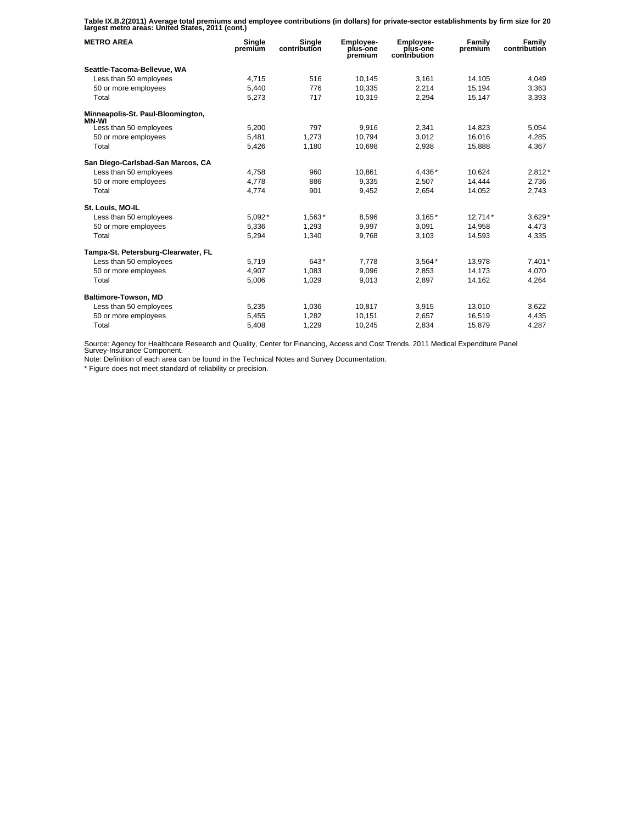**Table IX.B.2(2011) Average total premiums and employee contributions (in dollars) for private-sector establishments by firm size for 20 largest metro areas: United States, 2011 (cont.)** 

| <b>METRO AREA</b>                          | Single<br>premium | Single<br>contribution | Employee-<br>plus-one<br>premium | Employee-<br>plus-one<br>contribution | Family<br>premium | Family<br>contribution |
|--------------------------------------------|-------------------|------------------------|----------------------------------|---------------------------------------|-------------------|------------------------|
| Seattle-Tacoma-Bellevue, WA                |                   |                        |                                  |                                       |                   |                        |
| Less than 50 employees                     | 4,715             | 516                    | 10,145                           | 3,161                                 | 14,105            | 4,049                  |
| 50 or more employees                       | 5.440             | 776                    | 10.335                           | 2,214                                 | 15.194            | 3,363                  |
| Total                                      | 5,273             | 717                    | 10.319                           | 2,294                                 | 15,147            | 3,393                  |
| Minneapolis-St. Paul-Bloomington,<br>MN-WI |                   |                        |                                  |                                       |                   |                        |
| Less than 50 employees                     | 5,200             | 797                    | 9,916                            | 2,341                                 | 14,823            | 5,054                  |
| 50 or more employees                       | 5,481             | 1.273                  | 10.794                           | 3.012                                 | 16.016            | 4,285                  |
| Total                                      | 5,426             | 1,180                  | 10,698                           | 2,938                                 | 15,888            | 4,367                  |
| San Diego-Carlsbad-San Marcos, CA          |                   |                        |                                  |                                       |                   |                        |
| Less than 50 employees                     | 4.758             | 960                    | 10.861                           | 4,436*                                | 10.624            | $2,812*$               |
| 50 or more employees                       | 4,778             | 886                    | 9,335                            | 2,507                                 | 14,444            | 2,736                  |
| Total                                      | 4,774             | 901                    | 9,452                            | 2,654                                 | 14,052            | 2,743                  |
| St. Louis, MO-IL                           |                   |                        |                                  |                                       |                   |                        |
| Less than 50 employees                     | 5,092*            | 1,563*                 | 8,596                            | $3,165*$                              | $12,714*$         | $3,629*$               |
| 50 or more employees                       | 5,336             | 1,293                  | 9,997                            | 3,091                                 | 14.958            | 4,473                  |
| Total                                      | 5,294             | 1,340                  | 9,768                            | 3,103                                 | 14,593            | 4,335                  |
| Tampa-St. Petersburg-Clearwater, FL        |                   |                        |                                  |                                       |                   |                        |
| Less than 50 employees                     | 5,719             | 643*                   | 7.778                            | $3,564*$                              | 13,978            | $7,401*$               |
| 50 or more employees                       | 4.907             | 1.083                  | 9.096                            | 2.853                                 | 14.173            | 4.070                  |
| Total                                      | 5,006             | 1,029                  | 9,013                            | 2,897                                 | 14,162            | 4,264                  |
| Baltimore-Towson, MD                       |                   |                        |                                  |                                       |                   |                        |
| Less than 50 employees                     | 5,235             | 1,036                  | 10,817                           | 3,915                                 | 13,010            | 3,622                  |
| 50 or more employees                       | 5,455             | 1.282                  | 10,151                           | 2.657                                 | 16,519            | 4,435                  |
| Total                                      | 5,408             | 1,229                  | 10,245                           | 2,834                                 | 15,879            | 4,287                  |

Source: Agency for Healthcare Research and Quality, Center for Financing, Access and Cost Trends. 2011 Medical Expenditure Panel Survey-Insurance Component.

Note: Definition of each area can be found in the Technical Notes and Survey Documentation.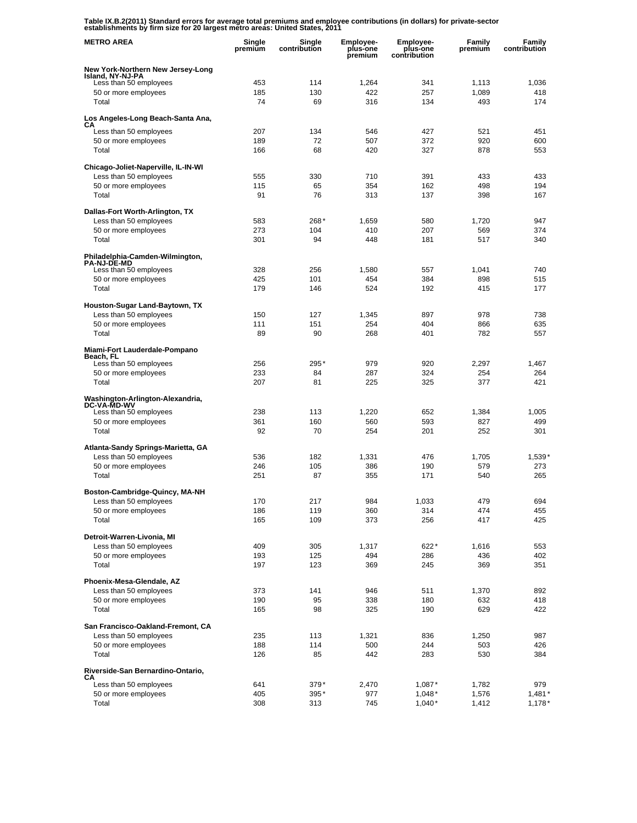**Table IX.B.2(2011) Standard errors for average total premiums and employee contributions (in dollars) for private-sector establishments by firm size for 20 largest metro areas: United States, 2011** 

| <b>METRO AREA</b>                                      | Single<br>premium | Single<br>contribution | <b>Employee-</b><br>plus-one<br>premium | <b>Employee-</b><br>plus-one<br>contribution | Family<br>premium | Family<br>contribution |
|--------------------------------------------------------|-------------------|------------------------|-----------------------------------------|----------------------------------------------|-------------------|------------------------|
| New York-Northern New Jersey-Long<br>Island, NY-NJ-PA  |                   |                        |                                         |                                              |                   |                        |
| Less than 50 employees                                 | 453               | 114                    | 1,264                                   | 341                                          | 1,113             | 1,036                  |
| 50 or more employees                                   | 185               | 130                    | 422                                     | 257                                          | 1,089             | 418                    |
| Total                                                  | 74                | 69                     | 316                                     | 134                                          | 493               | 174                    |
| Los Angeles-Long Beach-Santa Ana,                      |                   |                        |                                         |                                              |                   |                        |
| CА<br>Less than 50 employees                           | 207               | 134                    | 546                                     | 427                                          | 521               | 451                    |
| 50 or more employees                                   | 189               | 72                     | 507                                     | 372                                          | 920               | 600                    |
| Total                                                  | 166               | 68                     | 420                                     | 327                                          | 878               | 553                    |
| Chicago-Joliet-Naperville, IL-IN-WI                    |                   |                        |                                         |                                              |                   |                        |
| Less than 50 employees                                 | 555               | 330                    | 710                                     | 391                                          | 433               | 433                    |
| 50 or more employees                                   | 115               | 65                     | 354                                     | 162                                          | 498               | 194                    |
| Total                                                  | 91                | 76                     | 313                                     | 137                                          | 398               | 167                    |
| Dallas-Fort Worth-Arlington, TX                        |                   |                        |                                         |                                              |                   |                        |
| Less than 50 employees                                 | 583               | 268*                   | 1,659                                   | 580                                          | 1,720             | 947                    |
| 50 or more employees                                   | 273               | 104                    | 410                                     | 207                                          | 569               | 374                    |
| Total                                                  | 301               | 94                     | 448                                     | 181                                          | 517               | 340                    |
| Philadelphia-Camden-Wilmington,<br><b>PA-NJ-DE-MD</b>  |                   |                        |                                         |                                              |                   |                        |
| Less than 50 employees                                 | 328               | 256                    | 1,580                                   | 557                                          | 1,041             | 740                    |
| 50 or more employees                                   | 425               | 101                    | 454                                     | 384                                          | 898               | 515                    |
| Total                                                  | 179               | 146                    | 524                                     | 192                                          | 415               | 177                    |
| Houston-Sugar Land-Baytown, TX                         |                   |                        |                                         |                                              |                   |                        |
| Less than 50 employees<br>50 or more employees         | 150<br>111        | 127<br>151             | 1,345<br>254                            | 897<br>404                                   | 978<br>866        | 738<br>635             |
| Total                                                  | 89                | 90                     | 268                                     | 401                                          | 782               | 557                    |
| Miami-Fort Lauderdale-Pompano                          |                   |                        |                                         |                                              |                   |                        |
| Beach, FL                                              |                   |                        |                                         |                                              |                   |                        |
| Less than 50 employees                                 | 256               | 295*                   | 979                                     | 920                                          | 2,297             | 1,467                  |
| 50 or more employees<br>Total                          | 233<br>207        | 84<br>81               | 287<br>225                              | 324<br>325                                   | 254<br>377        | 264<br>421             |
|                                                        |                   |                        |                                         |                                              |                   |                        |
| Washington-Arlington-Alexandria,<br><b>DC-VA-MD-WV</b> |                   |                        |                                         |                                              |                   |                        |
| Less than 50 employees                                 | 238               | 113                    | 1,220                                   | 652                                          | 1,384             | 1,005                  |
| 50 or more employees                                   | 361               | 160                    | 560                                     | 593                                          | 827               | 499                    |
| Total                                                  | 92                | 70                     | 254                                     | 201                                          | 252               | 301                    |
| Atlanta-Sandy Springs-Marietta, GA                     |                   |                        |                                         |                                              |                   |                        |
| Less than 50 employees                                 | 536               | 182                    | 1,331                                   | 476                                          | 1,705             | 1,539'                 |
| 50 or more employees<br>Total                          | 246               | 105<br>87              | 386<br>355                              | 190                                          | 579               | 273<br>265             |
|                                                        | 251               |                        |                                         | 171                                          | 540               |                        |
| Boston-Cambridge-Quincy, MA-NH                         |                   |                        |                                         |                                              |                   |                        |
| Less than 50 employees<br>50 or more employees         | 170<br>186        | 217<br>119             | 984<br>360                              | 1,033<br>314                                 | 479<br>474        | 694<br>455             |
| Total                                                  | 165               | 109                    | 373                                     | 256                                          | 417               | 425                    |
|                                                        |                   |                        |                                         |                                              |                   |                        |
| Detroit-Warren-Livonia, MI<br>Less than 50 employees   | 409               | 305                    | 1,317                                   | 622*                                         | 1,616             | 553                    |
| 50 or more employees                                   | 193               | 125                    | 494                                     | 286                                          | 436               | 402                    |
| Total                                                  | 197               | 123                    | 369                                     | 245                                          | 369               | 351                    |
| Phoenix-Mesa-Glendale, AZ                              |                   |                        |                                         |                                              |                   |                        |
| Less than 50 employees                                 | 373               | 141                    | 946                                     | 511                                          | 1,370             | 892                    |
| 50 or more employees                                   | 190               | 95                     | 338                                     | 180                                          | 632               | 418                    |
| Total                                                  | 165               | 98                     | 325                                     | 190                                          | 629               | 422                    |
| San Francisco-Oakland-Fremont, CA                      |                   |                        |                                         |                                              |                   |                        |
| Less than 50 employees                                 | 235               | 113                    | 1,321                                   | 836                                          | 1,250             | 987                    |
| 50 or more employees                                   | 188               | 114                    | 500                                     | 244                                          | 503               | 426                    |
| Total                                                  | 126               | 85                     | 442                                     | 283                                          | 530               | 384                    |
| Riverside-San Bernardino-Ontario,<br>CА                |                   |                        |                                         |                                              |                   |                        |
| Less than 50 employees                                 | 641               | 379*                   | 2,470                                   | $1,087*$                                     | 1,782             | 979                    |
| 50 or more employees                                   | 405               | 395*                   | 977                                     | $1,048*$                                     | 1,576             | $1,481*$               |
| Total                                                  | 308               | 313                    | 745                                     | $1,040*$                                     | 1,412             | $1,178*$               |